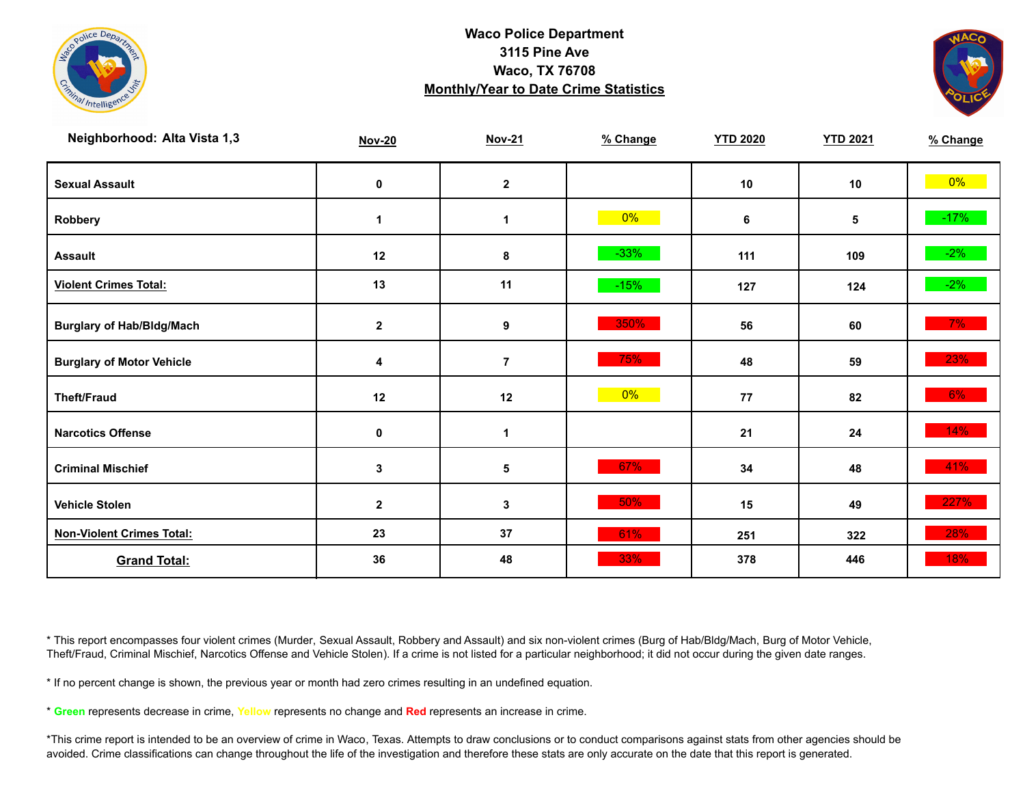



| Neighborhood: Alta Vista 1,3     | <b>Nov-20</b> | <b>Nov-21</b>    | % Change | <b>YTD 2020</b> | <b>YTD 2021</b> | % Change |
|----------------------------------|---------------|------------------|----------|-----------------|-----------------|----------|
| <b>Sexual Assault</b>            | 0             | $\mathbf 2$      |          | 10              | 10              | $0\%$    |
| Robbery                          | $\mathbf 1$   | 1                | $0\%$    | 6               | 5               | $-17%$   |
| <b>Assault</b>                   | 12            | 8                | $-33%$   | 111             | 109             | $-2%$    |
| <b>Violent Crimes Total:</b>     | 13            | 11               | $-15%$   | 127             | 124             | $-2\%$   |
| <b>Burglary of Hab/Bldg/Mach</b> | $\mathbf{2}$  | $\boldsymbol{9}$ | 350%     | 56              | 60              | $7\%$    |
| <b>Burglary of Motor Vehicle</b> | 4             | $\overline{7}$   | 75%      | 48              | 59              | 23%      |
| <b>Theft/Fraud</b>               | 12            | 12               | $0\%$    | 77              | 82              | $6\%$    |
| <b>Narcotics Offense</b>         | $\mathbf 0$   | $\mathbf 1$      |          | 21              | 24              | 14%      |
| <b>Criminal Mischief</b>         | $\mathbf{3}$  | 5                | 67%      | 34              | 48              | 41%      |
| <b>Vehicle Stolen</b>            | $\mathbf{2}$  | 3                | 50%      | 15              | 49              | 227%     |
| <b>Non-Violent Crimes Total:</b> | 23            | 37               | 61%      | 251             | 322             | 28%      |
| <b>Grand Total:</b>              | 36            | 48               | 33%      | 378             | 446             | 18%      |

\* This report encompasses four violent crimes (Murder, Sexual Assault, Robbery and Assault) and six non-violent crimes (Burg of Hab/Bldg/Mach, Burg of Motor Vehicle, Theft/Fraud, Criminal Mischief, Narcotics Offense and Vehicle Stolen). If a crime is not listed for a particular neighborhood; it did not occur during the given date ranges.

\* If no percent change is shown, the previous year or month had zero crimes resulting in an undefined equation.

\* **Green** represents decrease in crime, **Yellow** represents no change and **Red** represents an increase in crime.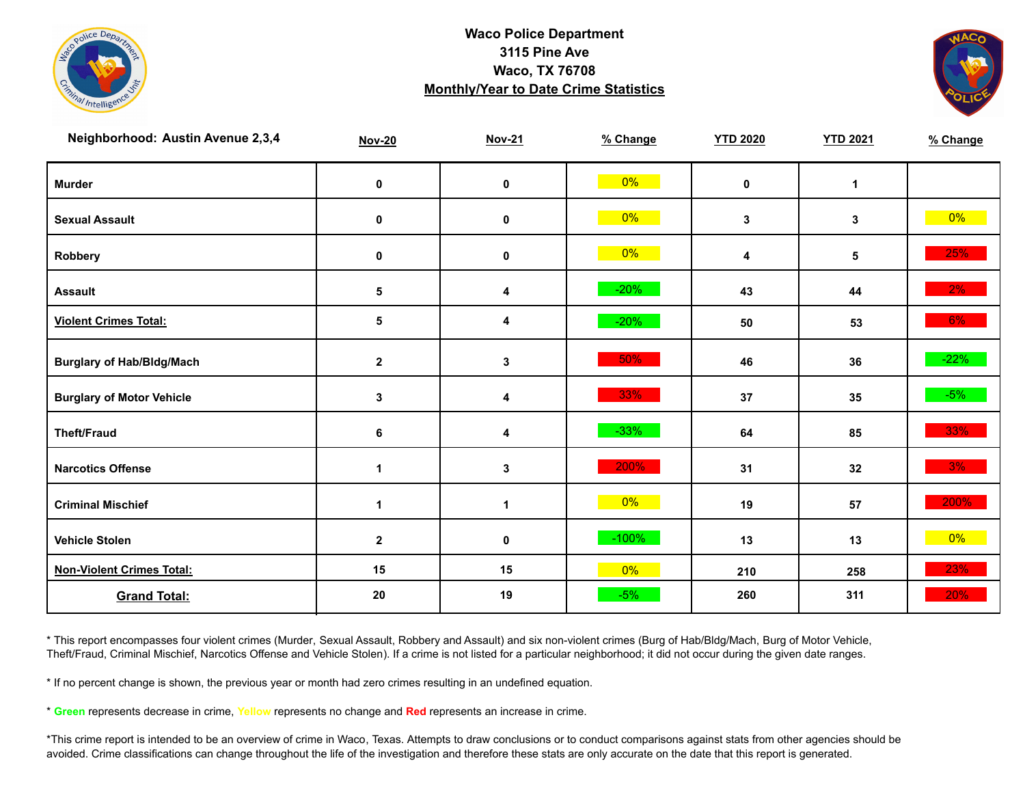



| Neighborhood: Austin Avenue 2,3,4 | <b>Nov-20</b> | <b>Nov-21</b> | % Change | <b>YTD 2020</b> | <b>YTD 2021</b> | % Change |
|-----------------------------------|---------------|---------------|----------|-----------------|-----------------|----------|
| <b>Murder</b>                     | $\pmb{0}$     | $\mathbf 0$   | $0\%$    | $\mathbf 0$     | $\mathbf{1}$    |          |
| <b>Sexual Assault</b>             | $\pmb{0}$     | $\mathbf 0$   | $0\%$    | $\mathbf{3}$    | 3               | $0\%$    |
| Robbery                           | 0             | 0             | $0\%$    | 4               | 5               | 25%      |
| <b>Assault</b>                    | $\sqrt{5}$    | 4             | $-20%$   | 43              | 44              | $2\%$    |
| <b>Violent Crimes Total:</b>      | 5             | 4             | $-20%$   | 50              | 53              | 6%       |
| <b>Burglary of Hab/Bldg/Mach</b>  | $\mathbf 2$   | $\mathbf{3}$  | 50%      | 46              | 36              | $-22%$   |
| <b>Burglary of Motor Vehicle</b>  | 3             | 4             | 33%      | 37              | 35              | $-5%$    |
| <b>Theft/Fraud</b>                | 6             | 4             | $-33%$   | 64              | 85              | 33%      |
| <b>Narcotics Offense</b>          | $\mathbf 1$   | $\mathbf{3}$  | 200%     | 31              | 32              | $3\%$    |
| <b>Criminal Mischief</b>          | $\mathbf 1$   | $\mathbf{1}$  | $0\%$    | 19              | 57              | 200%     |
| <b>Vehicle Stolen</b>             | $\mathbf 2$   | $\pmb{0}$     | $-100%$  | 13              | 13              | $0\%$    |
| <b>Non-Violent Crimes Total:</b>  | 15            | 15            | $0\%$    | 210             | 258             | 23%      |
| <b>Grand Total:</b>               | 20            | 19            | $-5%$    | 260             | 311             | 20%      |

\* This report encompasses four violent crimes (Murder, Sexual Assault, Robbery and Assault) and six non-violent crimes (Burg of Hab/Bldg/Mach, Burg of Motor Vehicle, Theft/Fraud, Criminal Mischief, Narcotics Offense and Vehicle Stolen). If a crime is not listed for a particular neighborhood; it did not occur during the given date ranges.

\* If no percent change is shown, the previous year or month had zero crimes resulting in an undefined equation.

\* **Green** represents decrease in crime, **Yellow** represents no change and **Red** represents an increase in crime.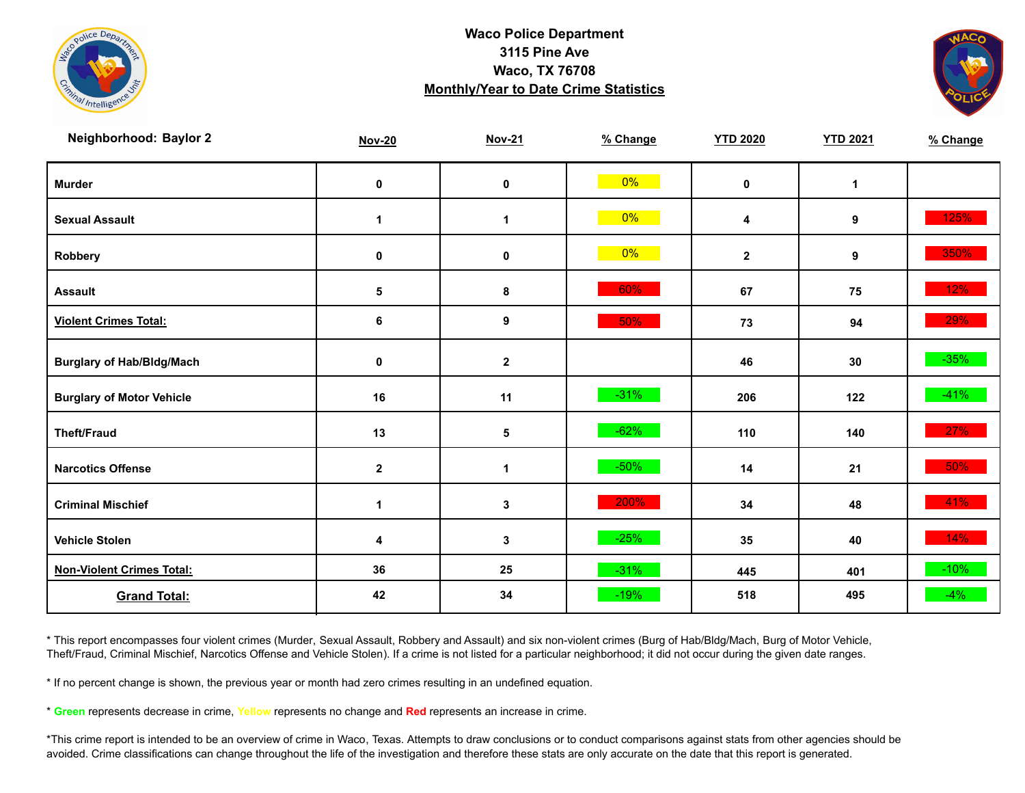



| Neighborhood: Baylor 2           | <b>Nov-20</b> | <b>Nov-21</b> | % Change | <b>YTD 2020</b> | <b>YTD 2021</b> | % Change |
|----------------------------------|---------------|---------------|----------|-----------------|-----------------|----------|
| <b>Murder</b>                    | $\mathbf 0$   | $\mathbf 0$   | $0\%$    | $\mathbf 0$     | $\mathbf{1}$    |          |
| <b>Sexual Assault</b>            | 1             | 1             | $0\%$    | 4               | 9               | 125%     |
| <b>Robbery</b>                   | 0             | $\pmb{0}$     | $0\%$    | $\mathbf{2}$    | 9               | 350%     |
| <b>Assault</b>                   | 5             | 8             | 60%      | 67              | 75              | 12%      |
| <b>Violent Crimes Total:</b>     | 6             | 9             | 50%      | 73              | 94              | 29%      |
| <b>Burglary of Hab/Bldg/Mach</b> | 0             | $\mathbf{2}$  |          | 46              | 30              | $-35%$   |
| <b>Burglary of Motor Vehicle</b> | 16            | 11            | $-31%$   | 206             | 122             | $-41%$   |
| <b>Theft/Fraud</b>               | 13            | 5             | $-62%$   | 110             | 140             | 27%      |
| <b>Narcotics Offense</b>         | $\mathbf{2}$  | 1             | $-50%$   | 14              | 21              | 50%      |
| <b>Criminal Mischief</b>         | 1             | $\mathbf 3$   | 200%     | 34              | 48              | 41%      |
| <b>Vehicle Stolen</b>            | 4             | $\mathbf 3$   | $-25%$   | 35              | 40              | 14%      |
| <b>Non-Violent Crimes Total:</b> | 36            | 25            | $-31%$   | 445             | 401             | $-10%$   |
| <b>Grand Total:</b>              | 42            | 34            | $-19%$   | 518             | 495             | $-4%$    |

\* This report encompasses four violent crimes (Murder, Sexual Assault, Robbery and Assault) and six non-violent crimes (Burg of Hab/Bldg/Mach, Burg of Motor Vehicle, Theft/Fraud, Criminal Mischief, Narcotics Offense and Vehicle Stolen). If a crime is not listed for a particular neighborhood; it did not occur during the given date ranges.

\* If no percent change is shown, the previous year or month had zero crimes resulting in an undefined equation.

\* **Green** represents decrease in crime, **Yellow** represents no change and **Red** represents an increase in crime.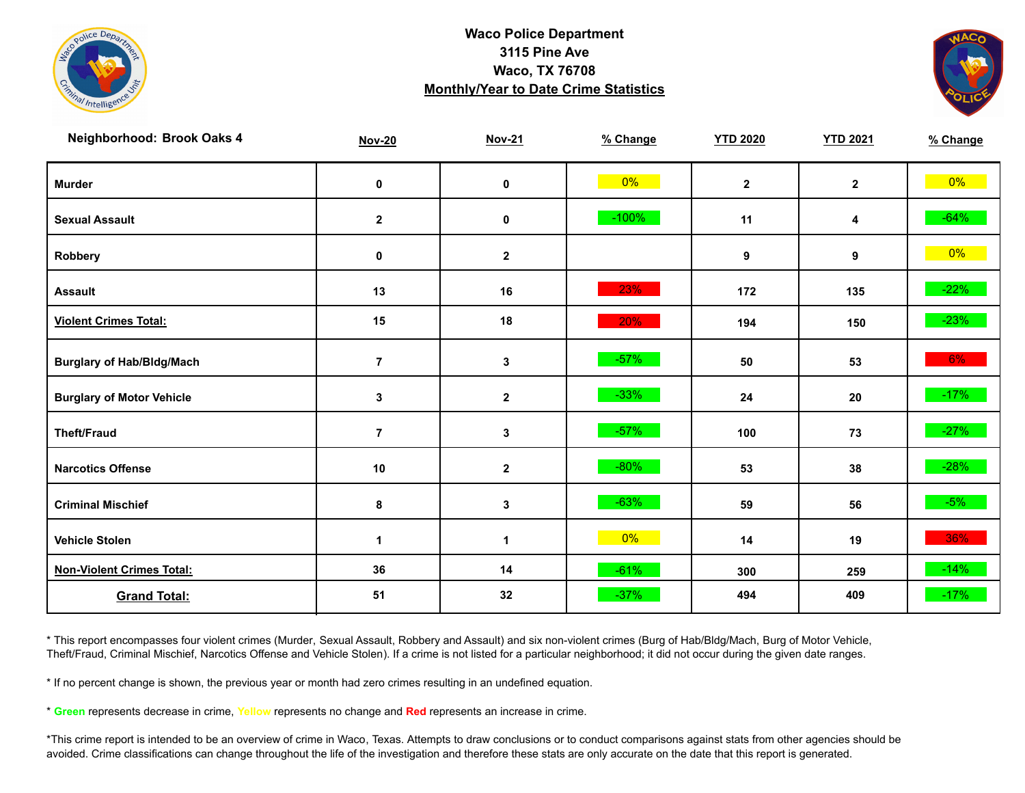



| Neighborhood: Brook Oaks 4       | <b>Nov-20</b>  | <b>Nov-21</b> | % Change | <b>YTD 2020</b> | <b>YTD 2021</b> | % Change |
|----------------------------------|----------------|---------------|----------|-----------------|-----------------|----------|
| <b>Murder</b>                    | $\pmb{0}$      | $\mathbf 0$   | $0\%$    | $\mathbf{2}$    | $\mathbf{2}$    | $0\%$    |
| <b>Sexual Assault</b>            | $\mathbf{2}$   | 0             | $-100%$  | 11              | 4               | $-64%$   |
| Robbery                          | 0              | $\mathbf{2}$  |          | 9               | 9               | $0\%$    |
| <b>Assault</b>                   | 13             | 16            | 23%      | 172             | 135             | $-22%$   |
| <b>Violent Crimes Total:</b>     | 15             | 18            | 20%      | 194             | 150             | $-23%$   |
| <b>Burglary of Hab/Bldg/Mach</b> | $\overline{7}$ | $\mathbf{3}$  | $-57%$   | 50              | 53              | $6\%$    |
| <b>Burglary of Motor Vehicle</b> | 3              | $\mathbf{2}$  | $-33%$   | 24              | 20              | $-17%$   |
| <b>Theft/Fraud</b>               | $\overline{7}$ | $\mathbf 3$   | $-57%$   | 100             | 73              | $-27%$   |
| <b>Narcotics Offense</b>         | $10$           | $\mathbf{2}$  | $-80%$   | 53              | 38              | $-28%$   |
| <b>Criminal Mischief</b>         | 8              | $\mathbf{3}$  | $-63%$   | 59              | 56              | $-5%$    |
| <b>Vehicle Stolen</b>            | 1              | 1             | $0\%$    | 14              | 19              | 36%      |
| <b>Non-Violent Crimes Total:</b> | 36             | 14            | $-61%$   | 300             | 259             | $-14%$   |
| <b>Grand Total:</b>              | 51             | 32            | $-37%$   | 494             | 409             | $-17%$   |

\* This report encompasses four violent crimes (Murder, Sexual Assault, Robbery and Assault) and six non-violent crimes (Burg of Hab/Bldg/Mach, Burg of Motor Vehicle, Theft/Fraud, Criminal Mischief, Narcotics Offense and Vehicle Stolen). If a crime is not listed for a particular neighborhood; it did not occur during the given date ranges.

\* If no percent change is shown, the previous year or month had zero crimes resulting in an undefined equation.

\* **Green** represents decrease in crime, **Yellow** represents no change and **Red** represents an increase in crime.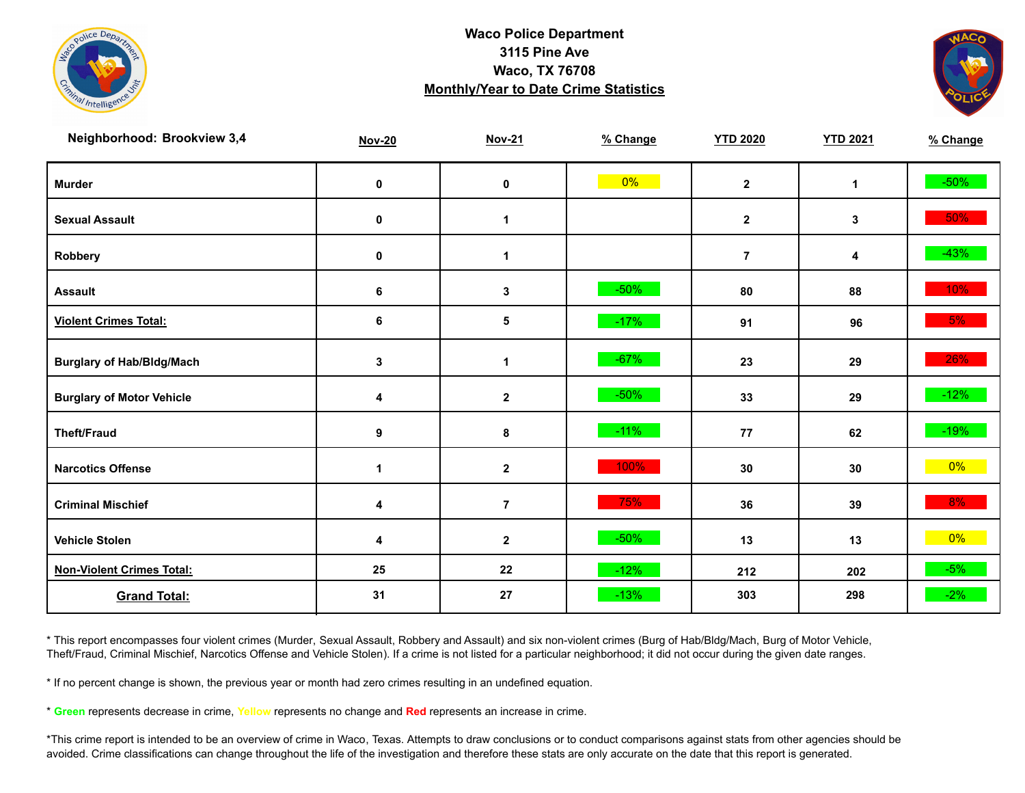



| Neighborhood: Brookview 3,4      | <b>Nov-20</b>        | <b>Nov-21</b>    | % Change | <b>YTD 2020</b> | <b>YTD 2021</b> | % Change |
|----------------------------------|----------------------|------------------|----------|-----------------|-----------------|----------|
| <b>Murder</b>                    | $\pmb{0}$            | $\pmb{0}$        | $0\%$    | $\mathbf{2}$    | $\mathbf{1}$    | $-50\%$  |
| <b>Sexual Assault</b>            | 0                    | 1                |          | $\mathbf{2}$    | 3               | 50%      |
| Robbery                          | 0                    | 1                |          | $\overline{7}$  | 4               | $-43%$   |
| <b>Assault</b>                   | 6                    | 3                | $-50%$   | 80              | 88              | 10%      |
| <b>Violent Crimes Total:</b>     | 6                    | 5                | $-17%$   | 91              | 96              | 5%       |
| <b>Burglary of Hab/Bldg/Mach</b> | $\mathbf 3$          | $\mathbf{1}$     | $-67%$   | 23              | 29              | 26%      |
| <b>Burglary of Motor Vehicle</b> | 4                    | $\mathbf{2}$     | $-50%$   | 33              | 29              | $-12%$   |
| <b>Theft/Fraud</b>               | 9                    | 8                | $-11%$   | 77              | 62              | $-19%$   |
| <b>Narcotics Offense</b>         | $\blacktriangleleft$ | $\boldsymbol{2}$ | 100%     | 30              | 30              | $0\%$    |
| <b>Criminal Mischief</b>         | 4                    | $\overline{7}$   | 75%      | 36              | 39              | 8%       |
| <b>Vehicle Stolen</b>            | 4                    | $\mathbf 2$      | $-50%$   | 13              | 13              | $0\%$    |
| <b>Non-Violent Crimes Total:</b> | 25                   | 22               | $-12%$   | 212             | 202             | $-5%$    |
| <b>Grand Total:</b>              | 31                   | 27               | $-13%$   | 303             | 298             | $-2%$    |

\* This report encompasses four violent crimes (Murder, Sexual Assault, Robbery and Assault) and six non-violent crimes (Burg of Hab/Bldg/Mach, Burg of Motor Vehicle, Theft/Fraud, Criminal Mischief, Narcotics Offense and Vehicle Stolen). If a crime is not listed for a particular neighborhood; it did not occur during the given date ranges.

\* If no percent change is shown, the previous year or month had zero crimes resulting in an undefined equation.

\* **Green** represents decrease in crime, **Yellow** represents no change and **Red** represents an increase in crime.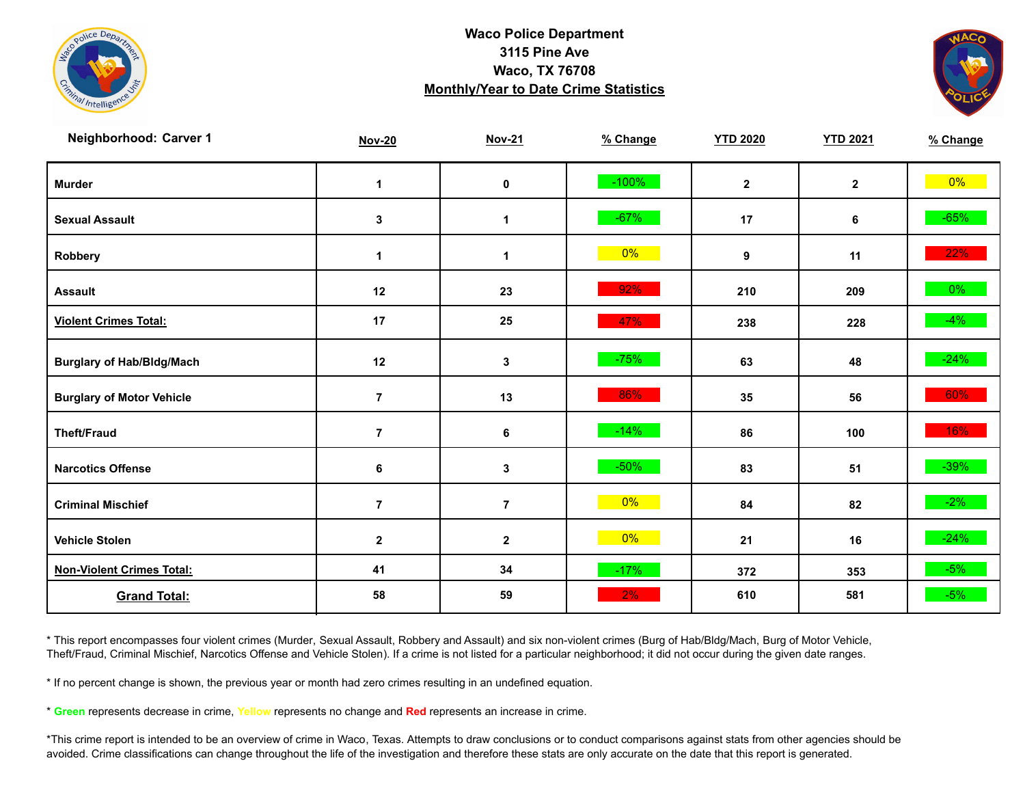



| Neighborhood: Carver 1           | <b>Nov-20</b>  | <b>Nov-21</b>  | % Change | <b>YTD 2020</b> | <b>YTD 2021</b> | % Change |
|----------------------------------|----------------|----------------|----------|-----------------|-----------------|----------|
| <b>Murder</b>                    | $\mathbf 1$    | $\mathbf 0$    | $-100%$  | $\mathbf{2}$    | $\overline{2}$  | $0\%$    |
| <b>Sexual Assault</b>            | 3              | 1              | $-67%$   | 17              | 6               | $-65%$   |
| Robbery                          | $\mathbf 1$    | $\mathbf 1$    | $0\%$    | 9               | 11              | 22%      |
| <b>Assault</b>                   | 12             | 23             | 92%      | 210             | 209             | $0\%$    |
| <b>Violent Crimes Total:</b>     | 17             | 25             | 47%      | 238             | 228             | $-4\%$   |
| <b>Burglary of Hab/Bldg/Mach</b> | 12             | $\mathbf{3}$   | $-75%$   | 63              | 48              | $-24%$   |
| <b>Burglary of Motor Vehicle</b> | $\overline{7}$ | 13             | 86%      | 35              | 56              | 60%      |
| <b>Theft/Fraud</b>               | $\overline{7}$ | 6              | $-14%$   | 86              | 100             | 16%      |
| <b>Narcotics Offense</b>         | 6              | $\mathbf{3}$   | $-50%$   | 83              | 51              | $-39\%$  |
| <b>Criminal Mischief</b>         | $\overline{7}$ | $\overline{7}$ | $0\%$    | 84              | 82              | $-2\%$   |
| <b>Vehicle Stolen</b>            | $\mathbf 2$    | $\mathbf{2}$   | $0\%$    | 21              | 16              | $-24%$   |
| <b>Non-Violent Crimes Total:</b> | 41             | 34             | $-17%$   | 372             | 353             | $-5%$    |
| <b>Grand Total:</b>              | 58             | 59             | 2%       | 610             | 581             | $-5%$    |

\* This report encompasses four violent crimes (Murder, Sexual Assault, Robbery and Assault) and six non-violent crimes (Burg of Hab/Bldg/Mach, Burg of Motor Vehicle, Theft/Fraud, Criminal Mischief, Narcotics Offense and Vehicle Stolen). If a crime is not listed for a particular neighborhood; it did not occur during the given date ranges.

\* If no percent change is shown, the previous year or month had zero crimes resulting in an undefined equation.

\* **Green** represents decrease in crime, **Yellow** represents no change and **Red** represents an increase in crime.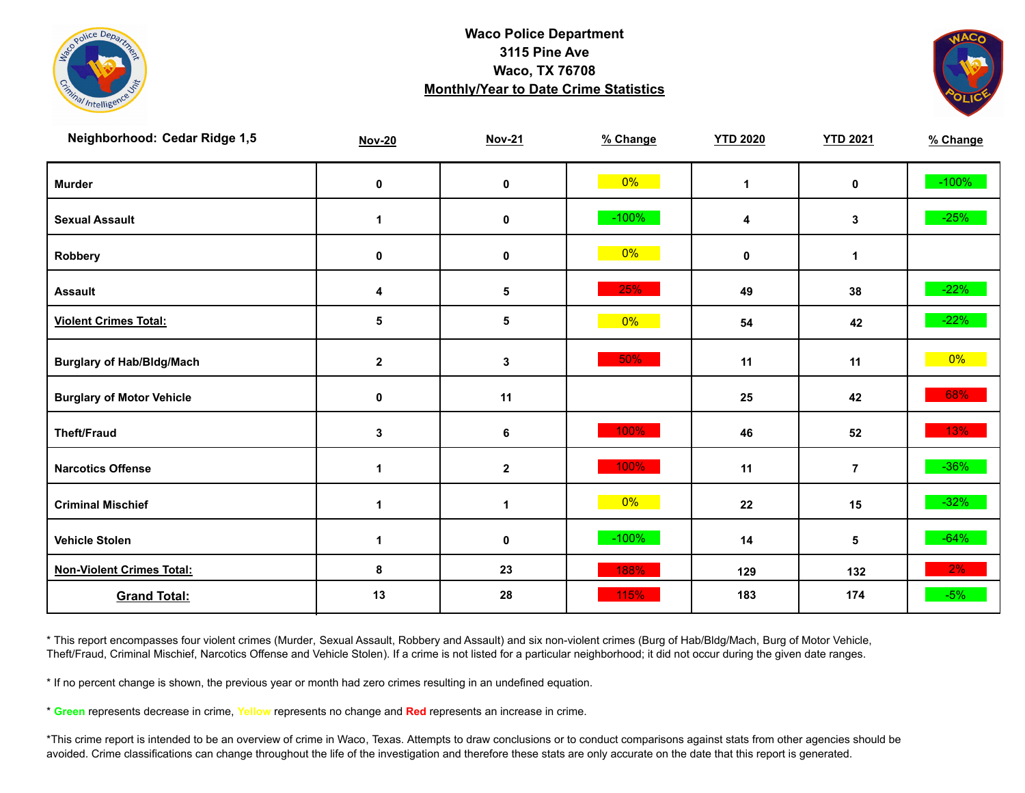



| Neighborhood: Cedar Ridge 1,5    | <b>Nov-20</b>        | <b>Nov-21</b>        | % Change | <b>YTD 2020</b> | <b>YTD 2021</b> | % Change |
|----------------------------------|----------------------|----------------------|----------|-----------------|-----------------|----------|
| <b>Murder</b>                    | $\pmb{0}$            | $\mathbf 0$          | $0\%$    | $\mathbf{1}$    | $\mathbf 0$     | $-100%$  |
| <b>Sexual Assault</b>            | $\blacktriangleleft$ | 0                    | $-100%$  | 4               | 3               | $-25%$   |
| Robbery                          | 0                    | 0                    | 0%       | 0               | $\mathbf 1$     |          |
| <b>Assault</b>                   | 4                    | $\sqrt{5}$           | 25%      | 49              | 38              | $-22%$   |
| <b>Violent Crimes Total:</b>     | 5                    | 5                    | $0\%$    | 54              | 42              | $-22%$   |
| <b>Burglary of Hab/Bldg/Mach</b> | $\mathbf{2}$         | 3                    | 50%      | 11              | 11              | $0\%$    |
| <b>Burglary of Motor Vehicle</b> | 0                    | 11                   |          | 25              | 42              | 68%      |
| <b>Theft/Fraud</b>               | 3                    | 6                    | 100%     | 46              | 52              | 13%      |
| <b>Narcotics Offense</b>         | -1                   | $\boldsymbol{2}$     | 100%     | 11              | $\overline{7}$  | $-36\%$  |
| <b>Criminal Mischief</b>         | -1                   | $\blacktriangleleft$ | $0\%$    | 22              | 15              | $-32%$   |
| <b>Vehicle Stolen</b>            | $\mathbf{1}$         | $\pmb{0}$            | $-100%$  | 14              | 5               | $-64%$   |
| <b>Non-Violent Crimes Total:</b> | 8                    | 23                   | 188%     | 129             | 132             | 2%       |
| <b>Grand Total:</b>              | 13                   | 28                   | 115%     | 183             | 174             | $-5%$    |

\* This report encompasses four violent crimes (Murder, Sexual Assault, Robbery and Assault) and six non-violent crimes (Burg of Hab/Bldg/Mach, Burg of Motor Vehicle, Theft/Fraud, Criminal Mischief, Narcotics Offense and Vehicle Stolen). If a crime is not listed for a particular neighborhood; it did not occur during the given date ranges.

\* If no percent change is shown, the previous year or month had zero crimes resulting in an undefined equation.

\* **Green** represents decrease in crime, **Yellow** represents no change and **Red** represents an increase in crime.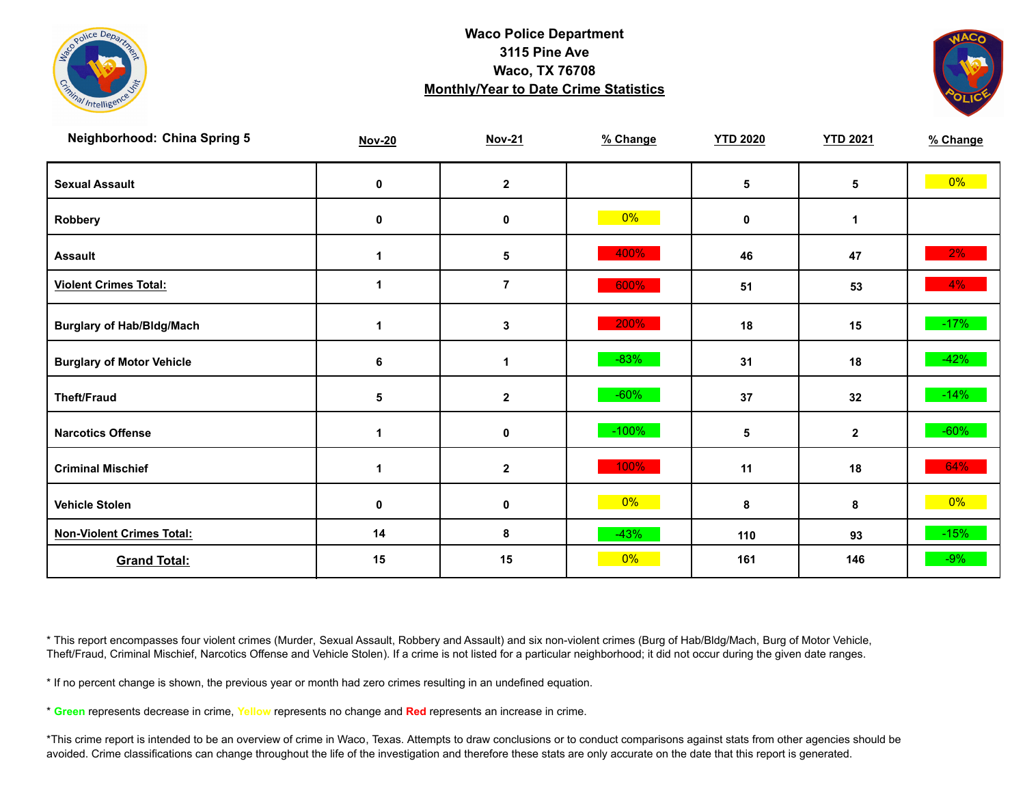



| <b>Neighborhood: China Spring 5</b> | <b>Nov-20</b>        | <b>Nov-21</b> | % Change | <b>YTD 2020</b> | <b>YTD 2021</b> | % Change |
|-------------------------------------|----------------------|---------------|----------|-----------------|-----------------|----------|
| <b>Sexual Assault</b>               | 0                    | $\mathbf{2}$  |          | 5               | 5               | $0\%$    |
| Robbery                             | 0                    | 0             | $0\%$    | 0               | 1               |          |
| <b>Assault</b>                      | $\blacktriangleleft$ | $\sqrt{5}$    | 400%     | 46              | 47              | $2\%$    |
| <b>Violent Crimes Total:</b>        | 1                    | $\bf 7$       | 600%     | 51              | 53              | $4\%$    |
| <b>Burglary of Hab/Bldg/Mach</b>    | $\mathbf 1$          | $\mathbf 3$   | 200%     | 18              | 15              | $-17%$   |
| <b>Burglary of Motor Vehicle</b>    | 6                    | 1             | $-83%$   | 31              | 18              | $-42%$   |
| <b>Theft/Fraud</b>                  | 5                    | $\mathbf{2}$  | $-60%$   | 37              | 32              | $-14%$   |
| <b>Narcotics Offense</b>            | 1                    | $\pmb{0}$     | $-100%$  | 5               | $\mathbf{2}$    | $-60%$   |
| <b>Criminal Mischief</b>            | $\mathbf 1$          | $\mathbf{2}$  | 100%     | 11              | 18              | 64%      |
| <b>Vehicle Stolen</b>               | $\mathbf 0$          | $\pmb{0}$     | $0\%$    | 8               | 8               | $0\%$    |
| <b>Non-Violent Crimes Total:</b>    | 14                   | 8             | $-43%$   | 110             | 93              | $-15%$   |
| <b>Grand Total:</b>                 | 15                   | 15            | 0%       | 161             | 146             | $-9%$    |

\* This report encompasses four violent crimes (Murder, Sexual Assault, Robbery and Assault) and six non-violent crimes (Burg of Hab/Bldg/Mach, Burg of Motor Vehicle, Theft/Fraud, Criminal Mischief, Narcotics Offense and Vehicle Stolen). If a crime is not listed for a particular neighborhood; it did not occur during the given date ranges.

\* If no percent change is shown, the previous year or month had zero crimes resulting in an undefined equation.

\* **Green** represents decrease in crime, **Yellow** represents no change and **Red** represents an increase in crime.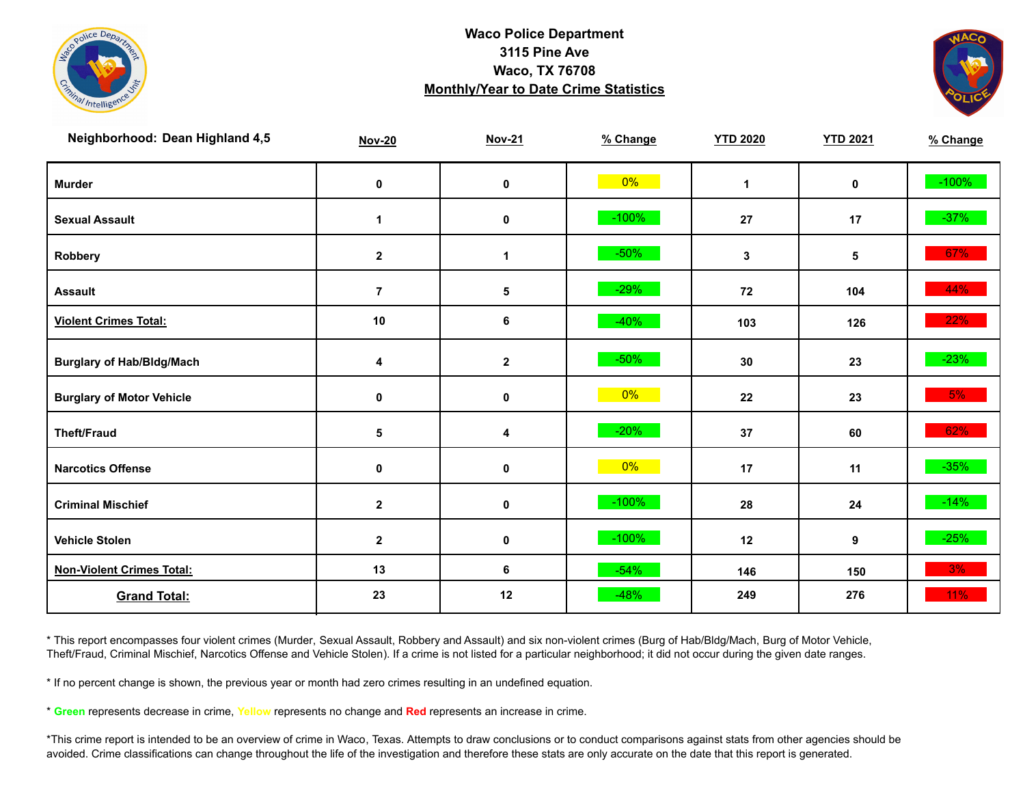



| Neighborhood: Dean Highland 4,5  | <b>Nov-20</b>    | <b>Nov-21</b> | % Change | <b>YTD 2020</b> | <b>YTD 2021</b> | % Change |
|----------------------------------|------------------|---------------|----------|-----------------|-----------------|----------|
| <b>Murder</b>                    | $\pmb{0}$        | $\pmb{0}$     | $0\%$    | $\mathbf{1}$    | $\mathbf 0$     | $-100%$  |
| <b>Sexual Assault</b>            | 1                | $\pmb{0}$     | $-100%$  | 27              | 17              | $-37%$   |
| Robbery                          | $\mathbf{2}$     | 1             | $-50%$   | 3               | 5               | 67%      |
| <b>Assault</b>                   | $\overline{7}$   | 5             | $-29%$   | 72              | 104             | 44%      |
| <b>Violent Crimes Total:</b>     | 10               | 6             | $-40%$   | 103             | 126             | 22%      |
| <b>Burglary of Hab/Bldg/Mach</b> | 4                | $\mathbf 2$   | $-50%$   | 30              | 23              | $-23%$   |
| <b>Burglary of Motor Vehicle</b> | 0                | 0             | $0\%$    | 22              | 23              | 5%       |
| <b>Theft/Fraud</b>               | 5                | 4             | $-20%$   | 37              | 60              | 62%      |
| <b>Narcotics Offense</b>         | $\pmb{0}$        | $\pmb{0}$     | $0\%$    | 17              | 11              | $-35%$   |
| <b>Criminal Mischief</b>         | $\mathbf{2}$     | 0             | $-100%$  | 28              | 24              | $-14%$   |
| <b>Vehicle Stolen</b>            | $\boldsymbol{2}$ | $\pmb{0}$     | $-100%$  | 12              | 9               | $-25%$   |
| <b>Non-Violent Crimes Total:</b> | 13               | 6             | $-54%$   | 146             | 150             | 3%       |
| <b>Grand Total:</b>              | 23               | 12            | $-48%$   | 249             | 276             | 11%      |

\* This report encompasses four violent crimes (Murder, Sexual Assault, Robbery and Assault) and six non-violent crimes (Burg of Hab/Bldg/Mach, Burg of Motor Vehicle, Theft/Fraud, Criminal Mischief, Narcotics Offense and Vehicle Stolen). If a crime is not listed for a particular neighborhood; it did not occur during the given date ranges.

\* If no percent change is shown, the previous year or month had zero crimes resulting in an undefined equation.

\* **Green** represents decrease in crime, **Yellow** represents no change and **Red** represents an increase in crime.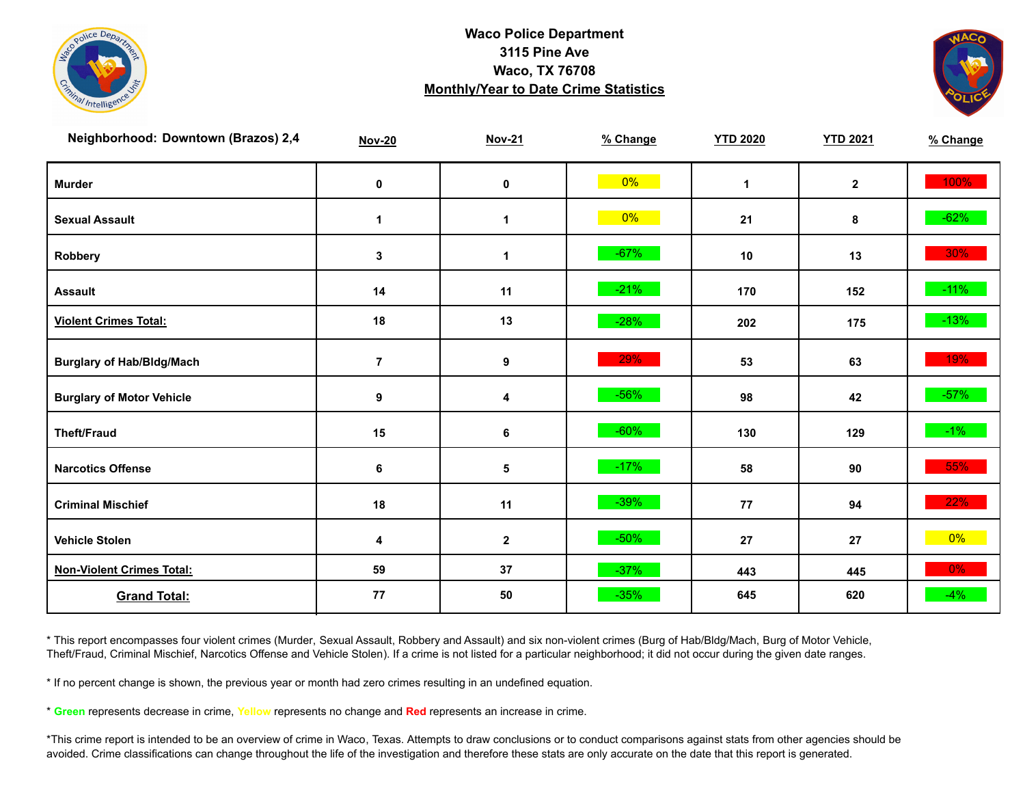



| Neighborhood: Downtown (Brazos) 2,4 | <b>Nov-20</b>    | <b>Nov-21</b>    | % Change | <b>YTD 2020</b> | <b>YTD 2021</b> | % Change |
|-------------------------------------|------------------|------------------|----------|-----------------|-----------------|----------|
| <b>Murder</b>                       | $\pmb{0}$        | $\mathbf 0$      | $0\%$    | $\mathbf{1}$    | $\mathbf{2}$    | 100%     |
| <b>Sexual Assault</b>               | $\mathbf 1$      | $\mathbf 1$      | $0\%$    | 21              | 8               | $-62%$   |
| Robbery                             | 3                | 1                | $-67%$   | 10              | 13              | $30\%$   |
| <b>Assault</b>                      | 14               | 11               | $-21%$   | 170             | 152             | $-11\%$  |
| <b>Violent Crimes Total:</b>        | 18               | 13               | $-28%$   | 202             | 175             | $-13%$   |
| <b>Burglary of Hab/Bldg/Mach</b>    | $\overline{7}$   | $\boldsymbol{9}$ | 29%      | 53              | 63              | 19%      |
| <b>Burglary of Motor Vehicle</b>    | $\boldsymbol{9}$ | 4                | $-56%$   | 98              | 42              | $-57\%$  |
| <b>Theft/Fraud</b>                  | 15               | 6                | $-60%$   | 130             | 129             | $-1\%$   |
| <b>Narcotics Offense</b>            | 6                | 5                | $-17%$   | 58              | 90              | 55%      |
| <b>Criminal Mischief</b>            | 18               | 11               | $-39%$   | 77              | 94              | 22%      |
| <b>Vehicle Stolen</b>               | 4                | $\mathbf 2$      | $-50%$   | 27              | 27              | $0\%$    |
| <b>Non-Violent Crimes Total:</b>    | 59               | 37               | $-37%$   | 443             | 445             | $0\%$    |
| <b>Grand Total:</b>                 | 77               | 50               | $-35%$   | 645             | 620             | $-4%$    |

\* This report encompasses four violent crimes (Murder, Sexual Assault, Robbery and Assault) and six non-violent crimes (Burg of Hab/Bldg/Mach, Burg of Motor Vehicle, Theft/Fraud, Criminal Mischief, Narcotics Offense and Vehicle Stolen). If a crime is not listed for a particular neighborhood; it did not occur during the given date ranges.

\* If no percent change is shown, the previous year or month had zero crimes resulting in an undefined equation.

\* **Green** represents decrease in crime, **Yellow** represents no change and **Red** represents an increase in crime.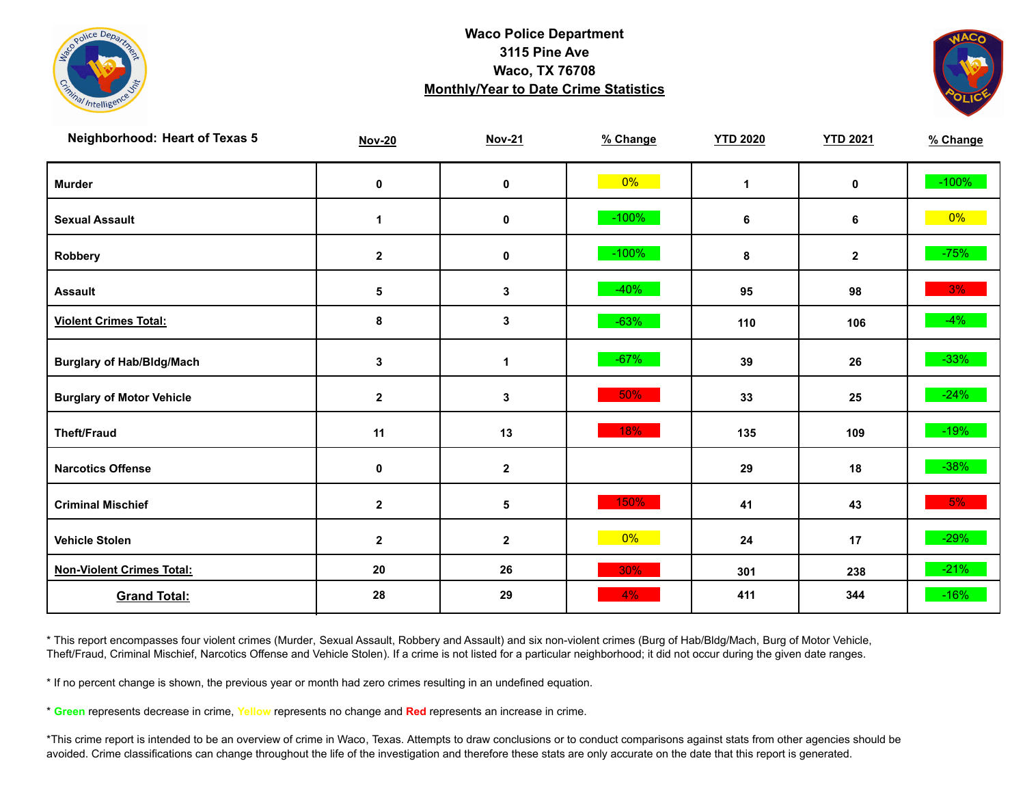



| <b>Neighborhood: Heart of Texas 5</b> | <b>Nov-20</b>    | <b>Nov-21</b>    | % Change | <b>YTD 2020</b> | <b>YTD 2021</b> | % Change |
|---------------------------------------|------------------|------------------|----------|-----------------|-----------------|----------|
| <b>Murder</b>                         | $\pmb{0}$        | $\mathbf 0$      | $0\%$    | $\mathbf{1}$    | $\mathbf 0$     | $-100%$  |
| <b>Sexual Assault</b>                 | $\mathbf{1}$     | $\pmb{0}$        | $-100%$  | 6               | 6               | $0\%$    |
| Robbery                               | $\mathbf{2}$     | 0                | $-100%$  | 8               | $\mathbf{2}$    | $-75%$   |
| <b>Assault</b>                        | 5                | 3                | $-40%$   | 95              | 98              | 3%       |
| <b>Violent Crimes Total:</b>          | 8                | $\mathbf 3$      | $-63%$   | 110             | 106             | $-4%$    |
| <b>Burglary of Hab/Bldg/Mach</b>      | $\mathbf 3$      | $\mathbf{1}$     | $-67%$   | 39              | 26              | $-33%$   |
| <b>Burglary of Motor Vehicle</b>      | $\mathbf 2$      | 3                | 50%      | 33              | 25              | $-24%$   |
| <b>Theft/Fraud</b>                    | 11               | 13               | 18%      | 135             | 109             | $-19%$   |
| <b>Narcotics Offense</b>              | $\pmb{0}$        | $\boldsymbol{2}$ |          | 29              | 18              | $-38%$   |
| <b>Criminal Mischief</b>              | $\mathbf{2}$     | 5                | 150%     | 41              | 43              | 5%       |
| <b>Vehicle Stolen</b>                 | $\boldsymbol{2}$ | $\mathbf 2$      | $0\%$    | 24              | 17              | $-29%$   |
| <b>Non-Violent Crimes Total:</b>      | 20               | 26               | 30%      | 301             | 238             | $-21%$   |
| <b>Grand Total:</b>                   | 28               | 29               | 4%       | 411             | 344             | $-16%$   |

\* This report encompasses four violent crimes (Murder, Sexual Assault, Robbery and Assault) and six non-violent crimes (Burg of Hab/Bldg/Mach, Burg of Motor Vehicle, Theft/Fraud, Criminal Mischief, Narcotics Offense and Vehicle Stolen). If a crime is not listed for a particular neighborhood; it did not occur during the given date ranges.

\* If no percent change is shown, the previous year or month had zero crimes resulting in an undefined equation.

\* **Green** represents decrease in crime, **Yellow** represents no change and **Red** represents an increase in crime.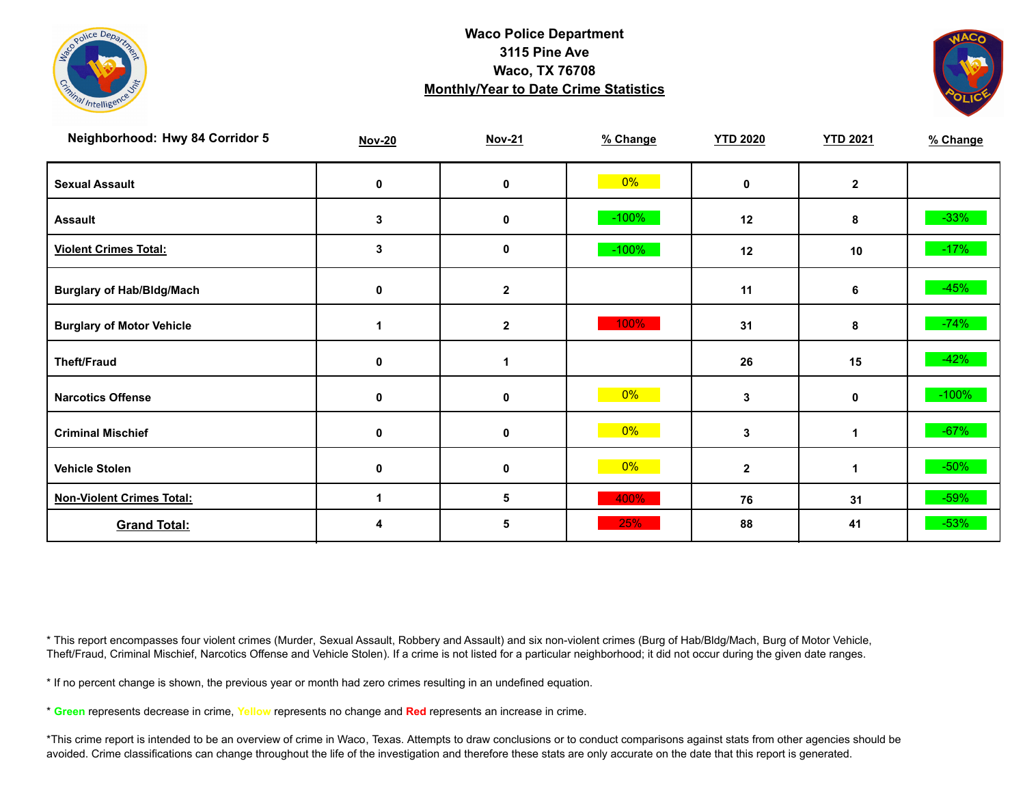



| Neighborhood: Hwy 84 Corridor 5  | <b>Nov-20</b> | <b>Nov-21</b> | % Change | <b>YTD 2020</b> | <b>YTD 2021</b> | % Change |
|----------------------------------|---------------|---------------|----------|-----------------|-----------------|----------|
| <b>Sexual Assault</b>            | 0             | 0             | $0\%$    | $\mathbf{0}$    | $\mathbf{2}$    |          |
| <b>Assault</b>                   | 3             | $\mathbf 0$   | $-100%$  | 12              | 8               | $-33%$   |
| <b>Violent Crimes Total:</b>     | 3             | 0             | $-100%$  | 12              | 10              | $-17%$   |
| <b>Burglary of Hab/Bldg/Mach</b> | 0             | $\mathbf{2}$  |          | 11              | 6               | $-45%$   |
| <b>Burglary of Motor Vehicle</b> |               | $\mathbf{2}$  | 100%     | 31              | 8               | $-74%$   |
| <b>Theft/Fraud</b>               | 0             | 1             |          | 26              | 15              | $-42%$   |
| <b>Narcotics Offense</b>         | 0             | 0             | 0%       | 3               | 0               | $-100%$  |
| <b>Criminal Mischief</b>         | 0             | 0             | $0\%$    | 3               | $\mathbf 1$     | $-67%$   |
| <b>Vehicle Stolen</b>            | $\mathbf 0$   | 0             | $0\%$    | $\mathbf{2}$    | 1               | $-50%$   |
| <b>Non-Violent Crimes Total:</b> | п             | 5             | 400%     | 76              | 31              | $-59%$   |
| <b>Grand Total:</b>              |               | 5             | 25%      | 88              | 41              | $-53%$   |

\* This report encompasses four violent crimes (Murder, Sexual Assault, Robbery and Assault) and six non-violent crimes (Burg of Hab/Bldg/Mach, Burg of Motor Vehicle, Theft/Fraud, Criminal Mischief, Narcotics Offense and Vehicle Stolen). If a crime is not listed for a particular neighborhood; it did not occur during the given date ranges.

\* If no percent change is shown, the previous year or month had zero crimes resulting in an undefined equation.

\* **Green** represents decrease in crime, **Yellow** represents no change and **Red** represents an increase in crime.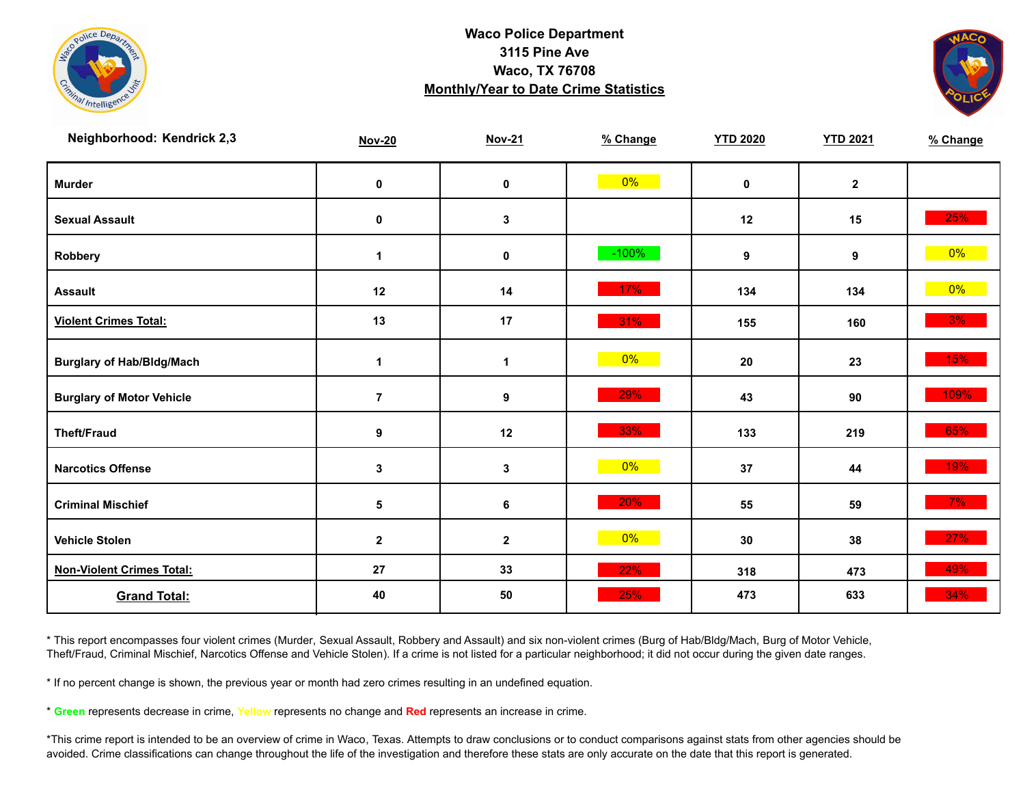



| Neighborhood: Kendrick 2,3       | <b>Nov-20</b>  | <b>Nov-21</b> | % Change | <b>YTD 2020</b> | <b>YTD 2021</b> | % Change |
|----------------------------------|----------------|---------------|----------|-----------------|-----------------|----------|
| <b>Murder</b>                    | $\mathbf 0$    | $\pmb{0}$     | $0\%$    | $\mathbf 0$     | $\mathbf{2}$    |          |
| <b>Sexual Assault</b>            | $\pmb{0}$      | 3             |          | 12              | 15              | 25%      |
| Robbery                          | 1              | 0             | $-100%$  | 9               | 9               | 0%       |
| <b>Assault</b>                   | 12             | 14            | 17%      | 134             | 134             | $0\%$    |
| <b>Violent Crimes Total:</b>     | 13             | 17            | 31%      | 155             | 160             | 3%       |
| <b>Burglary of Hab/Bldg/Mach</b> | $\mathbf{1}$   | $\mathbf{1}$  | $0\%$    | 20              | 23              | 15%      |
| <b>Burglary of Motor Vehicle</b> | $\overline{7}$ | 9             | 29%      | 43              | 90              | 109%     |
| <b>Theft/Fraud</b>               | 9              | 12            | 33%      | 133             | 219             | 65%      |
| <b>Narcotics Offense</b>         | 3              | $\mathbf 3$   | $0\%$    | 37              | 44              | 19%      |
| <b>Criminal Mischief</b>         | 5              | 6             | 20%      | 55              | 59              | $7\%$    |
| <b>Vehicle Stolen</b>            | $\mathbf{2}$   | $\mathbf{2}$  | $0\%$    | 30              | 38              | 27%      |
| <b>Non-Violent Crimes Total:</b> | 27             | 33            | 22%      | 318             | 473             | 49%      |
| <b>Grand Total:</b>              | 40             | 50            | 25%      | 473             | 633             | 34%      |

\* This report encompasses four violent crimes (Murder, Sexual Assault, Robbery and Assault) and six non-violent crimes (Burg of Hab/Bldg/Mach, Burg of Motor Vehicle, Theft/Fraud, Criminal Mischief, Narcotics Offense and Vehicle Stolen). If a crime is not listed for a particular neighborhood; it did not occur during the given date ranges.

\* If no percent change is shown, the previous year or month had zero crimes resulting in an undefined equation.

\* **Green** represents decrease in crime, **Yellow** represents no change and **Red** represents an increase in crime.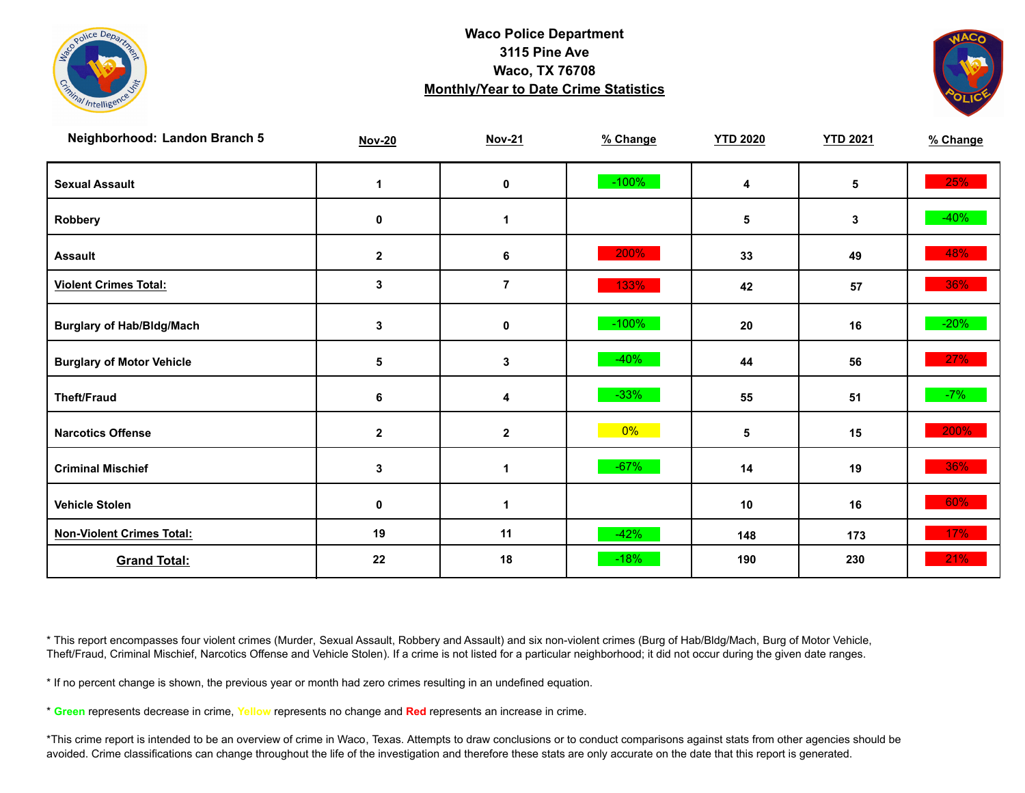



| Neighborhood: Landon Branch 5    | <b>Nov-20</b> | <b>Nov-21</b> | % Change | <b>YTD 2020</b> | <b>YTD 2021</b> | % Change |
|----------------------------------|---------------|---------------|----------|-----------------|-----------------|----------|
| <b>Sexual Assault</b>            | 1             | $\pmb{0}$     | $-100%$  | 4               | 5               | 25%      |
| Robbery                          | 0             | 1             |          | 5               | 3               | $-40%$   |
| <b>Assault</b>                   | $\mathbf{2}$  | 6             | 200%     | 33              | 49              | 48%      |
| <b>Violent Crimes Total:</b>     | 3             | $\bf 7$       | 133%     | 42              | 57              | 36%      |
| <b>Burglary of Hab/Bldg/Mach</b> | 3             | $\pmb{0}$     | $-100%$  | 20              | 16              | $-20%$   |
| <b>Burglary of Motor Vehicle</b> | 5             | 3             | $-40%$   | 44              | 56              | 27%      |
| <b>Theft/Fraud</b>               | 6             | 4             | $-33%$   | 55              | 51              | $-7%$    |
| <b>Narcotics Offense</b>         | $\mathbf{2}$  | $\mathbf{2}$  | $0\%$    | 5               | 15              | 200%     |
| <b>Criminal Mischief</b>         | 3             | 1             | $-67%$   | 14              | 19              | 36%      |
| <b>Vehicle Stolen</b>            | $\pmb{0}$     | 1             |          | 10              | 16              | 60%      |
| <b>Non-Violent Crimes Total:</b> | 19            | 11            | $-42%$   | 148             | 173             | 17%      |
| <b>Grand Total:</b>              | 22            | 18            | $-18%$   | 190             | 230             | 21%      |

\* This report encompasses four violent crimes (Murder, Sexual Assault, Robbery and Assault) and six non-violent crimes (Burg of Hab/Bldg/Mach, Burg of Motor Vehicle, Theft/Fraud, Criminal Mischief, Narcotics Offense and Vehicle Stolen). If a crime is not listed for a particular neighborhood; it did not occur during the given date ranges.

\* If no percent change is shown, the previous year or month had zero crimes resulting in an undefined equation.

\* **Green** represents decrease in crime, **Yellow** represents no change and **Red** represents an increase in crime.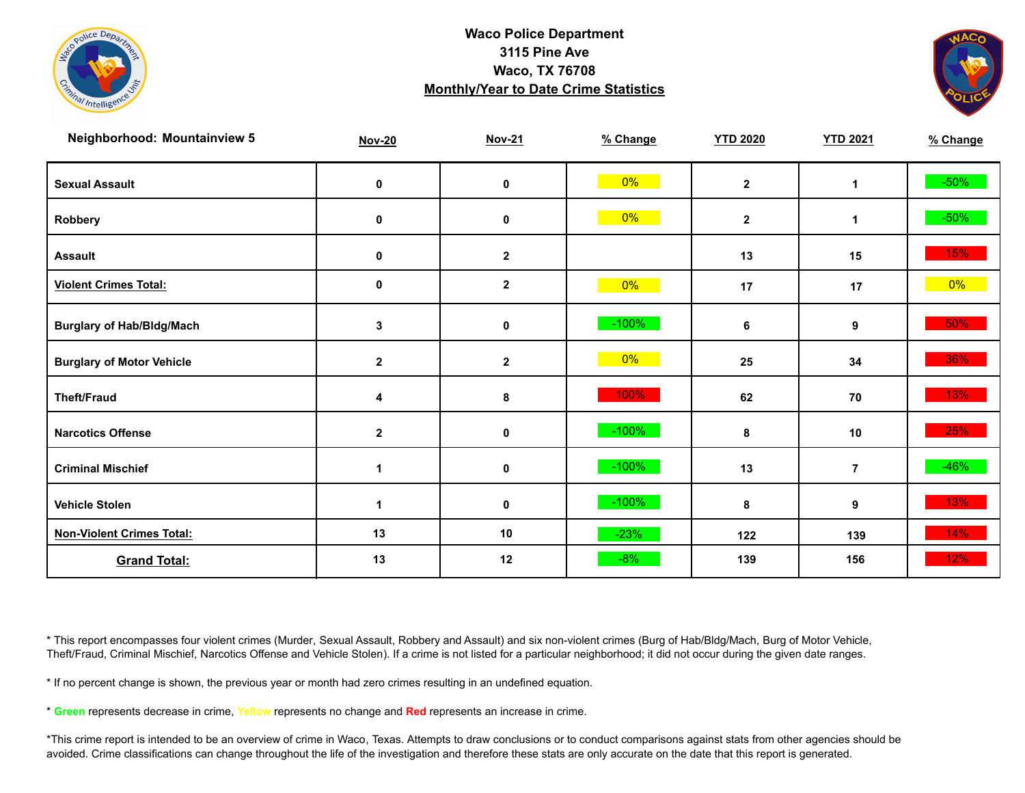



| <b>Neighborhood: Mountainview 5</b> | <b>Nov-20</b>        | <b>Nov-21</b> | % Change | <b>YTD 2020</b> | <b>YTD 2021</b> | % Change |
|-------------------------------------|----------------------|---------------|----------|-----------------|-----------------|----------|
| <b>Sexual Assault</b>               | 0                    | $\pmb{0}$     | $0\%$    | $\mathbf{2}$    | 1               | $-50\%$  |
| Robbery                             | 0                    | 0             | $0\%$    | $\mathbf{2}$    | 1               | $-50\%$  |
| <b>Assault</b>                      | 0                    | $\mathbf{2}$  |          | 13              | 15              | 15%      |
| <b>Violent Crimes Total:</b>        | $\pmb{0}$            | $\mathbf{2}$  | $0\%$    | 17              | 17              | $0\%$    |
| <b>Burglary of Hab/Bldg/Mach</b>    | 3                    | $\pmb{0}$     | $-100\%$ | 6               | 9               | 50%      |
| <b>Burglary of Motor Vehicle</b>    | $\mathbf{2}$         | $\mathbf{2}$  | $0\%$    | 25              | 34              | 36%      |
| <b>Theft/Fraud</b>                  | 4                    | 8             | 100%     | 62              | 70              | 13%      |
| <b>Narcotics Offense</b>            | $\mathbf 2$          | $\pmb{0}$     | $-100%$  | 8               | $10$            | 25%      |
| <b>Criminal Mischief</b>            | $\blacktriangleleft$ | $\pmb{0}$     | $-100%$  | 13              | $\overline{7}$  | $-46%$   |
| <b>Vehicle Stolen</b>               |                      | $\pmb{0}$     | $-100%$  | 8               | 9               | 13%      |
| <b>Non-Violent Crimes Total:</b>    | 13                   | 10            | $-23%$   | 122             | 139             | 14%      |
| <b>Grand Total:</b>                 | 13                   | 12            | $-8%$    | 139             | 156             | 12%      |

\* This report encompasses four violent crimes (Murder, Sexual Assault, Robbery and Assault) and six non-violent crimes (Burg of Hab/Bldg/Mach, Burg of Motor Vehicle, Theft/Fraud, Criminal Mischief, Narcotics Offense and Vehicle Stolen). If a crime is not listed for a particular neighborhood; it did not occur during the given date ranges.

\* If no percent change is shown, the previous year or month had zero crimes resulting in an undefined equation.

\* **Green** represents decrease in crime, **Yellow** represents no change and **Red** represents an increase in crime.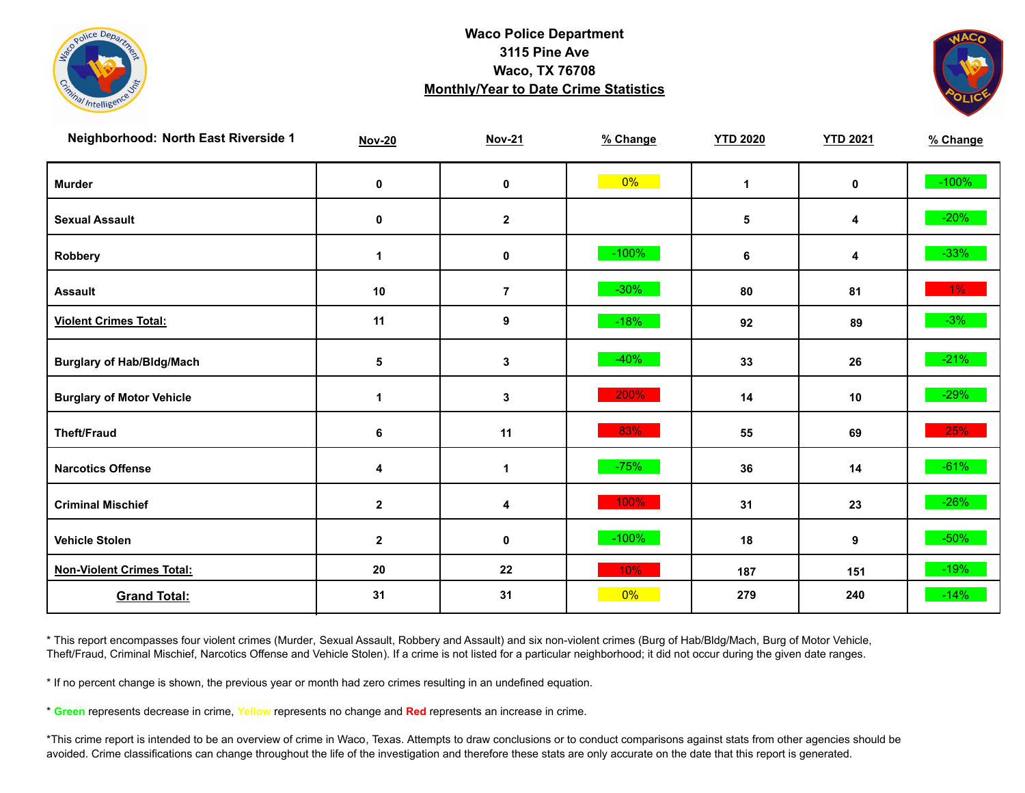



| Neighborhood: North East Riverside 1 | <b>Nov-20</b>    | <b>Nov-21</b>  | % Change | <b>YTD 2020</b> | <b>YTD 2021</b> | % Change |
|--------------------------------------|------------------|----------------|----------|-----------------|-----------------|----------|
| <b>Murder</b>                        | $\pmb{0}$        | 0              | $0\%$    | $\mathbf{1}$    | $\mathbf 0$     | $-100%$  |
| <b>Sexual Assault</b>                | 0                | $\mathbf 2$    |          | $\sqrt{5}$      | 4               | $-20%$   |
| Robbery                              | -1               | 0              | $-100%$  | 6               | 4               | $-33%$   |
| <b>Assault</b>                       | 10               | $\overline{7}$ | $-30%$   | 80              | 81              | $1\%$    |
| <b>Violent Crimes Total:</b>         | 11               | 9              | $-18%$   | 92              | 89              | $-3%$    |
| <b>Burglary of Hab/Bldg/Mach</b>     | 5                | 3              | $-40%$   | 33              | 26              | $-21%$   |
| <b>Burglary of Motor Vehicle</b>     | 1                | 3              | 200%     | 14              | 10              | $-29%$   |
| <b>Theft/Fraud</b>                   | 6                | 11             | 83%      | 55              | 69              | 25%      |
| <b>Narcotics Offense</b>             | 4                | 1              | $-75%$   | 36              | 14              | $-61%$   |
| <b>Criminal Mischief</b>             | $\boldsymbol{2}$ | 4              | 100%     | 31              | 23              | $-26%$   |
| <b>Vehicle Stolen</b>                | $\mathbf 2$      | 0              | $-100%$  | 18              | 9               | $-50\%$  |
| <b>Non-Violent Crimes Total:</b>     | 20               | 22             | 10%      | 187             | 151             | $-19%$   |
| <b>Grand Total:</b>                  | 31               | 31             | 0%       | 279             | 240             | $-14%$   |

\* This report encompasses four violent crimes (Murder, Sexual Assault, Robbery and Assault) and six non-violent crimes (Burg of Hab/Bldg/Mach, Burg of Motor Vehicle, Theft/Fraud, Criminal Mischief, Narcotics Offense and Vehicle Stolen). If a crime is not listed for a particular neighborhood; it did not occur during the given date ranges.

\* If no percent change is shown, the previous year or month had zero crimes resulting in an undefined equation.

\* **Green** represents decrease in crime, **Yellow** represents no change and **Red** represents an increase in crime.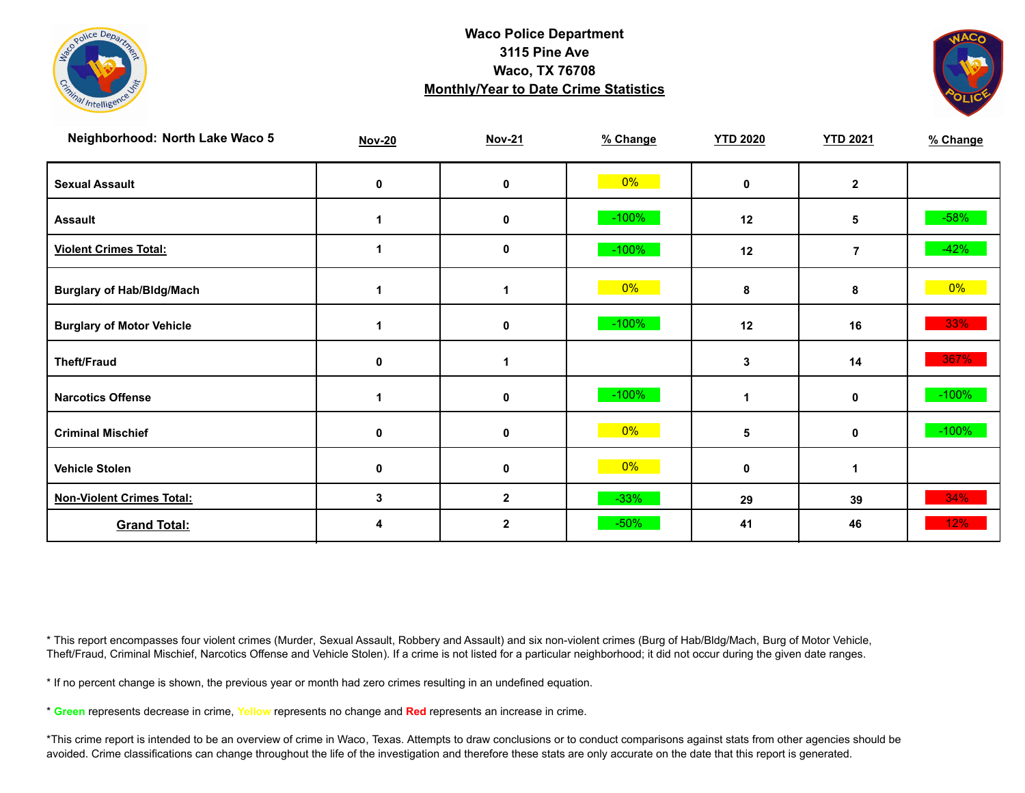



| Neighborhood: North Lake Waco 5  | <b>Nov-20</b> | <b>Nov-21</b> | % Change | <b>YTD 2020</b> | <b>YTD 2021</b> | % Change |
|----------------------------------|---------------|---------------|----------|-----------------|-----------------|----------|
| <b>Sexual Assault</b>            | 0             | 0             | $0\%$    | $\mathbf{0}$    | $\mathbf{2}$    |          |
| <b>Assault</b>                   |               | $\mathbf 0$   | $-100%$  | 12              | 5               | $-58%$   |
| <b>Violent Crimes Total:</b>     |               | 0             | $-100%$  | 12              | $\overline{7}$  | $-42%$   |
| <b>Burglary of Hab/Bldg/Mach</b> |               |               | $0\%$    | 8               | 8               | $0\%$    |
| <b>Burglary of Motor Vehicle</b> |               | 0             | $-100%$  | 12              | 16              | 33%      |
| <b>Theft/Fraud</b>               | 0             |               |          | 3               | 14              | 367%     |
| <b>Narcotics Offense</b>         |               | 0             | $-100%$  |                 | 0               | $-100%$  |
| <b>Criminal Mischief</b>         | 0             | 0             | $0\%$    | 5               | $\mathbf 0$     | $-100%$  |
| <b>Vehicle Stolen</b>            | $\mathbf 0$   | 0             | $0\%$    | 0               | $\mathbf{1}$    |          |
| <b>Non-Violent Crimes Total:</b> | 3             | $\mathbf 2$   | $-33%$   | 29              | 39              | 34%      |
| <b>Grand Total:</b>              |               | $\mathbf{2}$  | $-50%$   | 41              | 46              | 12%      |

\* This report encompasses four violent crimes (Murder, Sexual Assault, Robbery and Assault) and six non-violent crimes (Burg of Hab/Bldg/Mach, Burg of Motor Vehicle, Theft/Fraud, Criminal Mischief, Narcotics Offense and Vehicle Stolen). If a crime is not listed for a particular neighborhood; it did not occur during the given date ranges.

\* If no percent change is shown, the previous year or month had zero crimes resulting in an undefined equation.

\* **Green** represents decrease in crime, **Yellow** represents no change and **Red** represents an increase in crime.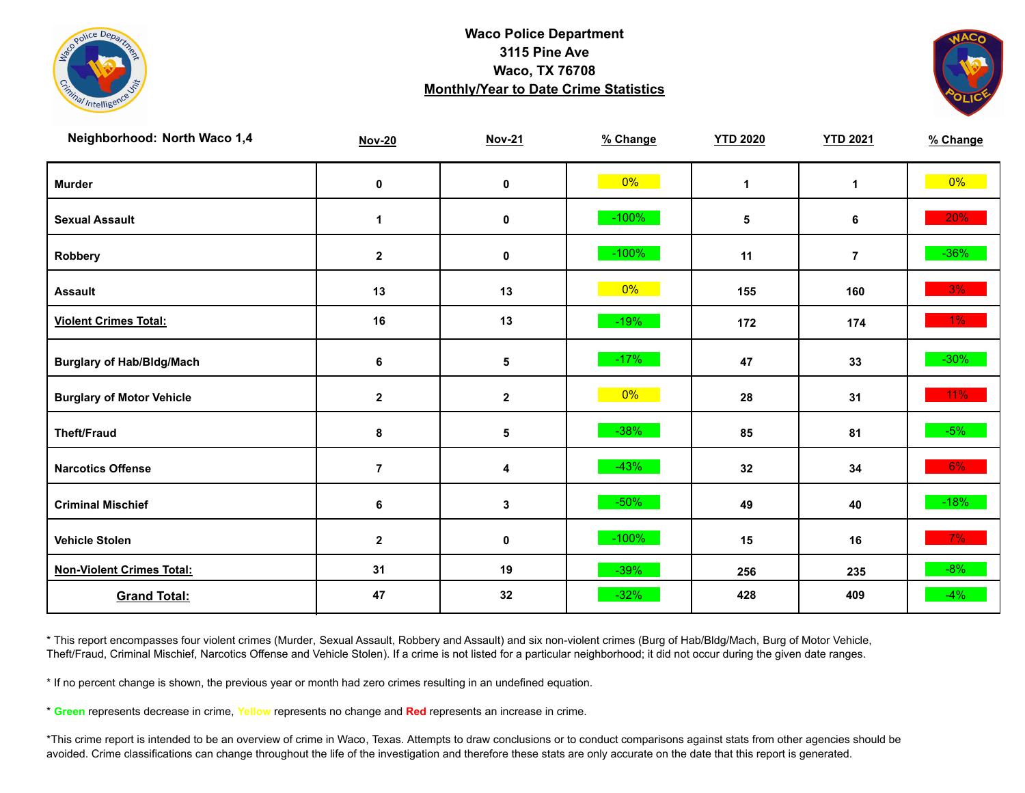



| Neighborhood: North Waco 1,4     | <b>Nov-20</b>  | <b>Nov-21</b> | % Change | <b>YTD 2020</b> | <b>YTD 2021</b> | % Change |
|----------------------------------|----------------|---------------|----------|-----------------|-----------------|----------|
| <b>Murder</b>                    | $\mathbf 0$    | $\pmb{0}$     | $0\%$    | $\mathbf{1}$    | $\mathbf{1}$    | $0\%$    |
| <b>Sexual Assault</b>            | 1              | 0             | $-100%$  | $\sqrt{5}$      | 6               | 20%      |
| Robbery                          | $\mathbf{2}$   | 0             | $-100%$  | 11              | $\overline{7}$  | $-36\%$  |
| <b>Assault</b>                   | 13             | 13            | $0\%$    | 155             | 160             | 3%       |
| <b>Violent Crimes Total:</b>     | 16             | 13            | $-19%$   | 172             | 174             | $1\%$    |
| <b>Burglary of Hab/Bldg/Mach</b> | 6              | 5             | $-17%$   | 47              | 33              | $-30\%$  |
| <b>Burglary of Motor Vehicle</b> | $\mathbf{2}$   | $\mathbf{2}$  | $0\%$    | 28              | 31              | $11\%$   |
| <b>Theft/Fraud</b>               | 8              | 5             | $-38%$   | 85              | 81              | $-5%$    |
| <b>Narcotics Offense</b>         | $\overline{7}$ | 4             | $-43%$   | 32              | 34              | $6\%$    |
| <b>Criminal Mischief</b>         | 6              | $\mathbf 3$   | $-50%$   | 49              | 40              | $-18%$   |
| <b>Vehicle Stolen</b>            | $\mathbf{2}$   | 0             | $-100%$  | 15              | 16              | $7\%$    |
| <b>Non-Violent Crimes Total:</b> | 31             | 19            | $-39%$   | 256             | 235             | $-8%$    |
| <b>Grand Total:</b>              | 47             | 32            | $-32%$   | 428             | 409             | $-4%$    |

\* This report encompasses four violent crimes (Murder, Sexual Assault, Robbery and Assault) and six non-violent crimes (Burg of Hab/Bldg/Mach, Burg of Motor Vehicle, Theft/Fraud, Criminal Mischief, Narcotics Offense and Vehicle Stolen). If a crime is not listed for a particular neighborhood; it did not occur during the given date ranges.

\* If no percent change is shown, the previous year or month had zero crimes resulting in an undefined equation.

\* **Green** represents decrease in crime, **Yellow** represents no change and **Red** represents an increase in crime.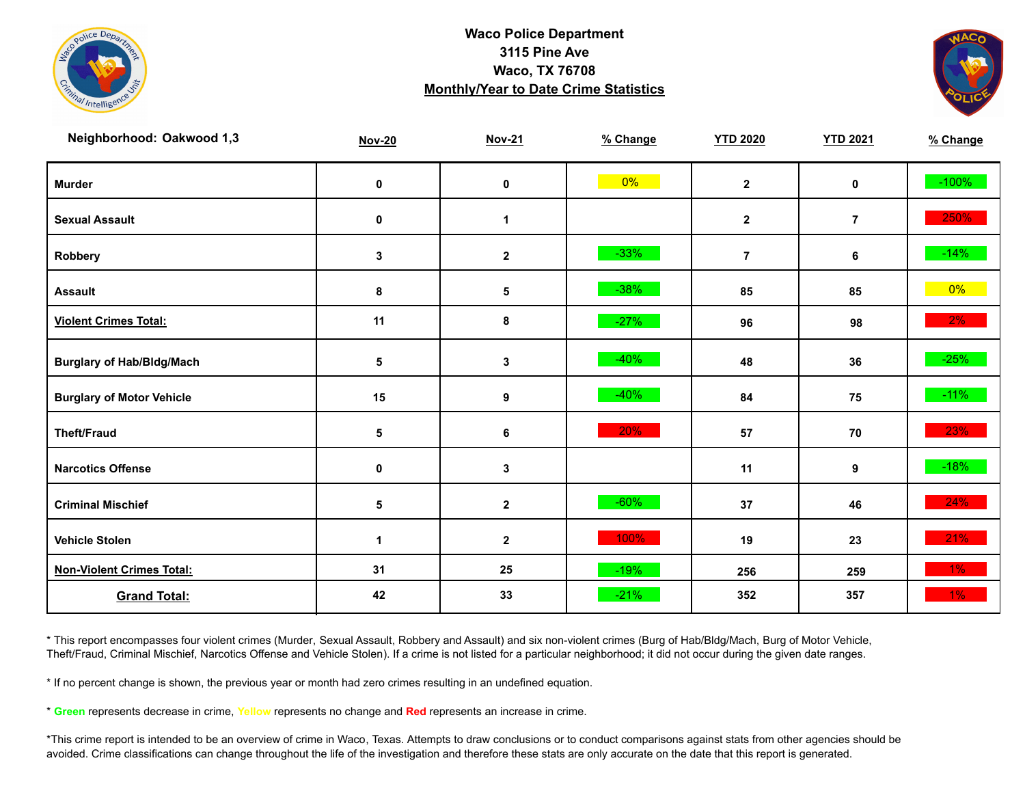



| Neighborhood: Oakwood 1,3        | <b>Nov-20</b> | <b>Nov-21</b> | % Change | <b>YTD 2020</b>         | <b>YTD 2021</b> | % Change |
|----------------------------------|---------------|---------------|----------|-------------------------|-----------------|----------|
| <b>Murder</b>                    | $\pmb{0}$     | $\pmb{0}$     | $0\%$    | $\overline{\mathbf{2}}$ | $\mathbf 0$     | $-100%$  |
| <b>Sexual Assault</b>            | 0             | 1             |          | $\boldsymbol{2}$        | $\overline{7}$  | 250%     |
| Robbery                          | 3             | $\mathbf{2}$  | $-33%$   | $\overline{7}$          | 6               | $-14%$   |
| <b>Assault</b>                   | 8             | $\sqrt{5}$    | $-38%$   | 85                      | 85              | $0\%$    |
| <b>Violent Crimes Total:</b>     | 11            | 8             | $-27%$   | 96                      | 98              | $2\%$    |
| <b>Burglary of Hab/Bldg/Mach</b> | ${\bf 5}$     | $\mathbf 3$   | $-40%$   | 48                      | 36              | $-25%$   |
| <b>Burglary of Motor Vehicle</b> | 15            | 9             | $-40%$   | 84                      | 75              | $-11\%$  |
| <b>Theft/Fraud</b>               | ${\bf 5}$     | 6             | 20%      | 57                      | 70              | 23%      |
| <b>Narcotics Offense</b>         | 0             | $\mathbf 3$   |          | 11                      | 9               | $-18%$   |
| <b>Criminal Mischief</b>         | ${\bf 5}$     | $\mathbf{2}$  | $-60%$   | 37                      | 46              | 24%      |
| <b>Vehicle Stolen</b>            | 1             | $\mathbf 2$   | 100%     | 19                      | 23              | 21%      |
| <b>Non-Violent Crimes Total:</b> | 31            | 25            | $-19%$   | 256                     | 259             | $1\%$    |
| <b>Grand Total:</b>              | 42            | 33            | $-21%$   | 352                     | 357             | 1%       |

\* This report encompasses four violent crimes (Murder, Sexual Assault, Robbery and Assault) and six non-violent crimes (Burg of Hab/Bldg/Mach, Burg of Motor Vehicle, Theft/Fraud, Criminal Mischief, Narcotics Offense and Vehicle Stolen). If a crime is not listed for a particular neighborhood; it did not occur during the given date ranges.

\* If no percent change is shown, the previous year or month had zero crimes resulting in an undefined equation.

\* **Green** represents decrease in crime, **Yellow** represents no change and **Red** represents an increase in crime.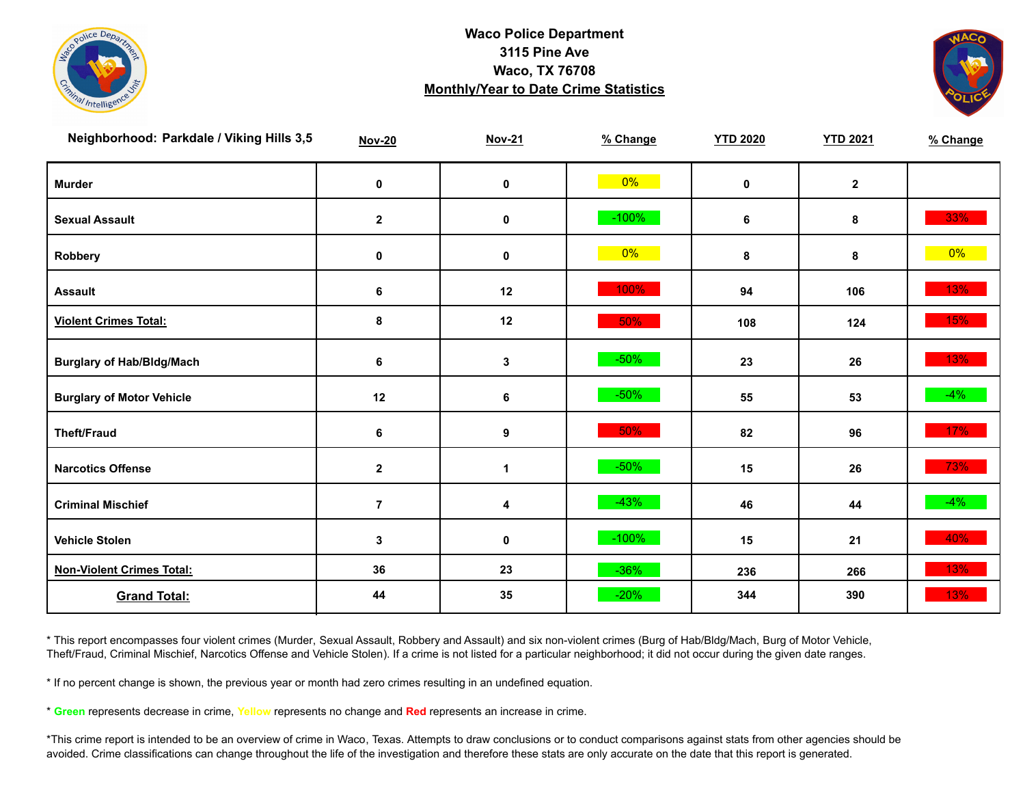



| Neighborhood: Parkdale / Viking Hills 3,5 | <b>Nov-20</b>    | <b>Nov-21</b>    | % Change | <b>YTD 2020</b> | <b>YTD 2021</b> | % Change |
|-------------------------------------------|------------------|------------------|----------|-----------------|-----------------|----------|
| <b>Murder</b>                             | $\pmb{0}$        | $\pmb{0}$        | $0\%$    | $\mathbf 0$     | $\mathbf{2}$    |          |
| <b>Sexual Assault</b>                     | $\mathbf{2}$     | $\pmb{0}$        | $-100\%$ | 6               | 8               | 33%      |
| Robbery                                   | 0                | 0                | $0\%$    | 8               | 8               | $0\%$    |
| <b>Assault</b>                            | 6                | 12               | 100%     | 94              | 106             | 13%      |
| <b>Violent Crimes Total:</b>              | $\pmb{8}$        | 12               | 50%      | 108             | 124             | 15%      |
| <b>Burglary of Hab/Bldg/Mach</b>          | 6                | $\mathbf{3}$     | $-50%$   | 23              | 26              | 13%      |
| <b>Burglary of Motor Vehicle</b>          | 12               | 6                | $-50%$   | 55              | 53              | $-4%$    |
| <b>Theft/Fraud</b>                        | $\bf 6$          | $\boldsymbol{9}$ | 50%      | 82              | 96              | 17%      |
| <b>Narcotics Offense</b>                  | $\boldsymbol{2}$ | 1                | $-50%$   | 15              | 26              | 73%      |
| <b>Criminal Mischief</b>                  | $\overline{7}$   | 4                | $-43%$   | 46              | 44              | $-4\%$   |
| <b>Vehicle Stolen</b>                     | 3                | $\pmb{0}$        | $-100%$  | 15              | 21              | 40%      |
| <b>Non-Violent Crimes Total:</b>          | 36               | 23               | $-36%$   | 236             | 266             | 13%      |
| <b>Grand Total:</b>                       | 44               | 35               | $-20%$   | 344             | 390             | 13%      |

\* This report encompasses four violent crimes (Murder, Sexual Assault, Robbery and Assault) and six non-violent crimes (Burg of Hab/Bldg/Mach, Burg of Motor Vehicle, Theft/Fraud, Criminal Mischief, Narcotics Offense and Vehicle Stolen). If a crime is not listed for a particular neighborhood; it did not occur during the given date ranges.

\* If no percent change is shown, the previous year or month had zero crimes resulting in an undefined equation.

\* **Green** represents decrease in crime, **Yellow** represents no change and **Red** represents an increase in crime.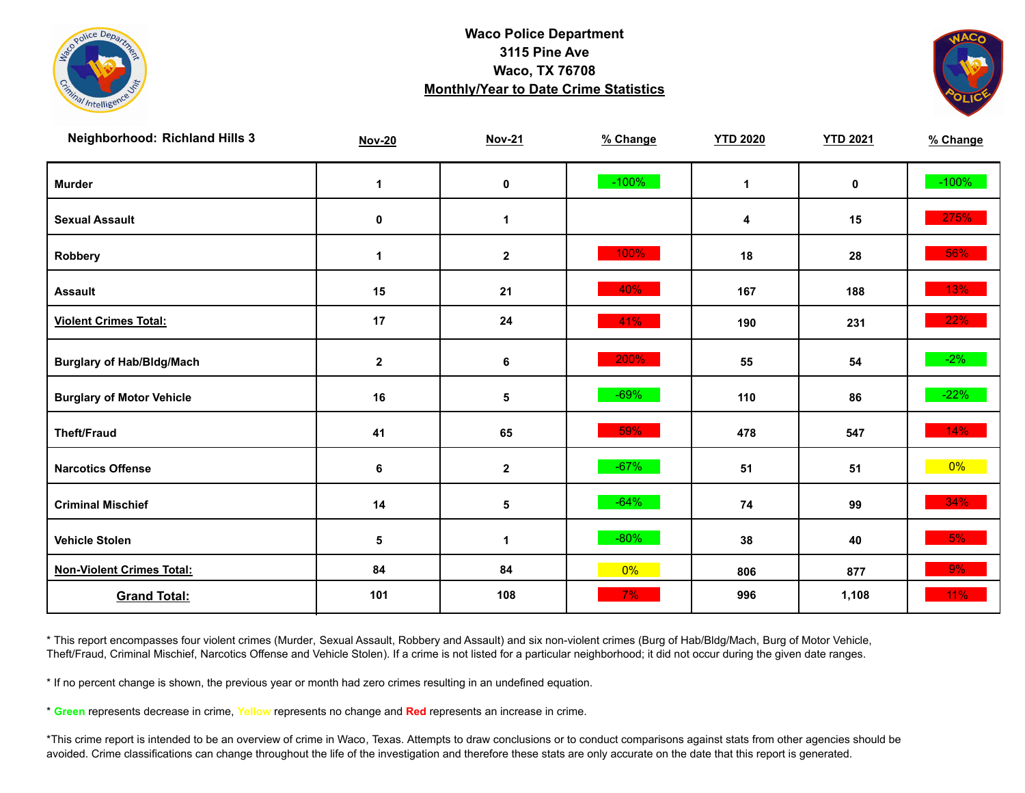



| <b>Neighborhood: Richland Hills 3</b> | <b>Nov-20</b> | <b>Nov-21</b> | % Change | <b>YTD 2020</b> | <b>YTD 2021</b> | % Change |
|---------------------------------------|---------------|---------------|----------|-----------------|-----------------|----------|
| <b>Murder</b>                         | 1             | $\pmb{0}$     | $-100%$  | $\mathbf 1$     | $\mathbf 0$     | $-100%$  |
| <b>Sexual Assault</b>                 | 0             | 1             |          | 4               | 15              | 275%     |
| Robbery                               | 1             | $\mathbf{2}$  | 100%     | 18              | 28              | 56%      |
| <b>Assault</b>                        | 15            | 21            | 40%      | 167             | 188             | 13%      |
| <b>Violent Crimes Total:</b>          | 17            | 24            | 41%      | 190             | 231             | 22%      |
| <b>Burglary of Hab/Bldg/Mach</b>      | $\mathbf{2}$  | 6             | 200%     | 55              | 54              | $-2\%$   |
| <b>Burglary of Motor Vehicle</b>      | 16            | 5             | $-69%$   | 110             | 86              | $-22%$   |
| <b>Theft/Fraud</b>                    | 41            | 65            | 59%      | 478             | 547             | 14%      |
| <b>Narcotics Offense</b>              | 6             | $\mathbf 2$   | $-67%$   | 51              | 51              | $0\%$    |
| <b>Criminal Mischief</b>              | 14            | 5             | $-64%$   | 74              | 99              | 34%      |
| <b>Vehicle Stolen</b>                 | 5             | 1             | $-80%$   | 38              | 40              | 5%       |
| <b>Non-Violent Crimes Total:</b>      | 84            | 84            | 0%       | 806             | 877             | 9%       |
| <b>Grand Total:</b>                   | 101           | 108           | 7%       | 996             | 1,108           | 11%      |

\* This report encompasses four violent crimes (Murder, Sexual Assault, Robbery and Assault) and six non-violent crimes (Burg of Hab/Bldg/Mach, Burg of Motor Vehicle, Theft/Fraud, Criminal Mischief, Narcotics Offense and Vehicle Stolen). If a crime is not listed for a particular neighborhood; it did not occur during the given date ranges.

\* If no percent change is shown, the previous year or month had zero crimes resulting in an undefined equation.

\* **Green** represents decrease in crime, **Yellow** represents no change and **Red** represents an increase in crime.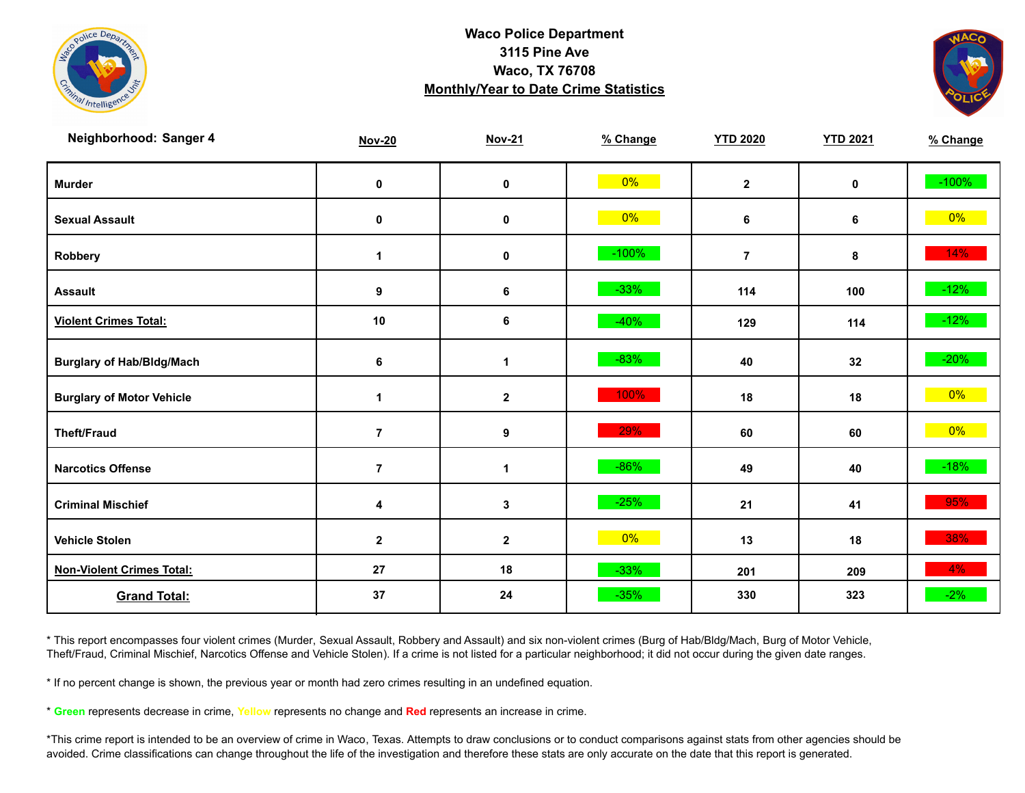



| Neighborhood: Sanger 4           | <b>Nov-20</b>  | <b>Nov-21</b> | % Change | <b>YTD 2020</b> | <b>YTD 2021</b> | % Change |
|----------------------------------|----------------|---------------|----------|-----------------|-----------------|----------|
| <b>Murder</b>                    | $\pmb{0}$      | $\mathbf 0$   | 0%       | $\mathbf{2}$    | 0               | $-100%$  |
| <b>Sexual Assault</b>            | 0              | 0             | $0\%$    | 6               | 6               | $0\%$    |
| Robbery                          | $\mathbf 1$    | 0             | $-100%$  | $\overline{7}$  | 8               | 14%      |
| <b>Assault</b>                   | 9              | 6             | $-33%$   | 114             | 100             | $-12%$   |
| <b>Violent Crimes Total:</b>     | 10             | 6             | $-40%$   | 129             | 114             | $-12%$   |
| <b>Burglary of Hab/Bldg/Mach</b> | 6              | 1             | $-83%$   | 40              | 32              | $-20%$   |
| <b>Burglary of Motor Vehicle</b> | 1              | $\mathbf{2}$  | 100%     | 18              | 18              | $0\%$    |
| <b>Theft/Fraud</b>               | $\overline{7}$ | 9             | 29%      | 60              | 60              | $0\%$    |
| <b>Narcotics Offense</b>         | $\overline{7}$ | $\mathbf 1$   | $-86%$   | 49              | 40              | $-18%$   |
| <b>Criminal Mischief</b>         | 4              | $\mathbf{3}$  | $-25%$   | 21              | 41              | 95%      |
| <b>Vehicle Stolen</b>            | $\mathbf 2$    | $\mathbf{2}$  | $0\%$    | 13              | 18              | 38%      |
| <b>Non-Violent Crimes Total:</b> | 27             | 18            | $-33%$   | 201             | 209             | $4\%$    |
| <b>Grand Total:</b>              | 37             | 24            | $-35%$   | 330             | 323             | $-2%$    |

\* This report encompasses four violent crimes (Murder, Sexual Assault, Robbery and Assault) and six non-violent crimes (Burg of Hab/Bldg/Mach, Burg of Motor Vehicle, Theft/Fraud, Criminal Mischief, Narcotics Offense and Vehicle Stolen). If a crime is not listed for a particular neighborhood; it did not occur during the given date ranges.

\* If no percent change is shown, the previous year or month had zero crimes resulting in an undefined equation.

\* **Green** represents decrease in crime, **Yellow** represents no change and **Red** represents an increase in crime.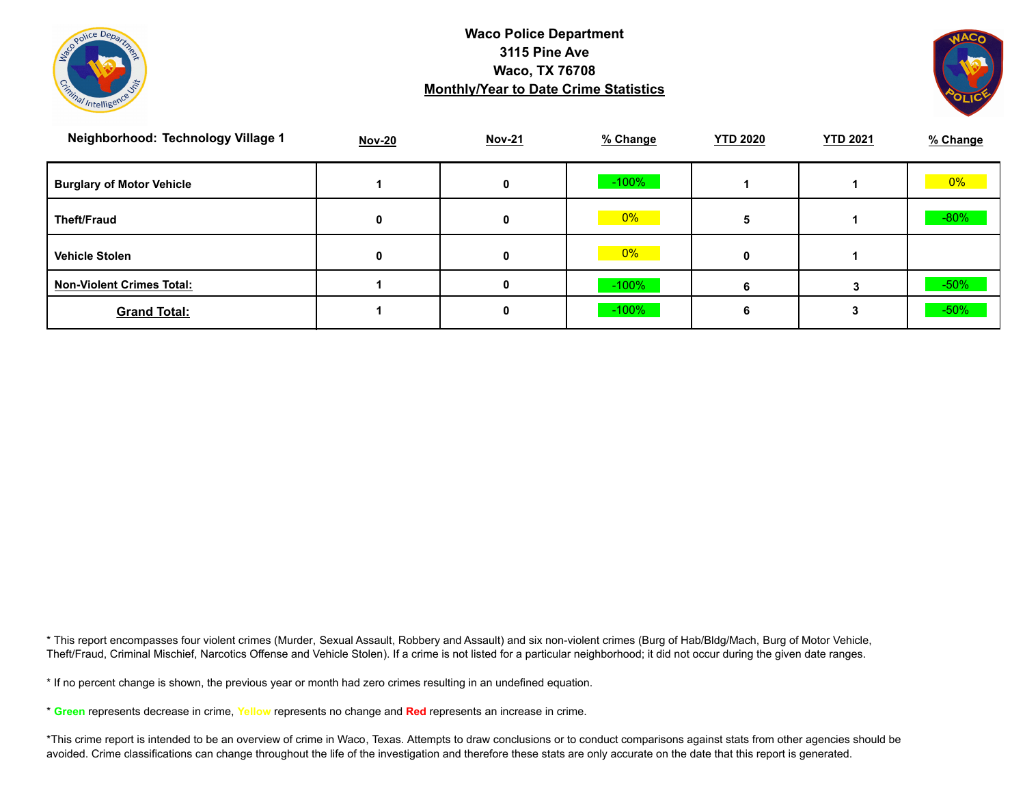



| Neighborhood: Technology Village 1 | <b>Nov-20</b> | <b>Nov-21</b> | % Change | <b>YTD 2020</b> | <b>YTD 2021</b> | % Change |
|------------------------------------|---------------|---------------|----------|-----------------|-----------------|----------|
| <b>Burglary of Motor Vehicle</b>   |               | 0             | $-100\%$ |                 |                 | 0%       |
| <b>Theft/Fraud</b>                 | 0             | 0             | $ 0\% $  |                 |                 | $-80%$   |
| <b>Vehicle Stolen</b>              | 0             | 0             | 0%       |                 |                 |          |
| <b>Non-Violent Crimes Total:</b>   |               |               | $-100\%$ |                 |                 | $-50%$   |
| <b>Grand Total:</b>                |               |               | $-100\%$ |                 |                 | $-50%$   |

\* This report encompasses four violent crimes (Murder, Sexual Assault, Robbery and Assault) and six non-violent crimes (Burg of Hab/Bldg/Mach, Burg of Motor Vehicle, Theft/Fraud, Criminal Mischief, Narcotics Offense and Vehicle Stolen). If a crime is not listed for a particular neighborhood; it did not occur during the given date ranges.

\* If no percent change is shown, the previous year or month had zero crimes resulting in an undefined equation.

\* **Green** represents decrease in crime, **Yellow** represents no change and **Red** represents an increase in crime.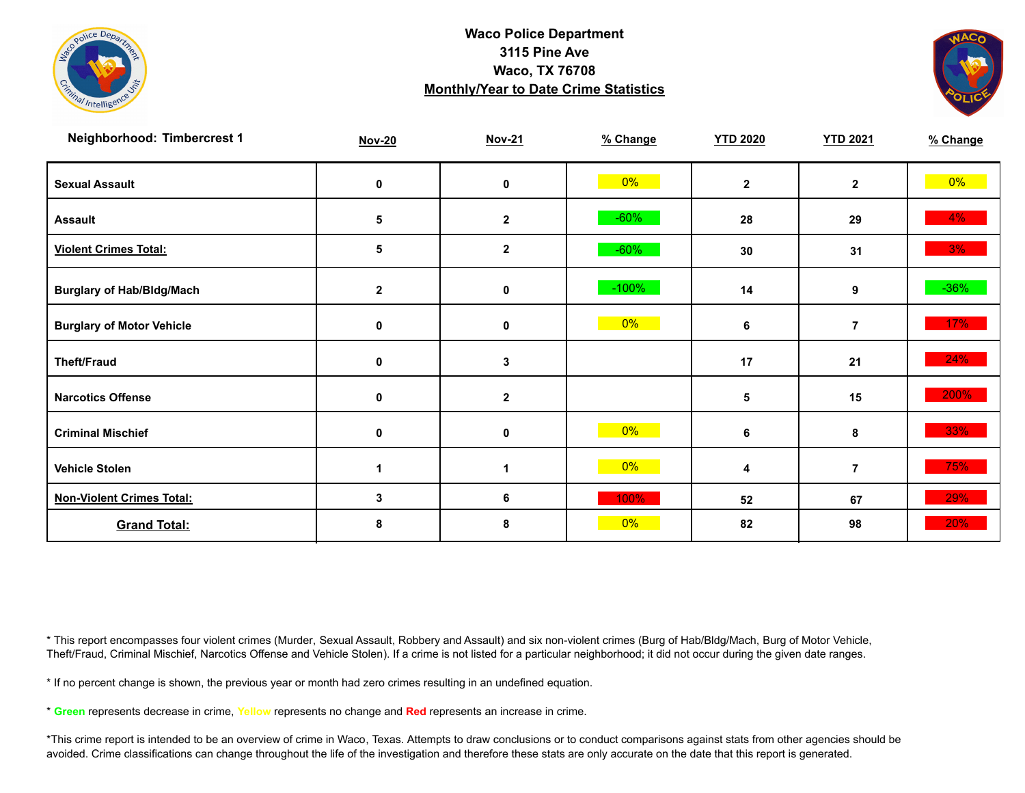



| Neighborhood: Timbercrest 1      | <b>Nov-20</b>   | <b>Nov-21</b> | % Change | <b>YTD 2020</b> | <b>YTD 2021</b> | % Change |
|----------------------------------|-----------------|---------------|----------|-----------------|-----------------|----------|
| <b>Sexual Assault</b>            | 0               | 0             | $0\%$    | $\mathbf{2}$    | $\mathbf{2}$    | $0\%$    |
| <b>Assault</b>                   | 5               | $\mathbf{2}$  | $-60%$   | 28              | 29              | $4\%$    |
| <b>Violent Crimes Total:</b>     | $5\phantom{.0}$ | $\mathbf{2}$  | $-60%$   | 30              | 31              | 3%       |
| <b>Burglary of Hab/Bldg/Mach</b> | $\mathbf{2}$    | 0             | $-100%$  | 14              | 9               | $-36%$   |
| <b>Burglary of Motor Vehicle</b> | 0               | $\mathbf 0$   | $0\%$    | 6               | $\overline{7}$  | 17%      |
| <b>Theft/Fraud</b>               | 0               | 3             |          | 17              | 21              | 24%      |
| <b>Narcotics Offense</b>         | 0               | $\mathbf{2}$  |          | 5               | 15              | 200%     |
| <b>Criminal Mischief</b>         | 0               | $\mathbf 0$   | $0\%$    | 6               | 8               | 33%      |
| <b>Vehicle Stolen</b>            |                 | 1             | $0\%$    | 4               | $\overline{7}$  | 75%      |
| <b>Non-Violent Crimes Total:</b> | 3               | 6             | 100%     | 52              | 67              | 29%      |
| <b>Grand Total:</b>              | 8               | 8             | 0%       | 82              | 98              | 20%      |

\* This report encompasses four violent crimes (Murder, Sexual Assault, Robbery and Assault) and six non-violent crimes (Burg of Hab/Bldg/Mach, Burg of Motor Vehicle, Theft/Fraud, Criminal Mischief, Narcotics Offense and Vehicle Stolen). If a crime is not listed for a particular neighborhood; it did not occur during the given date ranges.

\* If no percent change is shown, the previous year or month had zero crimes resulting in an undefined equation.

\* **Green** represents decrease in crime, **Yellow** represents no change and **Red** represents an increase in crime.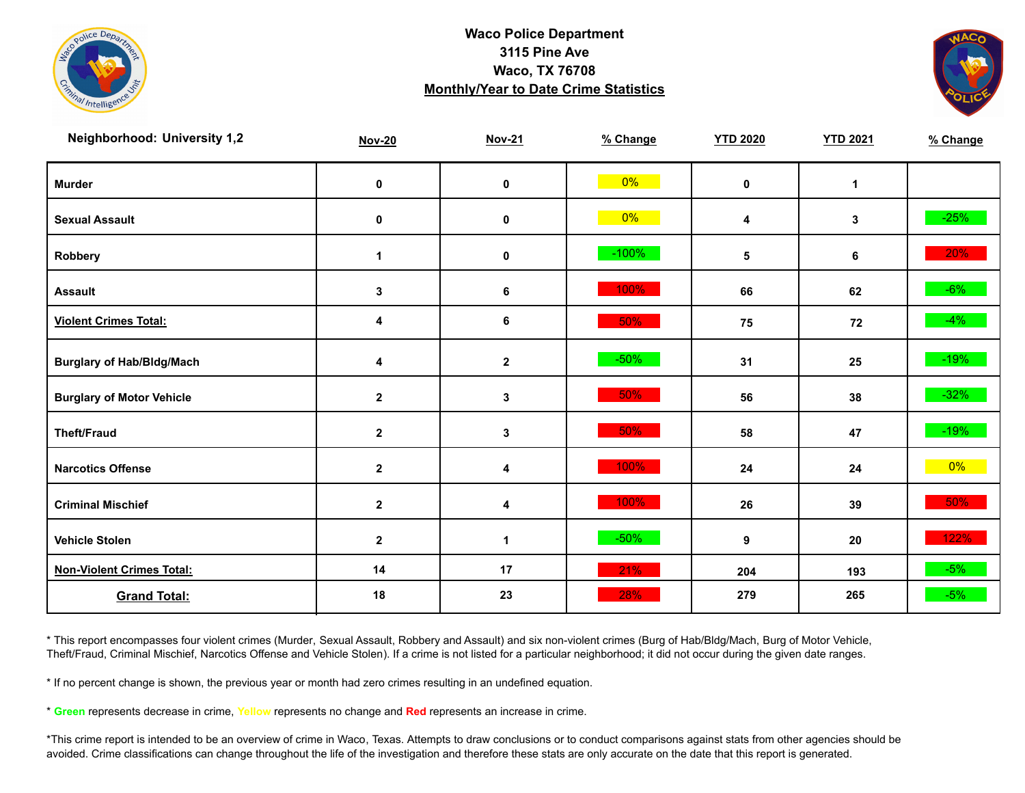



| <b>Neighborhood: University 1,2</b> | <b>Nov-20</b> | <b>Nov-21</b>    | % Change | <b>YTD 2020</b> | <b>YTD 2021</b> | % Change |
|-------------------------------------|---------------|------------------|----------|-----------------|-----------------|----------|
| <b>Murder</b>                       | $\mathbf 0$   | $\pmb{0}$        | $0\%$    | $\mathbf 0$     | $\mathbf{1}$    |          |
| <b>Sexual Assault</b>               | 0             | 0                | $0\%$    | 4               | 3               | $-25%$   |
| Robbery                             | 1             | 0                | $-100%$  | $\sqrt{5}$      | 6               | 20%      |
| <b>Assault</b>                      | $\mathbf{3}$  | 6                | 100%     | 66              | 62              | $-6%$    |
| <b>Violent Crimes Total:</b>        | 4             | 6                | 50%      | 75              | 72              | $-4%$    |
| <b>Burglary of Hab/Bldg/Mach</b>    | 4             | $\boldsymbol{2}$ | $-50%$   | 31              | 25              | $-19\%$  |
| <b>Burglary of Motor Vehicle</b>    | $\mathbf{2}$  | 3                | 50%      | 56              | 38              | $-32%$   |
| <b>Theft/Fraud</b>                  | $\mathbf{2}$  | 3                | 50%      | 58              | 47              | $-19%$   |
| <b>Narcotics Offense</b>            | $\mathbf{2}$  | 4                | 100%     | 24              | 24              | $0\%$    |
| <b>Criminal Mischief</b>            | $\mathbf{2}$  | 4                | 100%     | 26              | 39              | 50%      |
| <b>Vehicle Stolen</b>               | $\mathbf{2}$  | $\mathbf 1$      | $-50%$   | 9               | 20              | 122%     |
| <b>Non-Violent Crimes Total:</b>    | 14            | 17               | 21%      | 204             | 193             | $-5%$    |
| <b>Grand Total:</b>                 | 18            | 23               | 28%      | 279             | 265             | $-5%$    |

\* This report encompasses four violent crimes (Murder, Sexual Assault, Robbery and Assault) and six non-violent crimes (Burg of Hab/Bldg/Mach, Burg of Motor Vehicle, Theft/Fraud, Criminal Mischief, Narcotics Offense and Vehicle Stolen). If a crime is not listed for a particular neighborhood; it did not occur during the given date ranges.

\* If no percent change is shown, the previous year or month had zero crimes resulting in an undefined equation.

\* **Green** represents decrease in crime, **Yellow** represents no change and **Red** represents an increase in crime.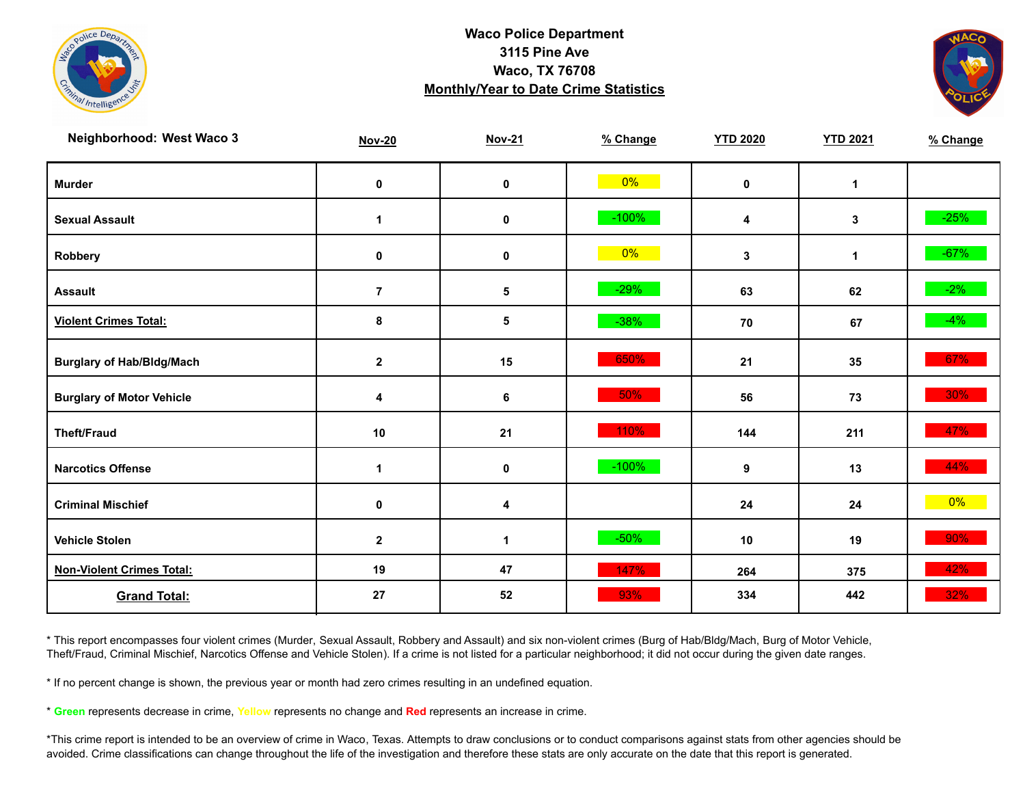



| Neighborhood: West Waco 3        | <b>Nov-20</b>        | <b>Nov-21</b> | % Change | <b>YTD 2020</b> | <b>YTD 2021</b> | % Change |
|----------------------------------|----------------------|---------------|----------|-----------------|-----------------|----------|
| <b>Murder</b>                    | $\mathbf 0$          | $\pmb{0}$     | $0\%$    | $\mathbf 0$     | $\mathbf{1}$    |          |
| <b>Sexual Assault</b>            | 1                    | 0             | $-100%$  | 4               | 3               | $-25%$   |
| Robbery                          | 0                    | 0             | $0\%$    | 3               | $\mathbf{1}$    | $-67%$   |
| <b>Assault</b>                   | $\overline{7}$       | 5             | $-29%$   | 63              | 62              | $-2\%$   |
| <b>Violent Crimes Total:</b>     | 8                    | 5             | $-38%$   | 70              | 67              | $-4%$    |
| <b>Burglary of Hab/Bldg/Mach</b> | $\mathbf{2}$         | 15            | 650%     | 21              | 35              | 67%      |
| <b>Burglary of Motor Vehicle</b> | 4                    | 6             | 50%      | 56              | 73              | 30%      |
| <b>Theft/Fraud</b>               | $10$                 | 21            | 110%     | 144             | 211             | 47%      |
| <b>Narcotics Offense</b>         | $\blacktriangleleft$ | 0             | $-100%$  | 9               | 13              | 44%      |
| <b>Criminal Mischief</b>         | $\mathbf 0$          | 4             |          | 24              | 24              | $0\%$    |
| <b>Vehicle Stolen</b>            | $\mathbf{2}$         | $\mathbf 1$   | $-50%$   | 10              | 19              | 90%      |
| <b>Non-Violent Crimes Total:</b> | 19                   | 47            | 147%     | 264             | 375             | 42%      |
| <b>Grand Total:</b>              | 27                   | 52            | 93%      | 334             | 442             | 32%      |

\* This report encompasses four violent crimes (Murder, Sexual Assault, Robbery and Assault) and six non-violent crimes (Burg of Hab/Bldg/Mach, Burg of Motor Vehicle, Theft/Fraud, Criminal Mischief, Narcotics Offense and Vehicle Stolen). If a crime is not listed for a particular neighborhood; it did not occur during the given date ranges.

\* If no percent change is shown, the previous year or month had zero crimes resulting in an undefined equation.

\* **Green** represents decrease in crime, **Yellow** represents no change and **Red** represents an increase in crime.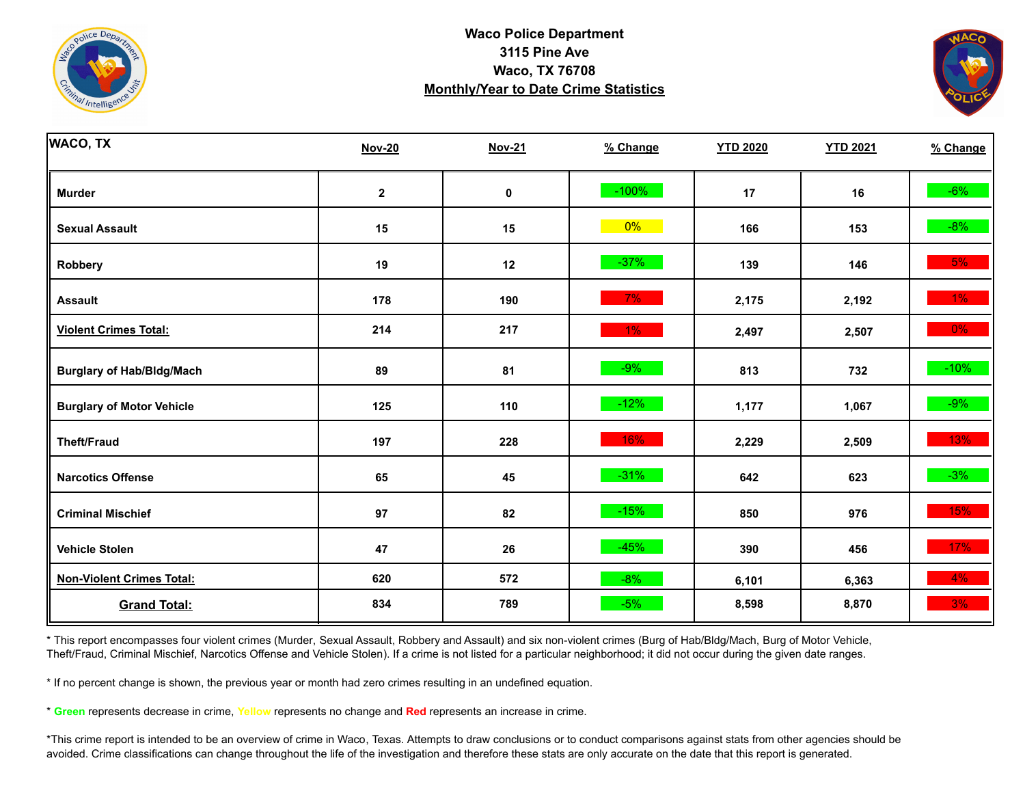



| <b>WACO, TX</b>                  | <b>Nov-20</b> | <b>Nov-21</b> | % Change | <b>YTD 2020</b> | <b>YTD 2021</b> | % Change |
|----------------------------------|---------------|---------------|----------|-----------------|-----------------|----------|
| <b>Murder</b>                    | $\mathbf 2$   | $\pmb{0}$     | $-100%$  | 17              | 16              | $-6%$    |
| <b>Sexual Assault</b>            | 15            | 15            | $0\%$    | 166             | 153             | $-8%$    |
| Robbery                          | 19            | 12            | $-37%$   | 139             | 146             | 5%       |
| <b>Assault</b>                   | 178           | 190           | 7%       | 2,175           | 2,192           | $1\%$    |
| <b>Violent Crimes Total:</b>     | 214           | 217           | $1\%$    | 2,497           | 2,507           | $0\%$    |
| <b>Burglary of Hab/Bldg/Mach</b> | 89            | 81            | $-9%$    | 813             | 732             | $-10%$   |
| <b>Burglary of Motor Vehicle</b> | 125           | 110           | $-12%$   | 1,177           | 1,067           | $-9%$    |
| <b>Theft/Fraud</b>               | 197           | 228           | 16%      | 2,229           | 2,509           | 13%      |
| <b>Narcotics Offense</b>         | 65            | 45            | $-31%$   | 642             | 623             | $-3%$    |
| <b>Criminal Mischief</b>         | 97            | 82            | $-15%$   | 850             | 976             | 15%      |
| <b>Vehicle Stolen</b>            | 47            | 26            | $-45%$   | 390             | 456             | 17%      |
| <b>Non-Violent Crimes Total:</b> | 620           | 572           | $-8%$    | 6,101           | 6,363           | 4%       |
| <b>Grand Total:</b>              | 834           | 789           | $-5%$    | 8,598           | 8,870           | 3%       |

\* This report encompasses four violent crimes (Murder, Sexual Assault, Robbery and Assault) and six non-violent crimes (Burg of Hab/Bldg/Mach, Burg of Motor Vehicle, Theft/Fraud, Criminal Mischief, Narcotics Offense and Vehicle Stolen). If a crime is not listed for a particular neighborhood; it did not occur during the given date ranges.

\* If no percent change is shown, the previous year or month had zero crimes resulting in an undefined equation.

\* **Green** represents decrease in crime, **Yellow** represents no change and **Red** represents an increase in crime.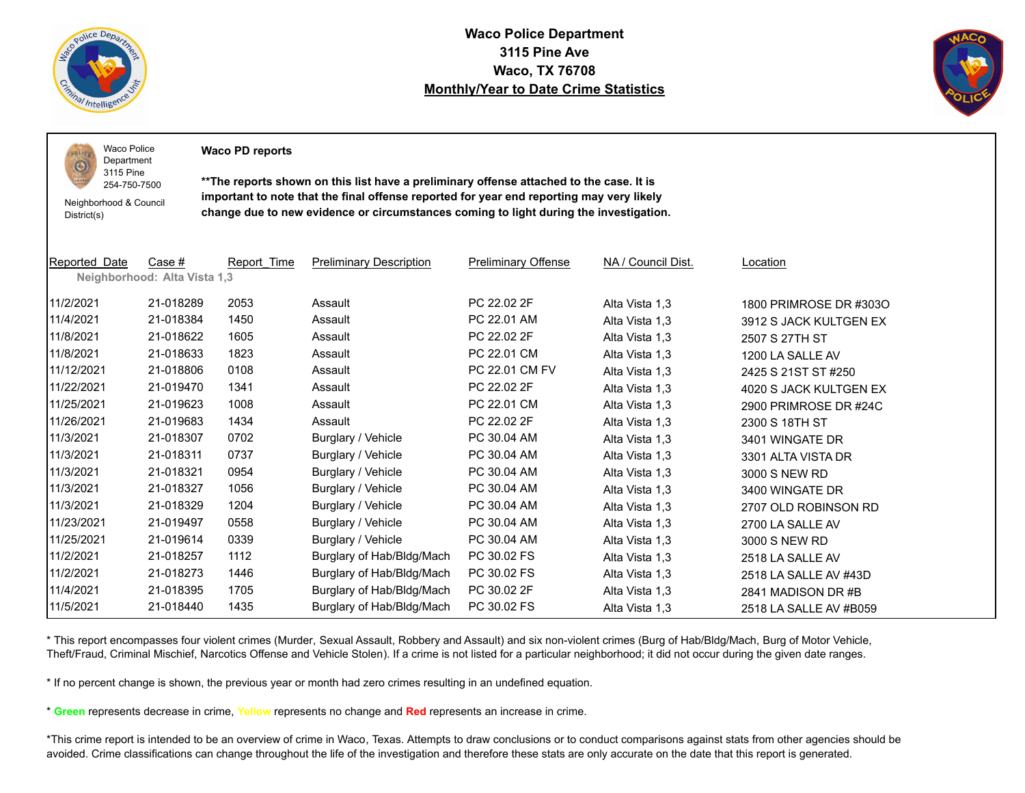

 $PQLI$ O

**Waco Police Department 3115 Pine Ave Waco, TX 76708 Monthly/Year to Date Crime Statistics**



Waco Police Department

**Waco PD reports**

254-750-7500 Neighborhood & Council District(s)

3115 Pine

**\*\*The reports shown on this list have a preliminary offense attached to the case. It is important to note that the final offense reported for year end reporting may very likely change due to new evidence or circumstances coming to light during the investigation.**

| Reported Date | Case #                       | Report Time | <b>Preliminary Description</b> | <b>Preliminary Offense</b> | NA / Council Dist. | Location               |
|---------------|------------------------------|-------------|--------------------------------|----------------------------|--------------------|------------------------|
|               | Neighborhood: Alta Vista 1,3 |             |                                |                            |                    |                        |
| 11/2/2021     | 21-018289                    | 2053        | Assault                        | PC 22.02 2F                | Alta Vista 1,3     | 1800 PRIMROSE DR #3030 |
| 11/4/2021     | 21-018384                    | 1450        | Assault                        | PC 22.01 AM                | Alta Vista 1,3     | 3912 S JACK KULTGEN EX |
| 11/8/2021     | 21-018622                    | 1605        | Assault                        | PC 22.02 2F                | Alta Vista 1,3     | 2507 S 27TH ST         |
| 11/8/2021     | 21-018633                    | 1823        | Assault                        | PC 22.01 CM                | Alta Vista 1,3     | 1200 LA SALLE AV       |
| 11/12/2021    | 21-018806                    | 0108        | Assault                        | PC 22.01 CM FV             | Alta Vista 1,3     | 2425 S 21ST ST #250    |
| 11/22/2021    | 21-019470                    | 1341        | Assault                        | PC 22.02 2F                | Alta Vista 1,3     | 4020 S JACK KULTGEN EX |
| 11/25/2021    | 21-019623                    | 1008        | Assault                        | PC 22.01 CM                | Alta Vista 1,3     | 2900 PRIMROSE DR #24C  |
| 11/26/2021    | 21-019683                    | 1434        | Assault                        | PC 22.02 2F                | Alta Vista 1,3     | 2300 S 18TH ST         |
| 11/3/2021     | 21-018307                    | 0702        | Burglary / Vehicle             | PC 30.04 AM                | Alta Vista 1,3     | 3401 WINGATE DR        |
| 11/3/2021     | 21-018311                    | 0737        | Burglary / Vehicle             | PC 30.04 AM                | Alta Vista 1,3     | 3301 ALTA VISTA DR     |
| 11/3/2021     | 21-018321                    | 0954        | Burglary / Vehicle             | PC 30.04 AM                | Alta Vista 1,3     | 3000 S NEW RD          |
| 11/3/2021     | 21-018327                    | 1056        | Burglary / Vehicle             | PC 30.04 AM                | Alta Vista 1,3     | 3400 WINGATE DR        |
| 11/3/2021     | 21-018329                    | 1204        | Burglary / Vehicle             | PC 30.04 AM                | Alta Vista 1,3     | 2707 OLD ROBINSON RD   |
| 11/23/2021    | 21-019497                    | 0558        | Burglary / Vehicle             | PC 30.04 AM                | Alta Vista 1,3     | 2700 LA SALLE AV       |
| 11/25/2021    | 21-019614                    | 0339        | Burglary / Vehicle             | PC 30.04 AM                | Alta Vista 1,3     | 3000 S NEW RD          |
| 11/2/2021     | 21-018257                    | 1112        | Burglary of Hab/Bldg/Mach      | PC 30.02 FS                | Alta Vista 1,3     | 2518 LA SALLE AV       |
| 11/2/2021     | 21-018273                    | 1446        | Burglary of Hab/Bldg/Mach      | PC 30.02 FS                | Alta Vista 1,3     | 2518 LA SALLE AV #43D  |
| 11/4/2021     | 21-018395                    | 1705        | Burglary of Hab/Bldg/Mach      | PC 30.02 2F                | Alta Vista 1,3     | 2841 MADISON DR #B     |
| 11/5/2021     | 21-018440                    | 1435        | Burglary of Hab/Bldg/Mach      | PC 30.02 FS                | Alta Vista 1,3     | 2518 LA SALLE AV #B059 |

\* This report encompasses four violent crimes (Murder, Sexual Assault, Robbery and Assault) and six non-violent crimes (Burg of Hab/Bldg/Mach, Burg of Motor Vehicle, Theft/Fraud, Criminal Mischief, Narcotics Offense and Vehicle Stolen). If a crime is not listed for a particular neighborhood; it did not occur during the given date ranges.

\* If no percent change is shown, the previous year or month had zero crimes resulting in an undefined equation.

\* **Green** represents decrease in crime, **Yellow** represents no change and **Red** represents an increase in crime.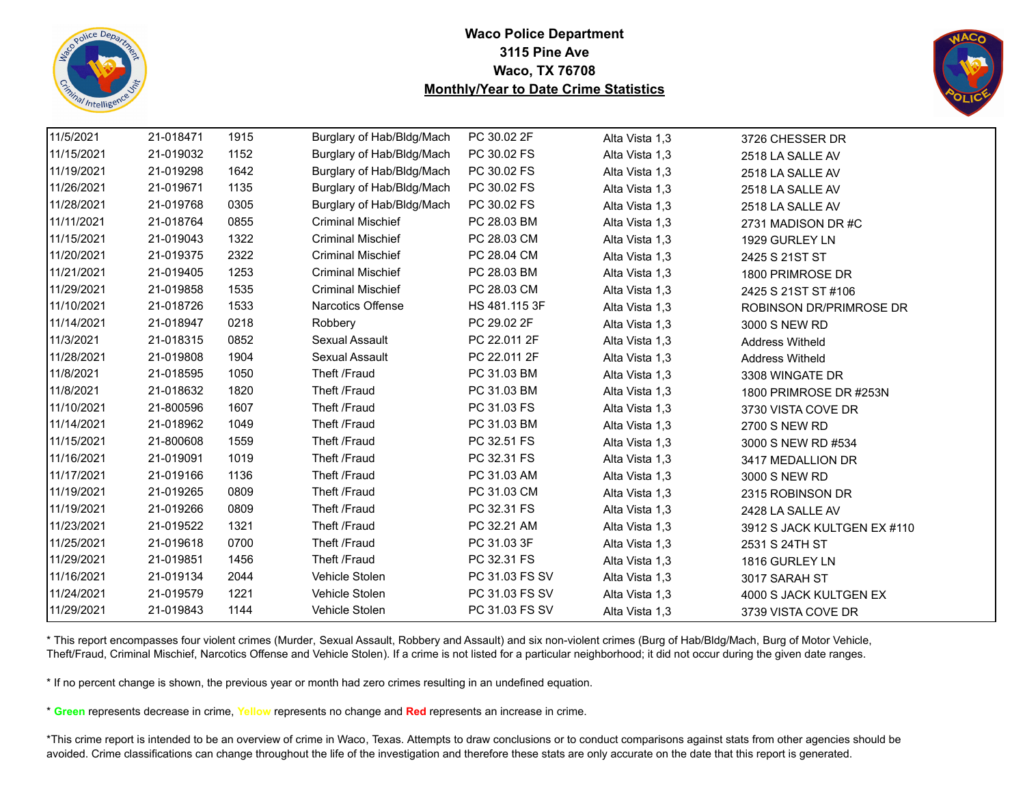



| 11/5/2021  | 21-018471 | 1915 | Burglary of Hab/Bldg/Mach | PC 30.02 2F    | Alta Vista 1,3 | 3726 CHESSER DR             |
|------------|-----------|------|---------------------------|----------------|----------------|-----------------------------|
| 11/15/2021 | 21-019032 | 1152 | Burglary of Hab/Bldg/Mach | PC 30.02 FS    | Alta Vista 1,3 | 2518 LA SALLE AV            |
| 11/19/2021 | 21-019298 | 1642 | Burglary of Hab/Bldg/Mach | PC 30.02 FS    | Alta Vista 1,3 | 2518 LA SALLE AV            |
| 11/26/2021 | 21-019671 | 1135 | Burglary of Hab/Bldg/Mach | PC 30.02 FS    | Alta Vista 1,3 | 2518 LA SALLE AV            |
| 11/28/2021 | 21-019768 | 0305 | Burglary of Hab/Bldg/Mach | PC 30.02 FS    | Alta Vista 1,3 | 2518 LA SALLE AV            |
| 11/11/2021 | 21-018764 | 0855 | <b>Criminal Mischief</b>  | PC 28.03 BM    | Alta Vista 1,3 | 2731 MADISON DR#C           |
| 11/15/2021 | 21-019043 | 1322 | <b>Criminal Mischief</b>  | PC 28.03 CM    | Alta Vista 1,3 | 1929 GURLEY LN              |
| 11/20/2021 | 21-019375 | 2322 | <b>Criminal Mischief</b>  | PC 28.04 CM    | Alta Vista 1,3 | 2425 S 21ST ST              |
| 11/21/2021 | 21-019405 | 1253 | <b>Criminal Mischief</b>  | PC 28.03 BM    | Alta Vista 1,3 | 1800 PRIMROSE DR            |
| 11/29/2021 | 21-019858 | 1535 | <b>Criminal Mischief</b>  | PC 28.03 CM    | Alta Vista 1,3 | 2425 S 21ST ST #106         |
| 11/10/2021 | 21-018726 | 1533 | Narcotics Offense         | HS 481.115 3F  | Alta Vista 1,3 | ROBINSON DR/PRIMROSE DR     |
| 11/14/2021 | 21-018947 | 0218 | Robbery                   | PC 29.02 2F    | Alta Vista 1,3 | 3000 S NEW RD               |
| 11/3/2021  | 21-018315 | 0852 | Sexual Assault            | PC 22.011 2F   | Alta Vista 1,3 | <b>Address Witheld</b>      |
| 11/28/2021 | 21-019808 | 1904 | Sexual Assault            | PC 22.011 2F   | Alta Vista 1,3 | <b>Address Witheld</b>      |
| 11/8/2021  | 21-018595 | 1050 | Theft /Fraud              | PC 31.03 BM    | Alta Vista 1,3 | 3308 WINGATE DR             |
| 11/8/2021  | 21-018632 | 1820 | Theft /Fraud              | PC 31.03 BM    | Alta Vista 1,3 | 1800 PRIMROSE DR #253N      |
| 11/10/2021 | 21-800596 | 1607 | Theft /Fraud              | PC 31.03 FS    | Alta Vista 1,3 | 3730 VISTA COVE DR          |
| 11/14/2021 | 21-018962 | 1049 | Theft /Fraud              | PC 31.03 BM    | Alta Vista 1,3 | 2700 S NEW RD               |
| 11/15/2021 | 21-800608 | 1559 | Theft /Fraud              | PC 32.51 FS    | Alta Vista 1,3 | 3000 S NEW RD #534          |
| 11/16/2021 | 21-019091 | 1019 | Theft /Fraud              | PC 32.31 FS    | Alta Vista 1,3 | 3417 MEDALLION DR           |
| 11/17/2021 | 21-019166 | 1136 | Theft /Fraud              | PC 31.03 AM    | Alta Vista 1,3 | 3000 S NEW RD               |
| 11/19/2021 | 21-019265 | 0809 | Theft /Fraud              | PC 31.03 CM    | Alta Vista 1,3 | 2315 ROBINSON DR            |
| 11/19/2021 | 21-019266 | 0809 | Theft /Fraud              | PC 32.31 FS    | Alta Vista 1,3 | 2428 LA SALLE AV            |
| 11/23/2021 | 21-019522 | 1321 | Theft /Fraud              | PC 32.21 AM    | Alta Vista 1,3 | 3912 S JACK KULTGEN EX #110 |
| 11/25/2021 | 21-019618 | 0700 | Theft /Fraud              | PC 31.03 3F    | Alta Vista 1,3 | 2531 S 24TH ST              |
| 11/29/2021 | 21-019851 | 1456 | Theft /Fraud              | PC 32.31 FS    | Alta Vista 1,3 | 1816 GURLEY LN              |
| 11/16/2021 | 21-019134 | 2044 | Vehicle Stolen            | PC 31.03 FS SV | Alta Vista 1,3 | 3017 SARAH ST               |
| 11/24/2021 | 21-019579 | 1221 | Vehicle Stolen            | PC 31.03 FS SV | Alta Vista 1,3 | 4000 S JACK KULTGEN EX      |
| 11/29/2021 | 21-019843 | 1144 | Vehicle Stolen            | PC 31.03 FS SV | Alta Vista 1,3 | 3739 VISTA COVE DR          |

\* This report encompasses four violent crimes (Murder, Sexual Assault, Robbery and Assault) and six non-violent crimes (Burg of Hab/Bldg/Mach, Burg of Motor Vehicle, Theft/Fraud, Criminal Mischief, Narcotics Offense and Vehicle Stolen). If a crime is not listed for a particular neighborhood; it did not occur during the given date ranges.

\* If no percent change is shown, the previous year or month had zero crimes resulting in an undefined equation.

\* **Green** represents decrease in crime, **Yellow** represents no change and **Red** represents an increase in crime.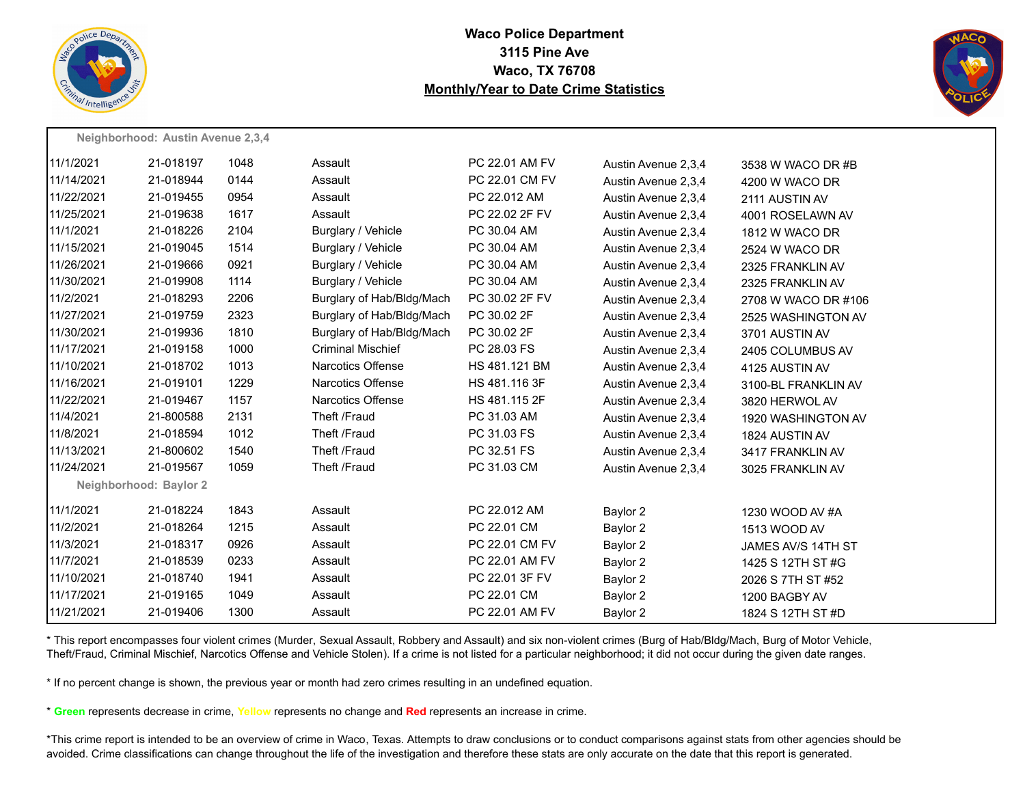



|            | Neighborhood: Austin Avenue 2,3,4 |      |                           |                |                     |                     |
|------------|-----------------------------------|------|---------------------------|----------------|---------------------|---------------------|
| 11/1/2021  | 21-018197                         | 1048 | Assault                   | PC 22.01 AM FV | Austin Avenue 2,3,4 | 3538 W WACO DR #B   |
| 11/14/2021 | 21-018944                         | 0144 | Assault                   | PC 22.01 CM FV | Austin Avenue 2,3,4 | 4200 W WACO DR      |
| 11/22/2021 | 21-019455                         | 0954 | Assault                   | PC 22.012 AM   | Austin Avenue 2,3,4 | 2111 AUSTIN AV      |
| 11/25/2021 | 21-019638                         | 1617 | Assault                   | PC 22.02 2F FV | Austin Avenue 2,3,4 | 4001 ROSELAWN AV    |
| 11/1/2021  | 21-018226                         | 2104 | Burglary / Vehicle        | PC 30.04 AM    | Austin Avenue 2,3,4 | 1812 W WACO DR      |
| 11/15/2021 | 21-019045                         | 1514 | Burglary / Vehicle        | PC 30.04 AM    | Austin Avenue 2,3,4 | 2524 W WACO DR      |
| 11/26/2021 | 21-019666                         | 0921 | Burglary / Vehicle        | PC 30.04 AM    | Austin Avenue 2,3,4 | 2325 FRANKLIN AV    |
| 11/30/2021 | 21-019908                         | 1114 | Burglary / Vehicle        | PC 30.04 AM    | Austin Avenue 2.3.4 | 2325 FRANKLIN AV    |
| 11/2/2021  | 21-018293                         | 2206 | Burglary of Hab/Bldg/Mach | PC 30.02 2F FV | Austin Avenue 2,3,4 | 2708 W WACO DR #106 |
| 11/27/2021 | 21-019759                         | 2323 | Burglary of Hab/Bldg/Mach | PC 30.02 2F    | Austin Avenue 2,3,4 | 2525 WASHINGTON AV  |
| 11/30/2021 | 21-019936                         | 1810 | Burglary of Hab/Bldg/Mach | PC 30.02 2F    | Austin Avenue 2,3,4 | 3701 AUSTIN AV      |
| 11/17/2021 | 21-019158                         | 1000 | <b>Criminal Mischief</b>  | PC 28.03 FS    | Austin Avenue 2,3,4 | 2405 COLUMBUS AV    |
| 11/10/2021 | 21-018702                         | 1013 | <b>Narcotics Offense</b>  | HS 481.121 BM  | Austin Avenue 2,3,4 | 4125 AUSTIN AV      |
| 11/16/2021 | 21-019101                         | 1229 | <b>Narcotics Offense</b>  | HS 481.116 3F  | Austin Avenue 2,3,4 | 3100-BL FRANKLIN AV |
| 11/22/2021 | 21-019467                         | 1157 | <b>Narcotics Offense</b>  | HS 481.115 2F  | Austin Avenue 2,3,4 | 3820 HERWOL AV      |
| 11/4/2021  | 21-800588                         | 2131 | Theft /Fraud              | PC 31.03 AM    | Austin Avenue 2,3,4 | 1920 WASHINGTON AV  |
| 11/8/2021  | 21-018594                         | 1012 | Theft /Fraud              | PC 31.03 FS    | Austin Avenue 2,3,4 | 1824 AUSTIN AV      |
| 11/13/2021 | 21-800602                         | 1540 | Theft /Fraud              | PC 32.51 FS    | Austin Avenue 2,3,4 | 3417 FRANKLIN AV    |
| 11/24/2021 | 21-019567                         | 1059 | Theft /Fraud              | PC 31.03 CM    | Austin Avenue 2,3,4 | 3025 FRANKLIN AV    |
|            | Neighborhood: Baylor 2            |      |                           |                |                     |                     |
| 11/1/2021  | 21-018224                         | 1843 | Assault                   | PC 22.012 AM   | Baylor 2            | 1230 WOOD AV #A     |
| 11/2/2021  | 21-018264                         | 1215 | Assault                   | PC 22.01 CM    | Baylor 2            | 1513 WOOD AV        |
| 11/3/2021  | 21-018317                         | 0926 | Assault                   | PC 22.01 CM FV | Baylor 2            | JAMES AV/S 14TH ST  |
| 11/7/2021  | 21-018539                         | 0233 | Assault                   | PC 22.01 AM FV | Baylor 2            | 1425 S 12TH ST #G   |
| 11/10/2021 | 21-018740                         | 1941 | Assault                   | PC 22.01 3F FV | Baylor 2            | 2026 S 7TH ST #52   |
| 11/17/2021 | 21-019165                         | 1049 | Assault                   | PC 22.01 CM    | Baylor 2            | 1200 BAGBY AV       |
| 11/21/2021 | 21-019406                         | 1300 | Assault                   | PC 22.01 AM FV | Baylor 2            | 1824 S 12TH ST #D   |

\* This report encompasses four violent crimes (Murder, Sexual Assault, Robbery and Assault) and six non-violent crimes (Burg of Hab/Bldg/Mach, Burg of Motor Vehicle, Theft/Fraud, Criminal Mischief, Narcotics Offense and Vehicle Stolen). If a crime is not listed for a particular neighborhood; it did not occur during the given date ranges.

\* If no percent change is shown, the previous year or month had zero crimes resulting in an undefined equation.

\* **Green** represents decrease in crime, **Yellow** represents no change and **Red** represents an increase in crime.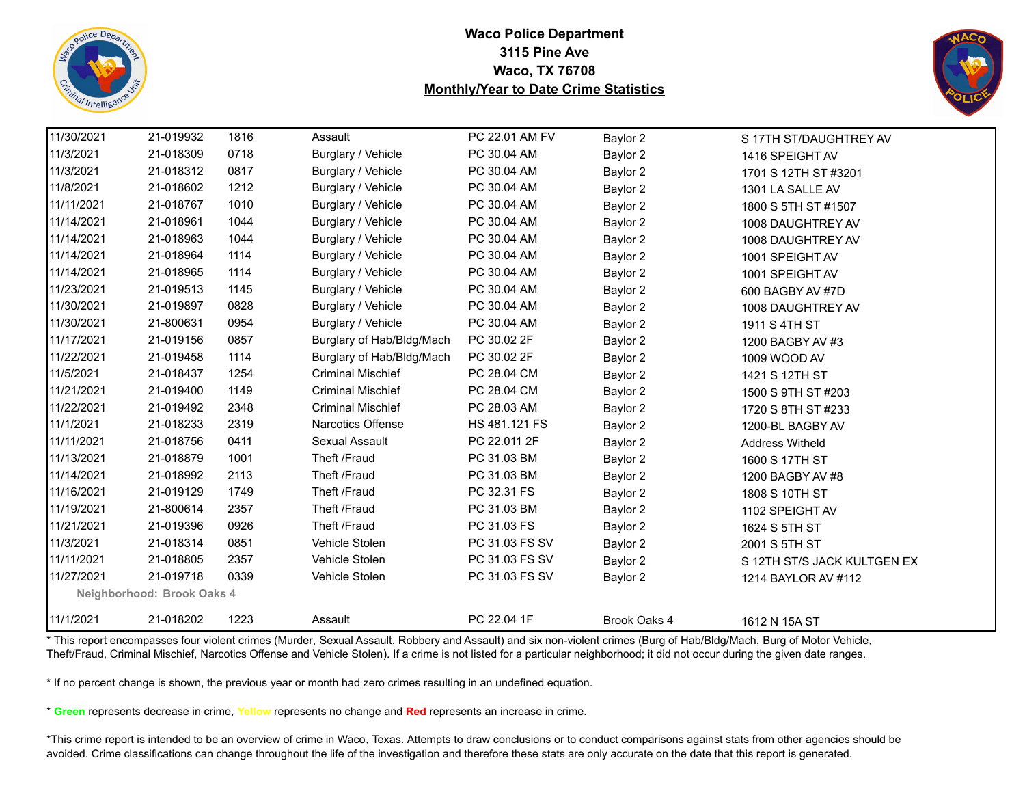



| 11/30/2021 | 21-019932                  | 1816 | Assault                   | PC 22.01 AM FV | Baylor 2     | S 17TH ST/DAUGHTREY AV      |
|------------|----------------------------|------|---------------------------|----------------|--------------|-----------------------------|
| 11/3/2021  | 21-018309                  | 0718 | Burglary / Vehicle        | PC 30.04 AM    | Baylor 2     | 1416 SPEIGHT AV             |
| 11/3/2021  | 21-018312                  | 0817 | Burglary / Vehicle        | PC 30.04 AM    | Baylor 2     | 1701 S 12TH ST #3201        |
| 11/8/2021  | 21-018602                  | 1212 | Burglary / Vehicle        | PC 30.04 AM    | Baylor 2     | 1301 LA SALLE AV            |
| 11/11/2021 | 21-018767                  | 1010 | Burglary / Vehicle        | PC 30.04 AM    | Baylor 2     | 1800 S 5TH ST #1507         |
| 11/14/2021 | 21-018961                  | 1044 | Burglary / Vehicle        | PC 30.04 AM    | Baylor 2     | 1008 DAUGHTREY AV           |
| 11/14/2021 | 21-018963                  | 1044 | Burglary / Vehicle        | PC 30.04 AM    | Baylor 2     | 1008 DAUGHTREY AV           |
| 11/14/2021 | 21-018964                  | 1114 | Burglary / Vehicle        | PC 30.04 AM    | Baylor 2     | 1001 SPEIGHT AV             |
| 11/14/2021 | 21-018965                  | 1114 | Burglary / Vehicle        | PC 30.04 AM    | Baylor 2     | 1001 SPEIGHT AV             |
| 11/23/2021 | 21-019513                  | 1145 | Burglary / Vehicle        | PC 30.04 AM    | Baylor 2     | 600 BAGBY AV #7D            |
| 11/30/2021 | 21-019897                  | 0828 | Burglary / Vehicle        | PC 30.04 AM    | Baylor 2     | 1008 DAUGHTREY AV           |
| 11/30/2021 | 21-800631                  | 0954 | Burglary / Vehicle        | PC 30.04 AM    | Baylor 2     | 1911 S 4TH ST               |
| 11/17/2021 | 21-019156                  | 0857 | Burglary of Hab/Bldg/Mach | PC 30.02 2F    | Baylor 2     | 1200 BAGBY AV #3            |
| 11/22/2021 | 21-019458                  | 1114 | Burglary of Hab/Bldg/Mach | PC 30.02 2F    | Baylor 2     | 1009 WOOD AV                |
| 11/5/2021  | 21-018437                  | 1254 | <b>Criminal Mischief</b>  | PC 28.04 CM    | Baylor 2     | 1421 S 12TH ST              |
| 11/21/2021 | 21-019400                  | 1149 | <b>Criminal Mischief</b>  | PC 28.04 CM    | Baylor 2     | 1500 S 9TH ST #203          |
| 11/22/2021 | 21-019492                  | 2348 | <b>Criminal Mischief</b>  | PC 28.03 AM    | Baylor 2     | 1720 S 8TH ST #233          |
| 11/1/2021  | 21-018233                  | 2319 | <b>Narcotics Offense</b>  | HS 481.121 FS  | Baylor 2     | 1200-BL BAGBY AV            |
| 11/11/2021 | 21-018756                  | 0411 | Sexual Assault            | PC 22.011 2F   | Baylor 2     | <b>Address Witheld</b>      |
| 11/13/2021 | 21-018879                  | 1001 | Theft /Fraud              | PC 31.03 BM    | Baylor 2     | 1600 S 17TH ST              |
| 11/14/2021 | 21-018992                  | 2113 | Theft /Fraud              | PC 31.03 BM    | Baylor 2     | 1200 BAGBY AV #8            |
| 11/16/2021 | 21-019129                  | 1749 | Theft /Fraud              | PC 32.31 FS    | Baylor 2     | 1808 S 10TH ST              |
| 11/19/2021 | 21-800614                  | 2357 | Theft /Fraud              | PC 31.03 BM    | Baylor 2     | 1102 SPEIGHT AV             |
| 11/21/2021 | 21-019396                  | 0926 | Theft /Fraud              | PC 31.03 FS    | Baylor 2     | 1624 S 5TH ST               |
| 11/3/2021  | 21-018314                  | 0851 | Vehicle Stolen            | PC 31.03 FS SV | Baylor 2     | 2001 S 5TH ST               |
| 11/11/2021 | 21-018805                  | 2357 | Vehicle Stolen            | PC 31.03 FS SV | Baylor 2     | S 12TH ST/S JACK KULTGEN EX |
| 11/27/2021 | 21-019718                  | 0339 | Vehicle Stolen            | PC 31.03 FS SV | Baylor 2     | 1214 BAYLOR AV #112         |
|            | Neighborhood: Brook Oaks 4 |      |                           |                |              |                             |
| 11/1/2021  | 21-018202                  | 1223 | Assault                   | PC 22.04 1F    | Brook Oaks 4 | 1612 N 15A ST               |

\* This report encompasses four violent crimes (Murder, Sexual Assault, Robbery and Assault) and six non-violent crimes (Burg of Hab/Bldg/Mach, Burg of Motor Vehicle, Theft/Fraud, Criminal Mischief, Narcotics Offense and Vehicle Stolen). If a crime is not listed for a particular neighborhood; it did not occur during the given date ranges.

\* If no percent change is shown, the previous year or month had zero crimes resulting in an undefined equation.

\* **Green** represents decrease in crime, **Yellow** represents no change and **Red** represents an increase in crime.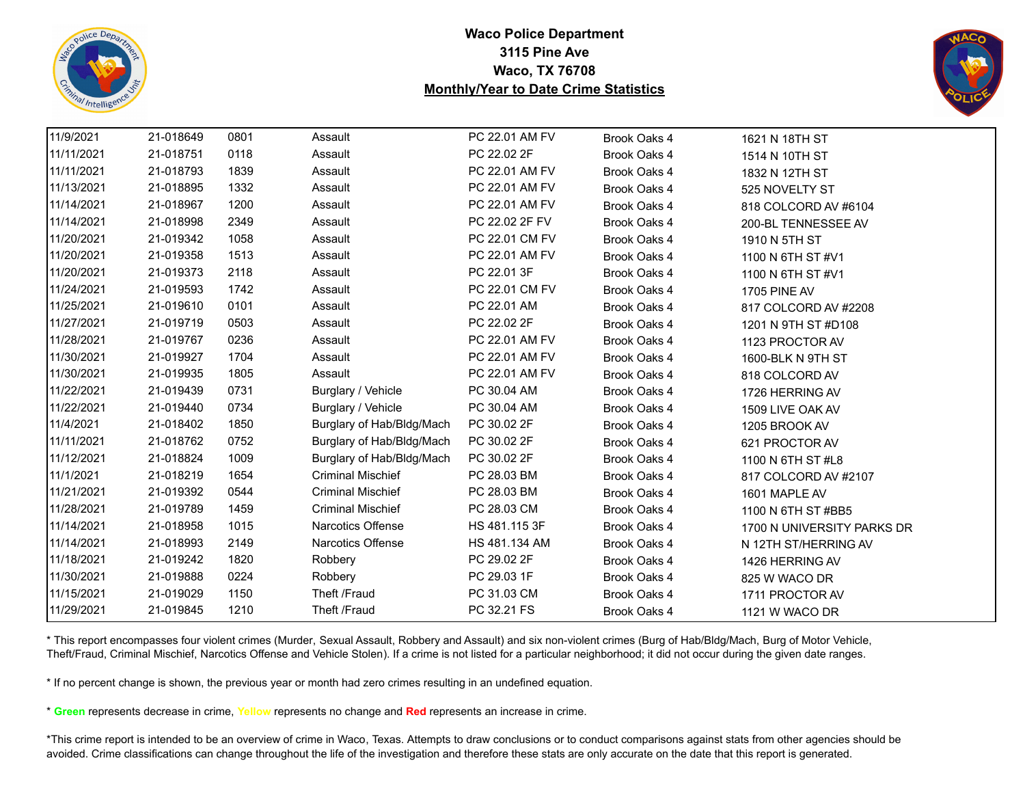



| 11/9/2021  | 21-018649 | 0801 | Assault                   | PC 22.01 AM FV | Brook Oaks 4 | 1621 N 18TH ST             |
|------------|-----------|------|---------------------------|----------------|--------------|----------------------------|
| 11/11/2021 | 21-018751 | 0118 | Assault                   | PC 22.02 2F    | Brook Oaks 4 | 1514 N 10TH ST             |
| 11/11/2021 | 21-018793 | 1839 | Assault                   | PC 22.01 AM FV | Brook Oaks 4 | 1832 N 12TH ST             |
| 11/13/2021 | 21-018895 | 1332 | Assault                   | PC 22.01 AM FV | Brook Oaks 4 | 525 NOVELTY ST             |
| 11/14/2021 | 21-018967 | 1200 | Assault                   | PC 22.01 AM FV | Brook Oaks 4 | 818 COLCORD AV #6104       |
| 11/14/2021 | 21-018998 | 2349 | Assault                   | PC 22.02 2F FV | Brook Oaks 4 | 200-BL TENNESSEE AV        |
| 11/20/2021 | 21-019342 | 1058 | Assault                   | PC 22.01 CM FV | Brook Oaks 4 | 1910 N 5TH ST              |
| 11/20/2021 | 21-019358 | 1513 | Assault                   | PC 22.01 AM FV | Brook Oaks 4 | 1100 N 6TH ST #V1          |
| 11/20/2021 | 21-019373 | 2118 | Assault                   | PC 22.01 3F    | Brook Oaks 4 | 1100 N 6TH ST #V1          |
| 11/24/2021 | 21-019593 | 1742 | Assault                   | PC 22.01 CM FV | Brook Oaks 4 | <b>1705 PINE AV</b>        |
| 11/25/2021 | 21-019610 | 0101 | Assault                   | PC 22.01 AM    | Brook Oaks 4 | 817 COLCORD AV #2208       |
| 11/27/2021 | 21-019719 | 0503 | Assault                   | PC 22.02 2F    | Brook Oaks 4 | 1201 N 9TH ST #D108        |
| 11/28/2021 | 21-019767 | 0236 | Assault                   | PC 22.01 AM FV | Brook Oaks 4 | 1123 PROCTOR AV            |
| 11/30/2021 | 21-019927 | 1704 | Assault                   | PC 22.01 AM FV | Brook Oaks 4 | 1600-BLK N 9TH ST          |
| 11/30/2021 | 21-019935 | 1805 | Assault                   | PC 22.01 AM FV | Brook Oaks 4 | 818 COLCORD AV             |
| 11/22/2021 | 21-019439 | 0731 | Burglary / Vehicle        | PC 30.04 AM    | Brook Oaks 4 | 1726 HERRING AV            |
| 11/22/2021 | 21-019440 | 0734 | Burglary / Vehicle        | PC 30.04 AM    | Brook Oaks 4 | 1509 LIVE OAK AV           |
| 11/4/2021  | 21-018402 | 1850 | Burglary of Hab/Bldg/Mach | PC 30.02 2F    | Brook Oaks 4 | 1205 BROOK AV              |
| 11/11/2021 | 21-018762 | 0752 | Burglary of Hab/Bldg/Mach | PC 30.02 2F    | Brook Oaks 4 | 621 PROCTOR AV             |
| 11/12/2021 | 21-018824 | 1009 | Burglary of Hab/Bldg/Mach | PC 30.02 2F    | Brook Oaks 4 | 1100 N 6TH ST #L8          |
| 11/1/2021  | 21-018219 | 1654 | <b>Criminal Mischief</b>  | PC 28.03 BM    | Brook Oaks 4 | 817 COLCORD AV #2107       |
| 11/21/2021 | 21-019392 | 0544 | <b>Criminal Mischief</b>  | PC 28.03 BM    | Brook Oaks 4 | 1601 MAPLE AV              |
| 11/28/2021 | 21-019789 | 1459 | <b>Criminal Mischief</b>  | PC 28.03 CM    | Brook Oaks 4 | 1100 N 6TH ST #BB5         |
| 11/14/2021 | 21-018958 | 1015 | <b>Narcotics Offense</b>  | HS 481.115 3F  | Brook Oaks 4 | 1700 N UNIVERSITY PARKS DR |
| 11/14/2021 | 21-018993 | 2149 | Narcotics Offense         | HS 481.134 AM  | Brook Oaks 4 | N 12TH ST/HERRING AV       |
| 11/18/2021 | 21-019242 | 1820 | Robbery                   | PC 29.02 2F    | Brook Oaks 4 | 1426 HERRING AV            |
| 11/30/2021 | 21-019888 | 0224 | Robbery                   | PC 29.03 1F    | Brook Oaks 4 | 825 W WACO DR              |
| 11/15/2021 | 21-019029 | 1150 | Theft /Fraud              | PC 31.03 CM    | Brook Oaks 4 | 1711 PROCTOR AV            |
| 11/29/2021 | 21-019845 | 1210 | Theft /Fraud              | PC 32.21 FS    | Brook Oaks 4 | 1121 W WACO DR             |

\* This report encompasses four violent crimes (Murder, Sexual Assault, Robbery and Assault) and six non-violent crimes (Burg of Hab/Bldg/Mach, Burg of Motor Vehicle, Theft/Fraud, Criminal Mischief, Narcotics Offense and Vehicle Stolen). If a crime is not listed for a particular neighborhood; it did not occur during the given date ranges.

\* If no percent change is shown, the previous year or month had zero crimes resulting in an undefined equation.

\* **Green** represents decrease in crime, **Yellow** represents no change and **Red** represents an increase in crime.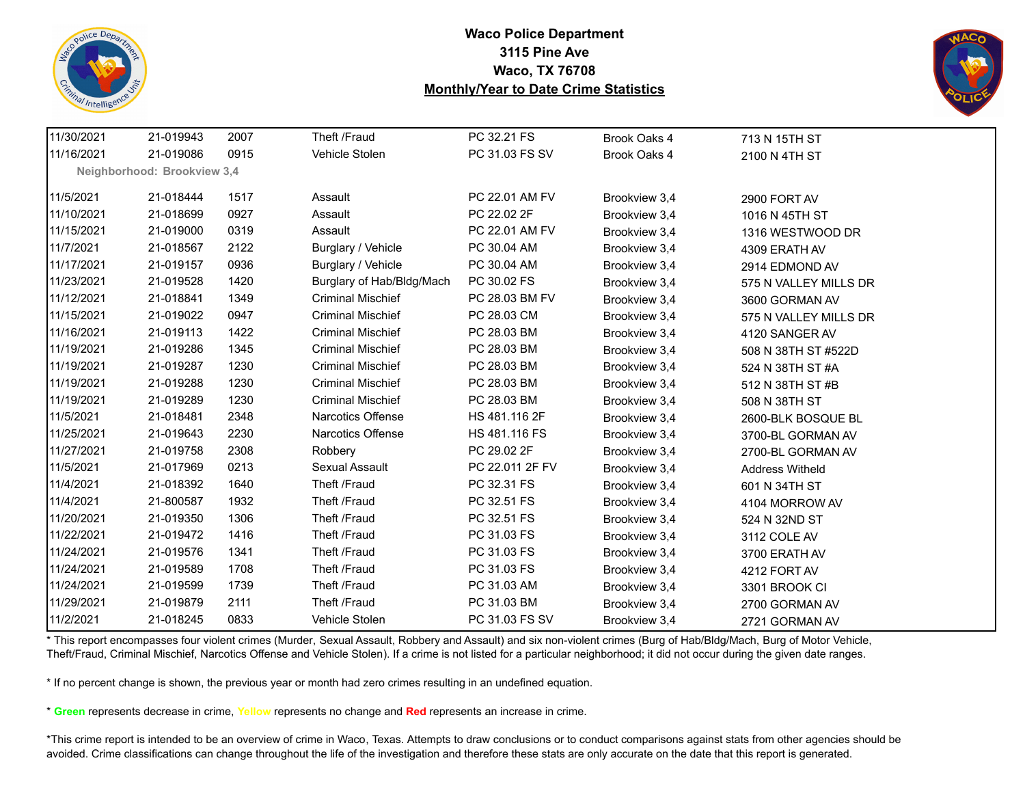



| 11/30/2021 | 21-019943                   | 2007 | Theft /Fraud              | PC 32.21 FS     | Brook Oaks 4  | 713 N 15TH ST          |  |
|------------|-----------------------------|------|---------------------------|-----------------|---------------|------------------------|--|
| 11/16/2021 | 21-019086                   | 0915 | Vehicle Stolen            | PC 31.03 FS SV  | Brook Oaks 4  | 2100 N 4TH ST          |  |
|            | Neighborhood: Brookview 3,4 |      |                           |                 |               |                        |  |
| 11/5/2021  | 21-018444                   | 1517 | Assault                   | PC 22.01 AM FV  | Brookview 3,4 | 2900 FORT AV           |  |
| 11/10/2021 | 21-018699                   | 0927 | Assault                   | PC 22.02 2F     | Brookview 3,4 | 1016 N 45TH ST         |  |
| 11/15/2021 | 21-019000                   | 0319 | Assault                   | PC 22.01 AM FV  | Brookview 3,4 | 1316 WESTWOOD DR       |  |
| 11/7/2021  | 21-018567                   | 2122 | Burglary / Vehicle        | PC 30.04 AM     | Brookview 3,4 | 4309 ERATH AV          |  |
| 11/17/2021 | 21-019157                   | 0936 | Burglary / Vehicle        | PC 30.04 AM     | Brookview 3,4 | 2914 EDMOND AV         |  |
| 11/23/2021 | 21-019528                   | 1420 | Burglary of Hab/Bldg/Mach | PC 30.02 FS     | Brookview 3,4 | 575 N VALLEY MILLS DR  |  |
| 11/12/2021 | 21-018841                   | 1349 | <b>Criminal Mischief</b>  | PC 28.03 BM FV  | Brookview 3,4 | 3600 GORMAN AV         |  |
| 11/15/2021 | 21-019022                   | 0947 | <b>Criminal Mischief</b>  | PC 28.03 CM     | Brookview 3,4 | 575 N VALLEY MILLS DR  |  |
| 11/16/2021 | 21-019113                   | 1422 | <b>Criminal Mischief</b>  | PC 28.03 BM     | Brookview 3,4 | 4120 SANGER AV         |  |
| 11/19/2021 | 21-019286                   | 1345 | <b>Criminal Mischief</b>  | PC 28.03 BM     | Brookview 3,4 | 508 N 38TH ST #522D    |  |
| 11/19/2021 | 21-019287                   | 1230 | <b>Criminal Mischief</b>  | PC 28.03 BM     | Brookview 3,4 | 524 N 38TH ST #A       |  |
| 11/19/2021 | 21-019288                   | 1230 | <b>Criminal Mischief</b>  | PC 28.03 BM     | Brookview 3,4 | 512 N 38TH ST #B       |  |
| 11/19/2021 | 21-019289                   | 1230 | <b>Criminal Mischief</b>  | PC 28.03 BM     | Brookview 3,4 | 508 N 38TH ST          |  |
| 11/5/2021  | 21-018481                   | 2348 | Narcotics Offense         | HS 481.116 2F   | Brookview 3,4 | 2600-BLK BOSQUE BL     |  |
| 11/25/2021 | 21-019643                   | 2230 | <b>Narcotics Offense</b>  | HS 481.116 FS   | Brookview 3,4 | 3700-BL GORMAN AV      |  |
| 11/27/2021 | 21-019758                   | 2308 | Robbery                   | PC 29.02 2F     | Brookview 3,4 | 2700-BL GORMAN AV      |  |
| 11/5/2021  | 21-017969                   | 0213 | Sexual Assault            | PC 22.011 2F FV | Brookview 3,4 | <b>Address Witheld</b> |  |
| 11/4/2021  | 21-018392                   | 1640 | Theft /Fraud              | PC 32.31 FS     | Brookview 3,4 | 601 N 34TH ST          |  |
| 11/4/2021  | 21-800587                   | 1932 | Theft /Fraud              | PC 32.51 FS     | Brookview 3,4 | 4104 MORROW AV         |  |
| 11/20/2021 | 21-019350                   | 1306 | Theft /Fraud              | PC 32.51 FS     | Brookview 3,4 | 524 N 32ND ST          |  |
| 11/22/2021 | 21-019472                   | 1416 | Theft /Fraud              | PC 31.03 FS     | Brookview 3,4 | 3112 COLE AV           |  |
| 11/24/2021 | 21-019576                   | 1341 | Theft /Fraud              | PC 31.03 FS     | Brookview 3,4 | 3700 ERATH AV          |  |
| 11/24/2021 | 21-019589                   | 1708 | Theft /Fraud              | PC 31.03 FS     | Brookview 3,4 | 4212 FORT AV           |  |
| 11/24/2021 | 21-019599                   | 1739 | Theft /Fraud              | PC 31.03 AM     | Brookview 3,4 | 3301 BROOK CI          |  |
| 11/29/2021 | 21-019879                   | 2111 | Theft /Fraud              | PC 31.03 BM     | Brookview 3,4 | 2700 GORMAN AV         |  |
| 11/2/2021  | 21-018245                   | 0833 | Vehicle Stolen            | PC 31.03 FS SV  | Brookview 3.4 | 2721 GORMAN AV         |  |

\* This report encompasses four violent crimes (Murder, Sexual Assault, Robbery and Assault) and six non-violent crimes (Burg of Hab/Bldg/Mach, Burg of Motor Vehicle, Theft/Fraud, Criminal Mischief, Narcotics Offense and Vehicle Stolen). If a crime is not listed for a particular neighborhood; it did not occur during the given date ranges.

\* If no percent change is shown, the previous year or month had zero crimes resulting in an undefined equation.

\* **Green** represents decrease in crime, **Yellow** represents no change and **Red** represents an increase in crime.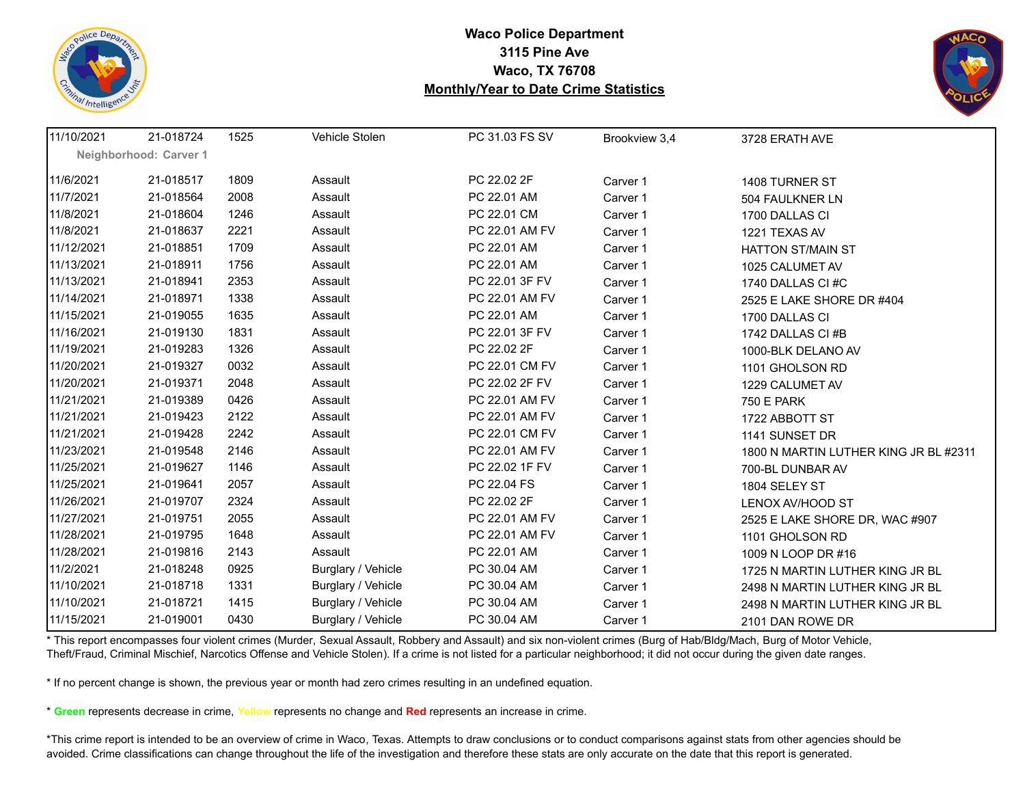



| 11/10/2021 | 21-018724              | 1525 | Vehicle Stolen     | PC 31.03 FS SV | Brookview 3,4 | 3728 ERATH AVE                        |
|------------|------------------------|------|--------------------|----------------|---------------|---------------------------------------|
|            | Neighborhood: Carver 1 |      |                    |                |               |                                       |
| 11/6/2021  | 21-018517              | 1809 | Assault            | PC 22.02 2F    | Carver 1      | 1408 TURNER ST                        |
| 11/7/2021  | 21-018564              | 2008 | Assault            | PC 22.01 AM    | Carver 1      | 504 FAULKNER LN                       |
| 11/8/2021  | 21-018604              | 1246 | Assault            | PC 22.01 CM    | Carver 1      | 1700 DALLAS CI                        |
| 11/8/2021  | 21-018637              | 2221 | Assault            | PC 22.01 AM FV | Carver 1      | 1221 TEXAS AV                         |
| 11/12/2021 | 21-018851              | 1709 | Assault            | PC 22.01 AM    | Carver 1      | <b>HATTON ST/MAIN ST</b>              |
| 11/13/2021 | 21-018911              | 1756 | Assault            | PC 22.01 AM    | Carver 1      | 1025 CALUMET AV                       |
| 11/13/2021 | 21-018941              | 2353 | Assault            | PC 22.01 3F FV | Carver 1      | 1740 DALLAS CI#C                      |
| 11/14/2021 | 21-018971              | 1338 | Assault            | PC 22.01 AM FV | Carver 1      | 2525 E LAKE SHORE DR #404             |
| 11/15/2021 | 21-019055              | 1635 | Assault            | PC 22.01 AM    | Carver 1      | 1700 DALLAS CI                        |
| 11/16/2021 | 21-019130              | 1831 | Assault            | PC 22.01 3F FV | Carver 1      | 1742 DALLAS CI #B                     |
| 11/19/2021 | 21-019283              | 1326 | Assault            | PC 22.02 2F    | Carver 1      | 1000-BLK DELANO AV                    |
| 11/20/2021 | 21-019327              | 0032 | Assault            | PC 22.01 CM FV | Carver 1      | 1101 GHOLSON RD                       |
| 11/20/2021 | 21-019371              | 2048 | Assault            | PC 22.02 2F FV | Carver 1      | 1229 CALUMET AV                       |
| 11/21/2021 | 21-019389              | 0426 | Assault            | PC 22.01 AM FV | Carver 1      | <b>750 E PARK</b>                     |
| 11/21/2021 | 21-019423              | 2122 | Assault            | PC 22.01 AM FV | Carver 1      | 1722 ABBOTT ST                        |
| 11/21/2021 | 21-019428              | 2242 | Assault            | PC 22.01 CM FV | Carver 1      | 1141 SUNSET DR                        |
| 11/23/2021 | 21-019548              | 2146 | Assault            | PC 22.01 AM FV | Carver 1      | 1800 N MARTIN LUTHER KING JR BL #2311 |
| 11/25/2021 | 21-019627              | 1146 | Assault            | PC 22.02 1F FV | Carver 1      | 700-BL DUNBAR AV                      |
| 11/25/2021 | 21-019641              | 2057 | Assault            | PC 22.04 FS    | Carver 1      | 1804 SELEY ST                         |
| 11/26/2021 | 21-019707              | 2324 | Assault            | PC 22.02 2F    | Carver 1      | LENOX AV/HOOD ST                      |
| 11/27/2021 | 21-019751              | 2055 | Assault            | PC 22.01 AM FV | Carver 1      | 2525 E LAKE SHORE DR, WAC #907        |
| 11/28/2021 | 21-019795              | 1648 | Assault            | PC 22.01 AM FV | Carver 1      | 1101 GHOLSON RD                       |
| 11/28/2021 | 21-019816              | 2143 | Assault            | PC 22.01 AM    | Carver 1      | 1009 N LOOP DR #16                    |
| 11/2/2021  | 21-018248              | 0925 | Burglary / Vehicle | PC 30.04 AM    | Carver 1      | 1725 N MARTIN LUTHER KING JR BL       |
| 11/10/2021 | 21-018718              | 1331 | Burglary / Vehicle | PC 30.04 AM    | Carver 1      | 2498 N MARTIN LUTHER KING JR BL       |
| 11/10/2021 | 21-018721              | 1415 | Burglary / Vehicle | PC 30.04 AM    | Carver 1      | 2498 N MARTIN LUTHER KING JR BL       |
| 11/15/2021 | 21-019001              | 0430 | Burglary / Vehicle | PC 30.04 AM    | Carver 1      | 2101 DAN ROWE DR                      |

\* This report encompasses four violent crimes (Murder, Sexual Assault, Robbery and Assault) and six non-violent crimes (Burg of Hab/Bldg/Mach, Burg of Motor Vehicle, Theft/Fraud, Criminal Mischief, Narcotics Offense and Vehicle Stolen). If a crime is not listed for a particular neighborhood; it did not occur during the given date ranges.

\* If no percent change is shown, the previous year or month had zero crimes resulting in an undefined equation.

\* **Green** represents decrease in crime, **Yellow** represents no change and **Red** represents an increase in crime.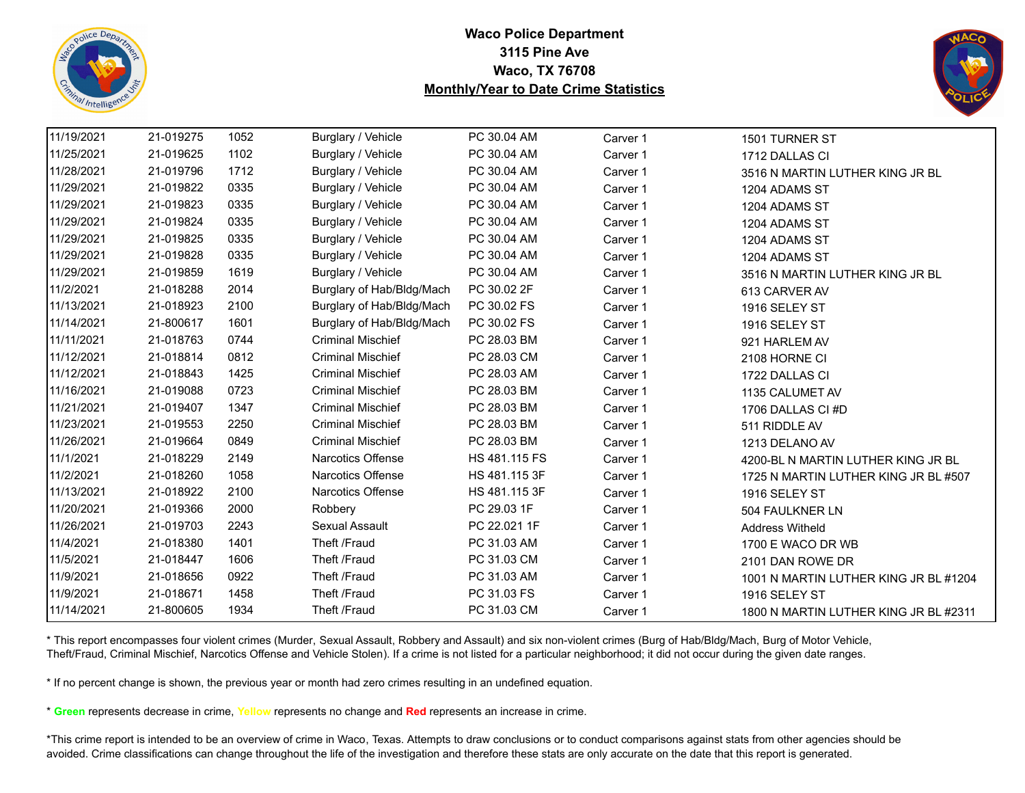



| 11/19/2021 | 21-019275 | 1052 | Burglary / Vehicle        | PC 30.04 AM   | Carver 1 | 1501 TURNER ST                        |
|------------|-----------|------|---------------------------|---------------|----------|---------------------------------------|
| 11/25/2021 | 21-019625 | 1102 | Burglary / Vehicle        | PC 30.04 AM   | Carver 1 | 1712 DALLAS CI                        |
| 11/28/2021 | 21-019796 | 1712 | Burglary / Vehicle        | PC 30.04 AM   | Carver 1 | 3516 N MARTIN LUTHER KING JR BL       |
| 11/29/2021 | 21-019822 | 0335 | Burglary / Vehicle        | PC 30.04 AM   | Carver 1 | 1204 ADAMS ST                         |
| 11/29/2021 | 21-019823 | 0335 | Burglary / Vehicle        | PC 30.04 AM   | Carver 1 | 1204 ADAMS ST                         |
| 11/29/2021 | 21-019824 | 0335 | Burglary / Vehicle        | PC 30.04 AM   | Carver 1 | 1204 ADAMS ST                         |
| 11/29/2021 | 21-019825 | 0335 | Burglary / Vehicle        | PC 30.04 AM   | Carver 1 | 1204 ADAMS ST                         |
| 11/29/2021 | 21-019828 | 0335 | Burglary / Vehicle        | PC 30.04 AM   | Carver 1 | 1204 ADAMS ST                         |
| 11/29/2021 | 21-019859 | 1619 | Burglary / Vehicle        | PC 30.04 AM   | Carver 1 | 3516 N MARTIN LUTHER KING JR BL       |
| 11/2/2021  | 21-018288 | 2014 | Burglary of Hab/Bldg/Mach | PC 30.02 2F   | Carver 1 | 613 CARVER AV                         |
| 11/13/2021 | 21-018923 | 2100 | Burglary of Hab/Bldg/Mach | PC 30.02 FS   | Carver 1 | 1916 SELEY ST                         |
| 11/14/2021 | 21-800617 | 1601 | Burglary of Hab/Bldg/Mach | PC 30.02 FS   | Carver 1 | 1916 SELEY ST                         |
| 11/11/2021 | 21-018763 | 0744 | <b>Criminal Mischief</b>  | PC 28.03 BM   | Carver 1 | 921 HARLEM AV                         |
| 11/12/2021 | 21-018814 | 0812 | <b>Criminal Mischief</b>  | PC 28.03 CM   | Carver 1 | 2108 HORNE CI                         |
| 11/12/2021 | 21-018843 | 1425 | <b>Criminal Mischief</b>  | PC 28.03 AM   | Carver 1 | 1722 DALLAS CI                        |
| 11/16/2021 | 21-019088 | 0723 | <b>Criminal Mischief</b>  | PC 28.03 BM   | Carver 1 | 1135 CALUMET AV                       |
| 11/21/2021 | 21-019407 | 1347 | <b>Criminal Mischief</b>  | PC 28.03 BM   | Carver 1 | 1706 DALLAS CI#D                      |
| 11/23/2021 | 21-019553 | 2250 | <b>Criminal Mischief</b>  | PC 28.03 BM   | Carver 1 | 511 RIDDLE AV                         |
| 11/26/2021 | 21-019664 | 0849 | <b>Criminal Mischief</b>  | PC 28.03 BM   | Carver 1 | 1213 DELANO AV                        |
| 11/1/2021  | 21-018229 | 2149 | <b>Narcotics Offense</b>  | HS 481.115 FS | Carver 1 | 4200-BL N MARTIN LUTHER KING JR BL    |
| 11/2/2021  | 21-018260 | 1058 | Narcotics Offense         | HS 481.115 3F | Carver 1 | 1725 N MARTIN LUTHER KING JR BL #507  |
| 11/13/2021 | 21-018922 | 2100 | Narcotics Offense         | HS 481.115 3F | Carver 1 | 1916 SELEY ST                         |
| 11/20/2021 | 21-019366 | 2000 | Robbery                   | PC 29.03 1F   | Carver 1 | 504 FAULKNER LN                       |
| 11/26/2021 | 21-019703 | 2243 | Sexual Assault            | PC 22.021 1F  | Carver 1 | <b>Address Witheld</b>                |
| 11/4/2021  | 21-018380 | 1401 | Theft /Fraud              | PC 31.03 AM   | Carver 1 | 1700 E WACO DR WB                     |
| 11/5/2021  | 21-018447 | 1606 | Theft /Fraud              | PC 31.03 CM   | Carver 1 | 2101 DAN ROWE DR                      |
| 11/9/2021  | 21-018656 | 0922 | Theft /Fraud              | PC 31.03 AM   | Carver 1 | 1001 N MARTIN LUTHER KING JR BL #1204 |
| 11/9/2021  | 21-018671 | 1458 | Theft /Fraud              | PC 31.03 FS   | Carver 1 | 1916 SELEY ST                         |
| 11/14/2021 | 21-800605 | 1934 | Theft /Fraud              | PC 31.03 CM   | Carver 1 | 1800 N MARTIN LUTHER KING JR BL #2311 |

\* This report encompasses four violent crimes (Murder, Sexual Assault, Robbery and Assault) and six non-violent crimes (Burg of Hab/Bldg/Mach, Burg of Motor Vehicle, Theft/Fraud, Criminal Mischief, Narcotics Offense and Vehicle Stolen). If a crime is not listed for a particular neighborhood; it did not occur during the given date ranges.

\* If no percent change is shown, the previous year or month had zero crimes resulting in an undefined equation.

\* **Green** represents decrease in crime, **Yellow** represents no change and **Red** represents an increase in crime.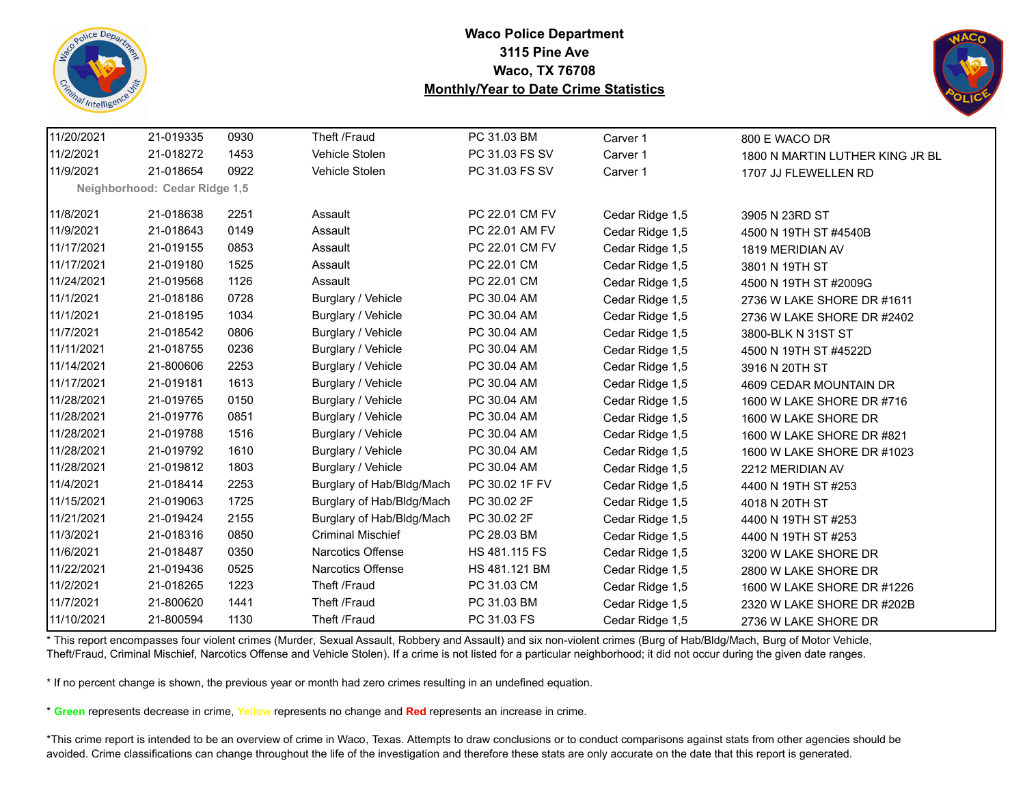



| 11/20/2021 | 21-019335                     | 0930 | Theft /Fraud              | PC 31.03 BM    | Carver 1        | 800 E WACO DR                   |
|------------|-------------------------------|------|---------------------------|----------------|-----------------|---------------------------------|
| 11/2/2021  | 21-018272                     | 1453 | Vehicle Stolen            | PC 31.03 FS SV | Carver 1        | 1800 N MARTIN LUTHER KING JR BL |
| 11/9/2021  | 21-018654                     | 0922 | Vehicle Stolen            | PC 31.03 FS SV | Carver 1        | 1707 JJ FLEWELLEN RD            |
|            | Neighborhood: Cedar Ridge 1,5 |      |                           |                |                 |                                 |
| 11/8/2021  | 21-018638                     | 2251 | Assault                   | PC 22.01 CM FV | Cedar Ridge 1,5 | 3905 N 23RD ST                  |
| 11/9/2021  | 21-018643                     | 0149 | Assault                   | PC 22.01 AM FV | Cedar Ridge 1,5 | 4500 N 19TH ST #4540B           |
| 11/17/2021 | 21-019155                     | 0853 | Assault                   | PC 22.01 CM FV | Cedar Ridge 1,5 | 1819 MERIDIAN AV                |
| 11/17/2021 | 21-019180                     | 1525 | Assault                   | PC 22.01 CM    | Cedar Ridge 1,5 | 3801 N 19TH ST                  |
| 11/24/2021 | 21-019568                     | 1126 | Assault                   | PC 22.01 CM    | Cedar Ridge 1,5 | 4500 N 19TH ST #2009G           |
| 11/1/2021  | 21-018186                     | 0728 | Burglary / Vehicle        | PC 30.04 AM    | Cedar Ridge 1,5 | 2736 W LAKE SHORE DR #1611      |
| 11/1/2021  | 21-018195                     | 1034 | Burglary / Vehicle        | PC 30.04 AM    | Cedar Ridge 1,5 | 2736 W LAKE SHORE DR #2402      |
| 11/7/2021  | 21-018542                     | 0806 | Burglary / Vehicle        | PC 30.04 AM    | Cedar Ridge 1,5 |                                 |
| 11/11/2021 | 21-018755                     | 0236 | Burglary / Vehicle        | PC 30.04 AM    |                 | 3800-BLK N 31ST ST              |
|            |                               |      |                           |                | Cedar Ridge 1,5 | 4500 N 19TH ST #4522D           |
| 11/14/2021 | 21-800606                     | 2253 | Burglary / Vehicle        | PC 30.04 AM    | Cedar Ridge 1,5 | 3916 N 20TH ST                  |
| 11/17/2021 | 21-019181                     | 1613 | Burglary / Vehicle        | PC 30.04 AM    | Cedar Ridge 1,5 | 4609 CEDAR MOUNTAIN DR          |
| 11/28/2021 | 21-019765                     | 0150 | Burglary / Vehicle        | PC 30.04 AM    | Cedar Ridge 1,5 | 1600 W LAKE SHORE DR #716       |
| 11/28/2021 | 21-019776                     | 0851 | Burglary / Vehicle        | PC 30.04 AM    | Cedar Ridge 1,5 | 1600 W LAKE SHORE DR            |
| 11/28/2021 | 21-019788                     | 1516 | Burglary / Vehicle        | PC 30.04 AM    | Cedar Ridge 1,5 | 1600 W LAKE SHORE DR #821       |
| 11/28/2021 | 21-019792                     | 1610 | Burglary / Vehicle        | PC 30.04 AM    | Cedar Ridge 1,5 | 1600 W LAKE SHORE DR #1023      |
| 11/28/2021 | 21-019812                     | 1803 | Burglary / Vehicle        | PC 30.04 AM    | Cedar Ridge 1,5 | 2212 MERIDIAN AV                |
| 11/4/2021  | 21-018414                     | 2253 | Burglary of Hab/Bldg/Mach | PC 30.02 1F FV | Cedar Ridge 1,5 | 4400 N 19TH ST #253             |
| 11/15/2021 | 21-019063                     | 1725 | Burglary of Hab/Bldg/Mach | PC 30.02 2F    | Cedar Ridge 1,5 | 4018 N 20TH ST                  |
| 11/21/2021 | 21-019424                     | 2155 | Burglary of Hab/Bldg/Mach | PC 30.02 2F    | Cedar Ridge 1,5 | 4400 N 19TH ST #253             |
| 11/3/2021  | 21-018316                     | 0850 | <b>Criminal Mischief</b>  | PC 28.03 BM    | Cedar Ridge 1,5 | 4400 N 19TH ST #253             |
| 11/6/2021  | 21-018487                     | 0350 | <b>Narcotics Offense</b>  | HS 481.115 FS  | Cedar Ridge 1,5 | 3200 W LAKE SHORE DR            |
| 11/22/2021 | 21-019436                     | 0525 | Narcotics Offense         | HS 481.121 BM  | Cedar Ridge 1,5 | 2800 W LAKE SHORE DR            |
| 11/2/2021  | 21-018265                     | 1223 | Theft /Fraud              | PC 31.03 CM    | Cedar Ridge 1,5 | 1600 W LAKE SHORE DR #1226      |
| 11/7/2021  | 21-800620                     | 1441 | Theft /Fraud              | PC 31.03 BM    | Cedar Ridge 1,5 | 2320 W LAKE SHORE DR #202B      |
| 11/10/2021 | 21-800594                     | 1130 | Theft /Fraud              | PC 31.03 FS    | Cedar Ridge 1,5 | 2736 W LAKE SHORE DR            |

\* This report encompasses four violent crimes (Murder, Sexual Assault, Robbery and Assault) and six non-violent crimes (Burg of Hab/Bldg/Mach, Burg of Motor Vehicle, Theft/Fraud, Criminal Mischief, Narcotics Offense and Vehicle Stolen). If a crime is not listed for a particular neighborhood; it did not occur during the given date ranges.

\* If no percent change is shown, the previous year or month had zero crimes resulting in an undefined equation.

\* **Green** represents decrease in crime, **Yellow** represents no change and **Red** represents an increase in crime.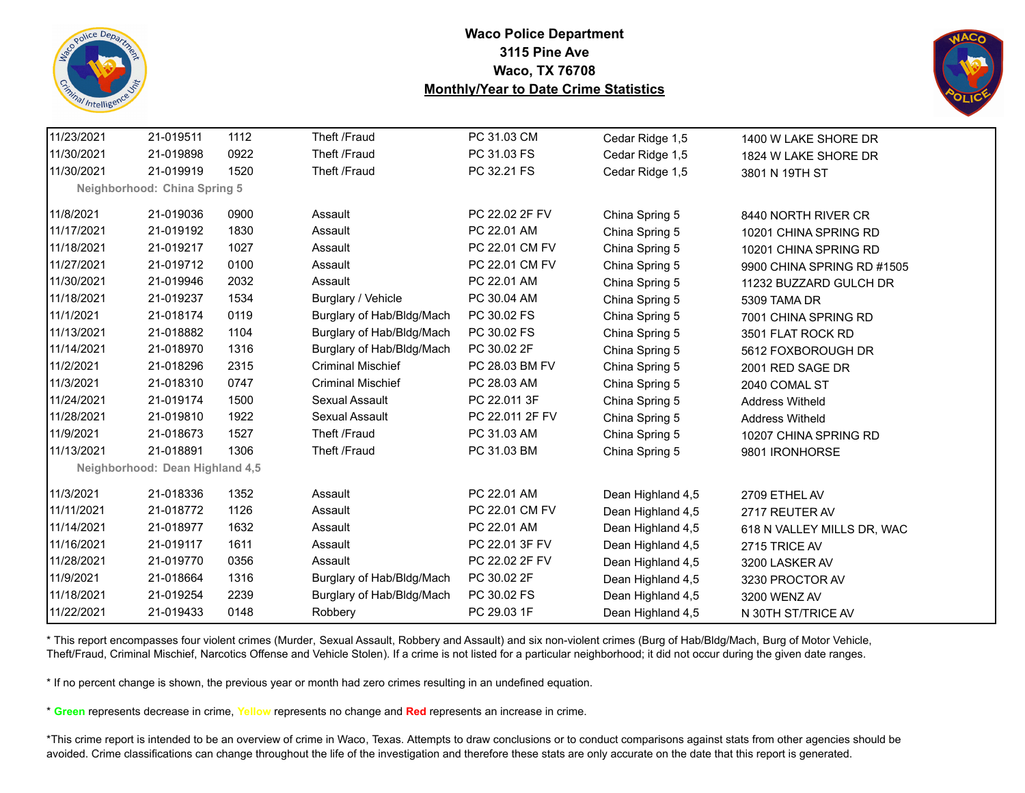



| 11/23/2021 | 21-019511                       | 1112 | Theft /Fraud              | PC 31.03 CM     | Cedar Ridge 1,5   | 1400 W LAKE SHORE DR       |
|------------|---------------------------------|------|---------------------------|-----------------|-------------------|----------------------------|
| 11/30/2021 | 21-019898                       | 0922 | Theft /Fraud              | PC 31.03 FS     | Cedar Ridge 1,5   | 1824 W LAKE SHORE DR       |
| 11/30/2021 | 21-019919                       | 1520 | Theft /Fraud              | PC 32.21 FS     | Cedar Ridge 1,5   | 3801 N 19TH ST             |
|            | Neighborhood: China Spring 5    |      |                           |                 |                   |                            |
| 11/8/2021  | 21-019036                       | 0900 | Assault                   | PC 22.02 2F FV  | China Spring 5    | 8440 NORTH RIVER CR        |
| 11/17/2021 | 21-019192                       | 1830 | Assault                   | PC 22.01 AM     | China Spring 5    | 10201 CHINA SPRING RD      |
| 11/18/2021 | 21-019217                       | 1027 | Assault                   | PC 22.01 CM FV  | China Spring 5    | 10201 CHINA SPRING RD      |
| 11/27/2021 | 21-019712                       | 0100 | Assault                   | PC 22.01 CM FV  | China Spring 5    | 9900 CHINA SPRING RD #1505 |
| 11/30/2021 | 21-019946                       | 2032 | Assault                   | PC 22.01 AM     | China Spring 5    | 11232 BUZZARD GULCH DR     |
| 11/18/2021 | 21-019237                       | 1534 | Burglary / Vehicle        | PC 30.04 AM     | China Spring 5    | 5309 TAMA DR               |
| 11/1/2021  | 21-018174                       | 0119 | Burglary of Hab/Bldg/Mach | PC 30.02 FS     | China Spring 5    | 7001 CHINA SPRING RD       |
| 11/13/2021 | 21-018882                       | 1104 | Burglary of Hab/Bldg/Mach | PC 30.02 FS     | China Spring 5    | 3501 FLAT ROCK RD          |
| 11/14/2021 | 21-018970                       | 1316 | Burglary of Hab/Bldg/Mach | PC 30.02 2F     | China Spring 5    | 5612 FOXBOROUGH DR         |
| 11/2/2021  | 21-018296                       | 2315 | <b>Criminal Mischief</b>  | PC 28.03 BM FV  | China Spring 5    | 2001 RED SAGE DR           |
| 11/3/2021  | 21-018310                       | 0747 | <b>Criminal Mischief</b>  | PC 28.03 AM     | China Spring 5    | 2040 COMAL ST              |
| 11/24/2021 | 21-019174                       | 1500 | Sexual Assault            | PC 22.011 3F    | China Spring 5    | <b>Address Witheld</b>     |
| 11/28/2021 | 21-019810                       | 1922 | Sexual Assault            | PC 22.011 2F FV | China Spring 5    | <b>Address Witheld</b>     |
| 11/9/2021  | 21-018673                       | 1527 | Theft /Fraud              | PC 31.03 AM     | China Spring 5    | 10207 CHINA SPRING RD      |
| 11/13/2021 | 21-018891                       | 1306 | Theft /Fraud              | PC 31.03 BM     | China Spring 5    | 9801 IRONHORSE             |
|            | Neighborhood: Dean Highland 4,5 |      |                           |                 |                   |                            |
| 11/3/2021  | 21-018336                       | 1352 | Assault                   | PC 22.01 AM     | Dean Highland 4,5 | 2709 ETHEL AV              |
| 11/11/2021 | 21-018772                       | 1126 | Assault                   | PC 22.01 CM FV  | Dean Highland 4,5 | 2717 REUTER AV             |
| 11/14/2021 | 21-018977                       | 1632 | Assault                   | PC 22.01 AM     | Dean Highland 4,5 | 618 N VALLEY MILLS DR, WAC |
| 11/16/2021 | 21-019117                       | 1611 | Assault                   | PC 22.01 3F FV  | Dean Highland 4,5 | 2715 TRICE AV              |
| 11/28/2021 | 21-019770                       | 0356 | Assault                   | PC 22.02 2F FV  | Dean Highland 4,5 | 3200 LASKER AV             |
| 11/9/2021  | 21-018664                       | 1316 | Burglary of Hab/Bldg/Mach | PC 30.02 2F     | Dean Highland 4,5 | 3230 PROCTOR AV            |
| 11/18/2021 | 21-019254                       | 2239 | Burglary of Hab/Bldg/Mach | PC 30.02 FS     | Dean Highland 4,5 | 3200 WENZ AV               |
| 11/22/2021 | 21-019433                       | 0148 | Robbery                   | PC 29.03 1F     | Dean Highland 4,5 | N 30TH ST/TRICE AV         |

\* This report encompasses four violent crimes (Murder, Sexual Assault, Robbery and Assault) and six non-violent crimes (Burg of Hab/Bldg/Mach, Burg of Motor Vehicle, Theft/Fraud, Criminal Mischief, Narcotics Offense and Vehicle Stolen). If a crime is not listed for a particular neighborhood; it did not occur during the given date ranges.

\* If no percent change is shown, the previous year or month had zero crimes resulting in an undefined equation.

\* **Green** represents decrease in crime, **Yellow** represents no change and **Red** represents an increase in crime.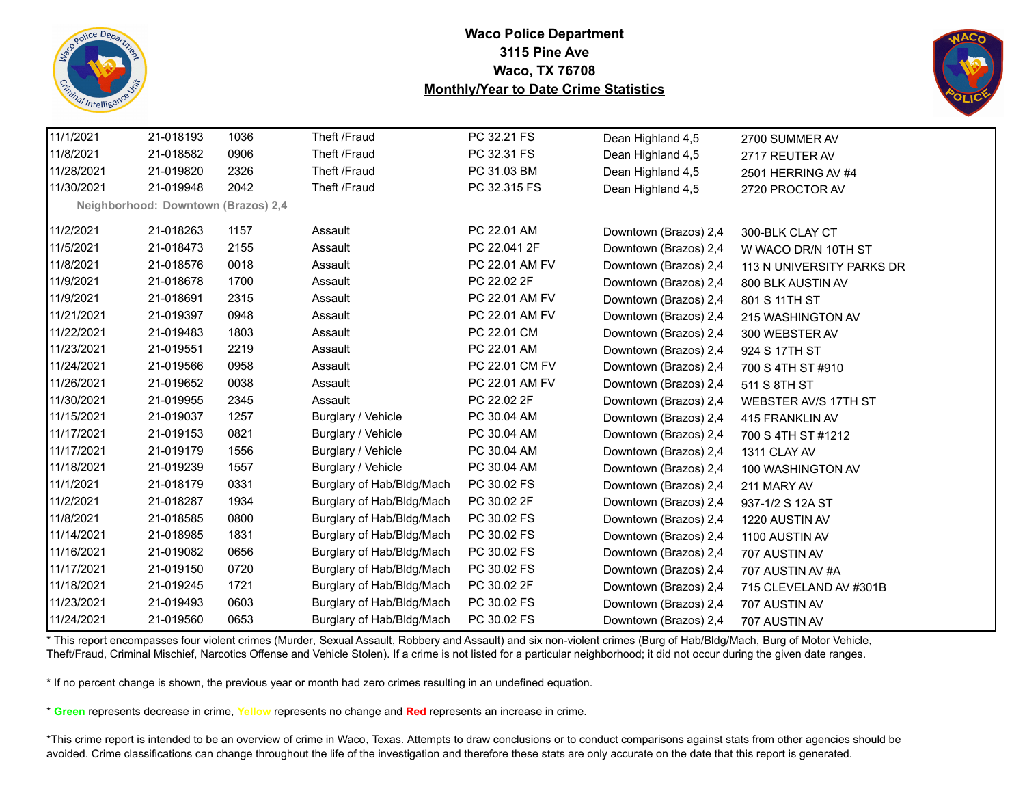



| 11/1/2021  | 21-018193                           | 1036 | Theft /Fraud              | PC 32.21 FS    | Dean Highland 4,5     | 2700 SUMMER AV            |
|------------|-------------------------------------|------|---------------------------|----------------|-----------------------|---------------------------|
| 11/8/2021  | 21-018582                           | 0906 | Theft /Fraud              | PC 32.31 FS    | Dean Highland 4,5     | 2717 REUTER AV            |
| 11/28/2021 | 21-019820                           | 2326 | Theft /Fraud              | PC 31.03 BM    | Dean Highland 4,5     | 2501 HERRING AV #4        |
| 11/30/2021 | 21-019948                           | 2042 | Theft /Fraud              | PC 32.315 FS   | Dean Highland 4,5     | 2720 PROCTOR AV           |
|            | Neighborhood: Downtown (Brazos) 2,4 |      |                           |                |                       |                           |
| 11/2/2021  | 21-018263                           | 1157 | Assault                   | PC 22.01 AM    | Downtown (Brazos) 2,4 | 300-BLK CLAY CT           |
| 11/5/2021  | 21-018473                           | 2155 | Assault                   | PC 22.041 2F   | Downtown (Brazos) 2,4 | W WACO DR/N 10TH ST       |
| 11/8/2021  | 21-018576                           | 0018 | Assault                   | PC 22.01 AM FV | Downtown (Brazos) 2,4 | 113 N UNIVERSITY PARKS DR |
| 11/9/2021  | 21-018678                           | 1700 | Assault                   | PC 22.02 2F    | Downtown (Brazos) 2,4 | 800 BLK AUSTIN AV         |
| 11/9/2021  | 21-018691                           | 2315 | Assault                   | PC 22.01 AM FV | Downtown (Brazos) 2,4 | 801 S 11TH ST             |
| 11/21/2021 | 21-019397                           | 0948 | Assault                   | PC 22.01 AM FV | Downtown (Brazos) 2,4 | 215 WASHINGTON AV         |
| 11/22/2021 | 21-019483                           | 1803 | Assault                   | PC 22.01 CM    | Downtown (Brazos) 2,4 | 300 WEBSTER AV            |
| 11/23/2021 | 21-019551                           | 2219 | Assault                   | PC 22.01 AM    | Downtown (Brazos) 2,4 | 924 S 17TH ST             |
| 11/24/2021 | 21-019566                           | 0958 | Assault                   | PC 22.01 CM FV | Downtown (Brazos) 2,4 | 700 S 4TH ST #910         |
| 11/26/2021 | 21-019652                           | 0038 | Assault                   | PC 22.01 AM FV | Downtown (Brazos) 2,4 | 511 S 8TH ST              |
| 11/30/2021 | 21-019955                           | 2345 | Assault                   | PC 22.02 2F    | Downtown (Brazos) 2,4 | WEBSTER AV/S 17TH ST      |
| 11/15/2021 | 21-019037                           | 1257 | Burglary / Vehicle        | PC 30.04 AM    | Downtown (Brazos) 2,4 | 415 FRANKLIN AV           |
| 11/17/2021 | 21-019153                           | 0821 | Burglary / Vehicle        | PC 30.04 AM    | Downtown (Brazos) 2,4 | 700 S 4TH ST #1212        |
| 11/17/2021 | 21-019179                           | 1556 | Burglary / Vehicle        | PC 30.04 AM    | Downtown (Brazos) 2,4 | 1311 CLAY AV              |
| 11/18/2021 | 21-019239                           | 1557 | Burglary / Vehicle        | PC 30.04 AM    | Downtown (Brazos) 2,4 | 100 WASHINGTON AV         |
| 11/1/2021  | 21-018179                           | 0331 | Burglary of Hab/Bldg/Mach | PC 30.02 FS    | Downtown (Brazos) 2,4 | 211 MARY AV               |
| 11/2/2021  | 21-018287                           | 1934 | Burglary of Hab/Bldg/Mach | PC 30.02 2F    | Downtown (Brazos) 2,4 | 937-1/2 S 12A ST          |
| 11/8/2021  | 21-018585                           | 0800 | Burglary of Hab/Bldg/Mach | PC 30.02 FS    | Downtown (Brazos) 2,4 | 1220 AUSTIN AV            |
| 11/14/2021 | 21-018985                           | 1831 | Burglary of Hab/Bldg/Mach | PC 30.02 FS    | Downtown (Brazos) 2,4 | 1100 AUSTIN AV            |
| 11/16/2021 | 21-019082                           | 0656 | Burglary of Hab/Bldg/Mach | PC 30.02 FS    | Downtown (Brazos) 2,4 | 707 AUSTIN AV             |
| 11/17/2021 | 21-019150                           | 0720 | Burglary of Hab/Bldg/Mach | PC 30.02 FS    | Downtown (Brazos) 2,4 | 707 AUSTIN AV #A          |
| 11/18/2021 | 21-019245                           | 1721 | Burglary of Hab/Bldg/Mach | PC 30.02 2F    | Downtown (Brazos) 2,4 | 715 CLEVELAND AV #301B    |
| 11/23/2021 | 21-019493                           | 0603 | Burglary of Hab/Bldg/Mach | PC 30.02 FS    | Downtown (Brazos) 2,4 | 707 AUSTIN AV             |
| 11/24/2021 | 21-019560                           | 0653 | Burglary of Hab/Bldg/Mach | PC 30.02 FS    | Downtown (Brazos) 2,4 | 707 AUSTIN AV             |

\* This report encompasses four violent crimes (Murder, Sexual Assault, Robbery and Assault) and six non-violent crimes (Burg of Hab/Bldg/Mach, Burg of Motor Vehicle, Theft/Fraud, Criminal Mischief, Narcotics Offense and Vehicle Stolen). If a crime is not listed for a particular neighborhood; it did not occur during the given date ranges.

\* If no percent change is shown, the previous year or month had zero crimes resulting in an undefined equation.

\* **Green** represents decrease in crime, **Yellow** represents no change and **Red** represents an increase in crime.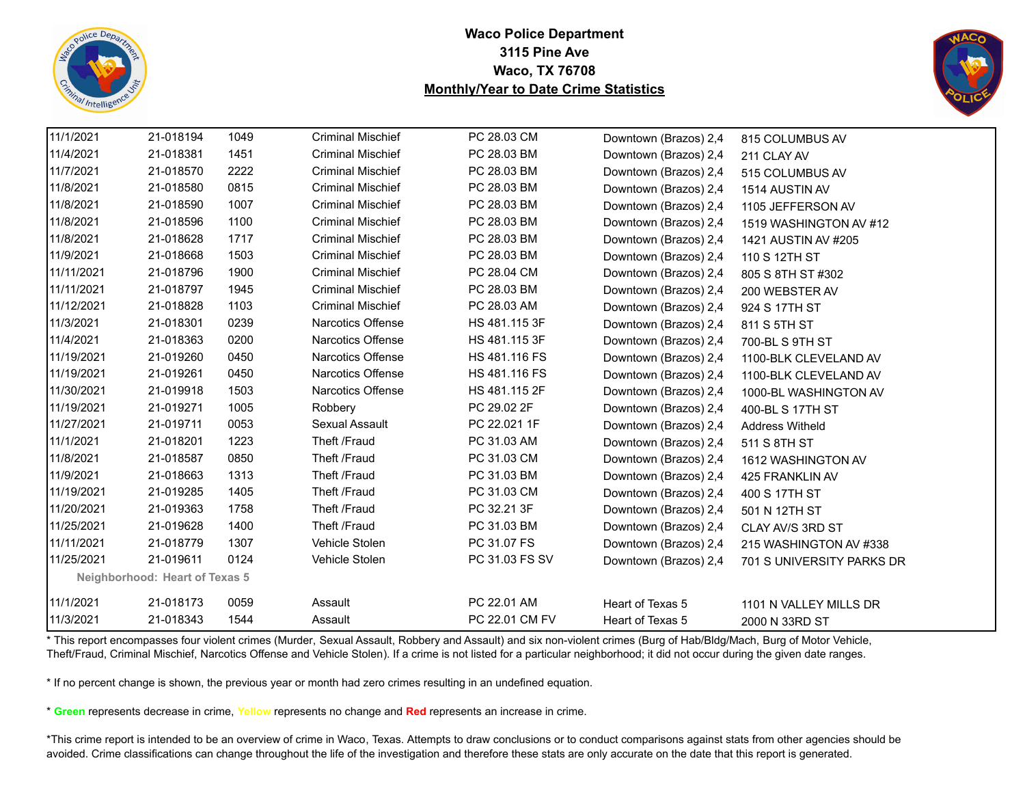



| 11/1/2021  | 21-018194                             | 1049 | <b>Criminal Mischief</b> | PC 28.03 CM    | Downtown (Brazos) 2,4 | 815 COLUMBUS AV           |
|------------|---------------------------------------|------|--------------------------|----------------|-----------------------|---------------------------|
| 11/4/2021  | 21-018381                             | 1451 | <b>Criminal Mischief</b> | PC 28.03 BM    | Downtown (Brazos) 2,4 | 211 CLAY AV               |
| 11/7/2021  | 21-018570                             | 2222 | <b>Criminal Mischief</b> | PC 28.03 BM    | Downtown (Brazos) 2,4 | 515 COLUMBUS AV           |
| 11/8/2021  | 21-018580                             | 0815 | <b>Criminal Mischief</b> | PC 28.03 BM    | Downtown (Brazos) 2,4 | 1514 AUSTIN AV            |
| 11/8/2021  | 21-018590                             | 1007 | <b>Criminal Mischief</b> | PC 28.03 BM    | Downtown (Brazos) 2,4 | 1105 JEFFERSON AV         |
| 11/8/2021  | 21-018596                             | 1100 | <b>Criminal Mischief</b> | PC 28.03 BM    | Downtown (Brazos) 2,4 | 1519 WASHINGTON AV #12    |
| 11/8/2021  | 21-018628                             | 1717 | <b>Criminal Mischief</b> | PC 28.03 BM    | Downtown (Brazos) 2,4 | 1421 AUSTIN AV #205       |
| 11/9/2021  | 21-018668                             | 1503 | <b>Criminal Mischief</b> | PC 28.03 BM    | Downtown (Brazos) 2,4 | 110 S 12TH ST             |
| 11/11/2021 | 21-018796                             | 1900 | <b>Criminal Mischief</b> | PC 28.04 CM    | Downtown (Brazos) 2,4 | 805 S 8TH ST #302         |
| 11/11/2021 | 21-018797                             | 1945 | <b>Criminal Mischief</b> | PC 28.03 BM    | Downtown (Brazos) 2,4 | 200 WEBSTER AV            |
| 11/12/2021 | 21-018828                             | 1103 | <b>Criminal Mischief</b> | PC 28.03 AM    | Downtown (Brazos) 2,4 | 924 S 17TH ST             |
| 11/3/2021  | 21-018301                             | 0239 | Narcotics Offense        | HS 481.115 3F  | Downtown (Brazos) 2,4 | 811 S 5TH ST              |
| 11/4/2021  | 21-018363                             | 0200 | Narcotics Offense        | HS 481.115 3F  | Downtown (Brazos) 2,4 | 700-BL S 9TH ST           |
| 11/19/2021 | 21-019260                             | 0450 | Narcotics Offense        | HS 481.116 FS  | Downtown (Brazos) 2,4 | 1100-BLK CLEVELAND AV     |
| 11/19/2021 | 21-019261                             | 0450 | Narcotics Offense        | HS 481.116 FS  | Downtown (Brazos) 2,4 | 1100-BLK CLEVELAND AV     |
| 11/30/2021 | 21-019918                             | 1503 | <b>Narcotics Offense</b> | HS 481.115 2F  | Downtown (Brazos) 2,4 | 1000-BL WASHINGTON AV     |
| 11/19/2021 | 21-019271                             | 1005 | Robbery                  | PC 29.02 2F    | Downtown (Brazos) 2,4 | 400-BL S 17TH ST          |
| 11/27/2021 | 21-019711                             | 0053 | Sexual Assault           | PC 22.021 1F   | Downtown (Brazos) 2,4 | <b>Address Witheld</b>    |
| 11/1/2021  | 21-018201                             | 1223 | Theft /Fraud             | PC 31.03 AM    | Downtown (Brazos) 2,4 | 511 S 8TH ST              |
| 11/8/2021  | 21-018587                             | 0850 | Theft /Fraud             | PC 31.03 CM    | Downtown (Brazos) 2,4 | 1612 WASHINGTON AV        |
| 11/9/2021  | 21-018663                             | 1313 | Theft /Fraud             | PC 31.03 BM    | Downtown (Brazos) 2,4 | 425 FRANKLIN AV           |
| 11/19/2021 | 21-019285                             | 1405 | Theft /Fraud             | PC 31.03 CM    | Downtown (Brazos) 2,4 | 400 S 17TH ST             |
| 11/20/2021 | 21-019363                             | 1758 | Theft /Fraud             | PC 32.21 3F    | Downtown (Brazos) 2,4 | 501 N 12TH ST             |
| 11/25/2021 | 21-019628                             | 1400 | Theft /Fraud             | PC 31.03 BM    | Downtown (Brazos) 2,4 | CLAY AV/S 3RD ST          |
| 11/11/2021 | 21-018779                             | 1307 | Vehicle Stolen           | PC 31.07 FS    | Downtown (Brazos) 2,4 | 215 WASHINGTON AV #338    |
| 11/25/2021 | 21-019611                             | 0124 | Vehicle Stolen           | PC 31.03 FS SV | Downtown (Brazos) 2,4 | 701 S UNIVERSITY PARKS DR |
|            | <b>Neighborhood: Heart of Texas 5</b> |      |                          |                |                       |                           |
| 11/1/2021  | 21-018173                             | 0059 | Assault                  | PC 22.01 AM    | Heart of Texas 5      | 1101 N VALLEY MILLS DR    |
| 11/3/2021  | 21-018343                             | 1544 | Assault                  | PC 22.01 CM FV | Heart of Texas 5      | 2000 N 33RD ST            |
|            |                                       |      |                          |                |                       |                           |

\* This report encompasses four violent crimes (Murder, Sexual Assault, Robbery and Assault) and six non-violent crimes (Burg of Hab/Bldg/Mach, Burg of Motor Vehicle, Theft/Fraud, Criminal Mischief, Narcotics Offense and Vehicle Stolen). If a crime is not listed for a particular neighborhood; it did not occur during the given date ranges.

\* If no percent change is shown, the previous year or month had zero crimes resulting in an undefined equation.

\* **Green** represents decrease in crime, **Yellow** represents no change and **Red** represents an increase in crime.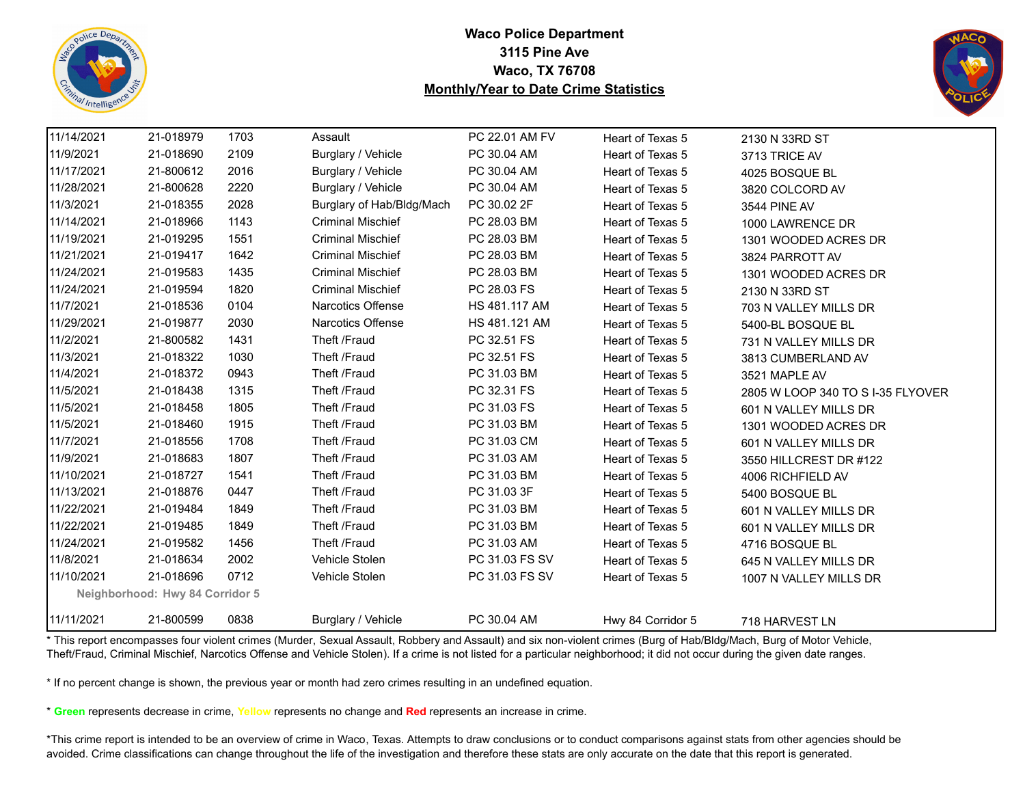



| 11/14/2021 | 21-018979                       | 1703 | Assault                   | PC 22.01 AM FV | Heart of Texas 5  | 2130 N 33RD ST                    |
|------------|---------------------------------|------|---------------------------|----------------|-------------------|-----------------------------------|
| 11/9/2021  | 21-018690                       | 2109 | Burglary / Vehicle        | PC 30.04 AM    | Heart of Texas 5  | 3713 TRICE AV                     |
| 11/17/2021 | 21-800612                       | 2016 | Burglary / Vehicle        | PC 30.04 AM    | Heart of Texas 5  | 4025 BOSQUE BL                    |
| 11/28/2021 | 21-800628                       | 2220 | Burglary / Vehicle        | PC 30.04 AM    | Heart of Texas 5  | 3820 COLCORD AV                   |
| 11/3/2021  | 21-018355                       | 2028 | Burglary of Hab/Bldg/Mach | PC 30.02 2F    | Heart of Texas 5  | 3544 PINE AV                      |
| 11/14/2021 | 21-018966                       | 1143 | <b>Criminal Mischief</b>  | PC 28.03 BM    | Heart of Texas 5  | 1000 LAWRENCE DR                  |
| 11/19/2021 | 21-019295                       | 1551 | <b>Criminal Mischief</b>  | PC 28.03 BM    | Heart of Texas 5  | 1301 WOODED ACRES DR              |
| 11/21/2021 | 21-019417                       | 1642 | <b>Criminal Mischief</b>  | PC 28.03 BM    | Heart of Texas 5  | 3824 PARROTT AV                   |
| 11/24/2021 | 21-019583                       | 1435 | <b>Criminal Mischief</b>  | PC 28.03 BM    | Heart of Texas 5  | 1301 WOODED ACRES DR              |
| 11/24/2021 | 21-019594                       | 1820 | <b>Criminal Mischief</b>  | PC 28.03 FS    | Heart of Texas 5  | 2130 N 33RD ST                    |
| 11/7/2021  | 21-018536                       | 0104 | Narcotics Offense         | HS 481.117 AM  | Heart of Texas 5  | 703 N VALLEY MILLS DR             |
| 11/29/2021 | 21-019877                       | 2030 | Narcotics Offense         | HS 481.121 AM  | Heart of Texas 5  | 5400-BL BOSQUE BL                 |
| 11/2/2021  | 21-800582                       | 1431 | Theft /Fraud              | PC 32.51 FS    | Heart of Texas 5  | 731 N VALLEY MILLS DR             |
| 11/3/2021  | 21-018322                       | 1030 | Theft /Fraud              | PC 32.51 FS    | Heart of Texas 5  | 3813 CUMBERLAND AV                |
| 11/4/2021  | 21-018372                       | 0943 | Theft /Fraud              | PC 31.03 BM    | Heart of Texas 5  | 3521 MAPLE AV                     |
| 11/5/2021  | 21-018438                       | 1315 | Theft /Fraud              | PC 32.31 FS    | Heart of Texas 5  | 2805 W LOOP 340 TO S I-35 FLYOVER |
| 11/5/2021  | 21-018458                       | 1805 | Theft /Fraud              | PC 31.03 FS    | Heart of Texas 5  | 601 N VALLEY MILLS DR             |
| 11/5/2021  | 21-018460                       | 1915 | Theft /Fraud              | PC 31.03 BM    | Heart of Texas 5  | 1301 WOODED ACRES DR              |
| 11/7/2021  | 21-018556                       | 1708 | Theft /Fraud              | PC 31.03 CM    | Heart of Texas 5  | 601 N VALLEY MILLS DR             |
| 11/9/2021  | 21-018683                       | 1807 | Theft /Fraud              | PC 31.03 AM    | Heart of Texas 5  | 3550 HILLCREST DR #122            |
| 11/10/2021 | 21-018727                       | 1541 | Theft /Fraud              | PC 31.03 BM    | Heart of Texas 5  | 4006 RICHFIELD AV                 |
| 11/13/2021 | 21-018876                       | 0447 | Theft /Fraud              | PC 31.03 3F    | Heart of Texas 5  | 5400 BOSQUE BL                    |
| 11/22/2021 | 21-019484                       | 1849 | Theft /Fraud              | PC 31.03 BM    | Heart of Texas 5  | 601 N VALLEY MILLS DR             |
| 11/22/2021 | 21-019485                       | 1849 | Theft /Fraud              | PC 31.03 BM    | Heart of Texas 5  | 601 N VALLEY MILLS DR             |
| 11/24/2021 | 21-019582                       | 1456 | Theft /Fraud              | PC 31.03 AM    | Heart of Texas 5  | 4716 BOSQUE BL                    |
| 11/8/2021  | 21-018634                       | 2002 | Vehicle Stolen            | PC 31.03 FS SV | Heart of Texas 5  | 645 N VALLEY MILLS DR             |
| 11/10/2021 | 21-018696                       | 0712 | Vehicle Stolen            | PC 31.03 FS SV | Heart of Texas 5  | 1007 N VALLEY MILLS DR            |
|            | Neighborhood: Hwy 84 Corridor 5 |      |                           |                |                   |                                   |
| 11/11/2021 | 21-800599                       | 0838 | Burglary / Vehicle        | PC 30.04 AM    | Hwy 84 Corridor 5 | 718 HARVEST LN                    |

\* This report encompasses four violent crimes (Murder, Sexual Assault, Robbery and Assault) and six non-violent crimes (Burg of Hab/Bldg/Mach, Burg of Motor Vehicle, Theft/Fraud, Criminal Mischief, Narcotics Offense and Vehicle Stolen). If a crime is not listed for a particular neighborhood; it did not occur during the given date ranges.

\* If no percent change is shown, the previous year or month had zero crimes resulting in an undefined equation.

\* **Green** represents decrease in crime, **Yellow** represents no change and **Red** represents an increase in crime.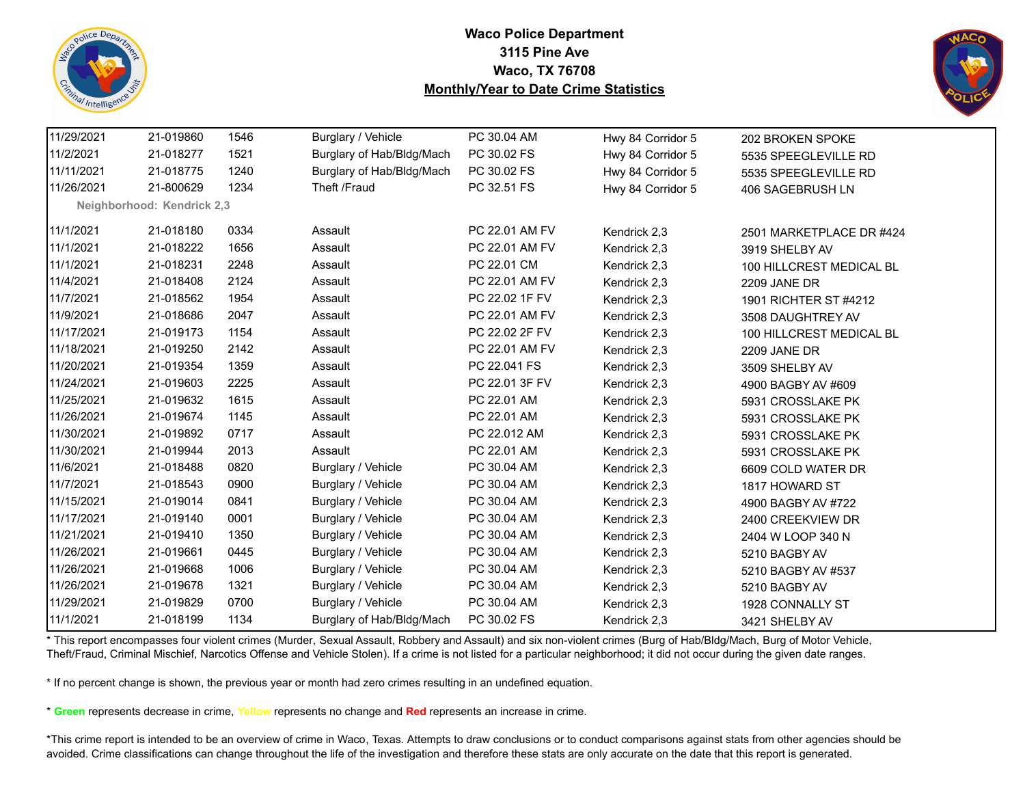



| 11/29/2021 | 21-019860                  | 1546 | Burglary / Vehicle        | PC 30.04 AM    | Hwy 84 Corridor 5 | 202 BROKEN SPOKE         |
|------------|----------------------------|------|---------------------------|----------------|-------------------|--------------------------|
| 11/2/2021  | 21-018277                  | 1521 | Burglary of Hab/Bldg/Mach | PC 30.02 FS    | Hwy 84 Corridor 5 | 5535 SPEEGLEVILLE RD     |
| 11/11/2021 | 21-018775                  | 1240 | Burglary of Hab/Bldg/Mach | PC 30.02 FS    | Hwy 84 Corridor 5 | 5535 SPEEGLEVILLE RD     |
| 11/26/2021 | 21-800629                  | 1234 | Theft /Fraud              | PC 32.51 FS    | Hwy 84 Corridor 5 | 406 SAGEBRUSH LN         |
|            | Neighborhood: Kendrick 2,3 |      |                           |                |                   |                          |
| 11/1/2021  | 21-018180                  | 0334 | Assault                   | PC 22.01 AM FV | Kendrick 2,3      | 2501 MARKETPLACE DR #424 |
| 11/1/2021  | 21-018222                  | 1656 | Assault                   | PC 22.01 AM FV | Kendrick 2,3      | 3919 SHELBY AV           |
| 11/1/2021  | 21-018231                  | 2248 | Assault                   | PC 22.01 CM    | Kendrick 2,3      | 100 HILLCREST MEDICAL BL |
| 11/4/2021  | 21-018408                  | 2124 | Assault                   | PC 22.01 AM FV | Kendrick 2,3      | 2209 JANE DR             |
| 11/7/2021  | 21-018562                  | 1954 | Assault                   | PC 22.02 1F FV | Kendrick 2,3      | 1901 RICHTER ST #4212    |
| 11/9/2021  | 21-018686                  | 2047 | Assault                   | PC 22.01 AM FV | Kendrick 2,3      | 3508 DAUGHTREY AV        |
| 11/17/2021 | 21-019173                  | 1154 | Assault                   | PC 22.02 2F FV | Kendrick 2,3      | 100 HILLCREST MEDICAL BL |
| 11/18/2021 | 21-019250                  | 2142 | Assault                   | PC 22.01 AM FV | Kendrick 2,3      | 2209 JANE DR             |
| 11/20/2021 | 21-019354                  | 1359 | Assault                   | PC 22.041 FS   | Kendrick 2,3      | 3509 SHELBY AV           |
| 11/24/2021 | 21-019603                  | 2225 | Assault                   | PC 22.01 3F FV | Kendrick 2,3      | 4900 BAGBY AV #609       |
| 11/25/2021 | 21-019632                  | 1615 | Assault                   | PC 22.01 AM    | Kendrick 2,3      | 5931 CROSSLAKE PK        |
| 11/26/2021 | 21-019674                  | 1145 | Assault                   | PC 22.01 AM    | Kendrick 2,3      | 5931 CROSSLAKE PK        |
| 11/30/2021 | 21-019892                  | 0717 | Assault                   | PC 22.012 AM   | Kendrick 2,3      | 5931 CROSSLAKE PK        |
| 11/30/2021 | 21-019944                  | 2013 | Assault                   | PC 22.01 AM    | Kendrick 2,3      | 5931 CROSSLAKE PK        |
| 11/6/2021  | 21-018488                  | 0820 | Burglary / Vehicle        | PC 30.04 AM    | Kendrick 2,3      | 6609 COLD WATER DR       |
| 11/7/2021  | 21-018543                  | 0900 | Burglary / Vehicle        | PC 30.04 AM    | Kendrick 2,3      | 1817 HOWARD ST           |
| 11/15/2021 | 21-019014                  | 0841 | Burglary / Vehicle        | PC 30.04 AM    | Kendrick 2,3      | 4900 BAGBY AV #722       |
| 11/17/2021 | 21-019140                  | 0001 | Burglary / Vehicle        | PC 30.04 AM    | Kendrick 2,3      | 2400 CREEKVIEW DR        |
| 11/21/2021 | 21-019410                  | 1350 | Burglary / Vehicle        | PC 30.04 AM    | Kendrick 2,3      | 2404 W LOOP 340 N        |
| 11/26/2021 | 21-019661                  | 0445 | Burglary / Vehicle        | PC 30.04 AM    | Kendrick 2,3      | 5210 BAGBY AV            |
| 11/26/2021 | 21-019668                  | 1006 | Burglary / Vehicle        | PC 30.04 AM    | Kendrick 2,3      | 5210 BAGBY AV #537       |
| 11/26/2021 | 21-019678                  | 1321 | Burglary / Vehicle        | PC 30.04 AM    | Kendrick 2,3      | 5210 BAGBY AV            |
| 11/29/2021 | 21-019829                  | 0700 | Burglary / Vehicle        | PC 30.04 AM    | Kendrick 2,3      | 1928 CONNALLY ST         |
| 11/1/2021  | 21-018199                  | 1134 | Burglary of Hab/Bldg/Mach | PC 30.02 FS    | Kendrick 2,3      | 3421 SHELBY AV           |

\* This report encompasses four violent crimes (Murder, Sexual Assault, Robbery and Assault) and six non-violent crimes (Burg of Hab/Bldg/Mach, Burg of Motor Vehicle, Theft/Fraud, Criminal Mischief, Narcotics Offense and Vehicle Stolen). If a crime is not listed for a particular neighborhood; it did not occur during the given date ranges.

\* If no percent change is shown, the previous year or month had zero crimes resulting in an undefined equation.

\* **Green** represents decrease in crime, **Yellow** represents no change and **Red** represents an increase in crime.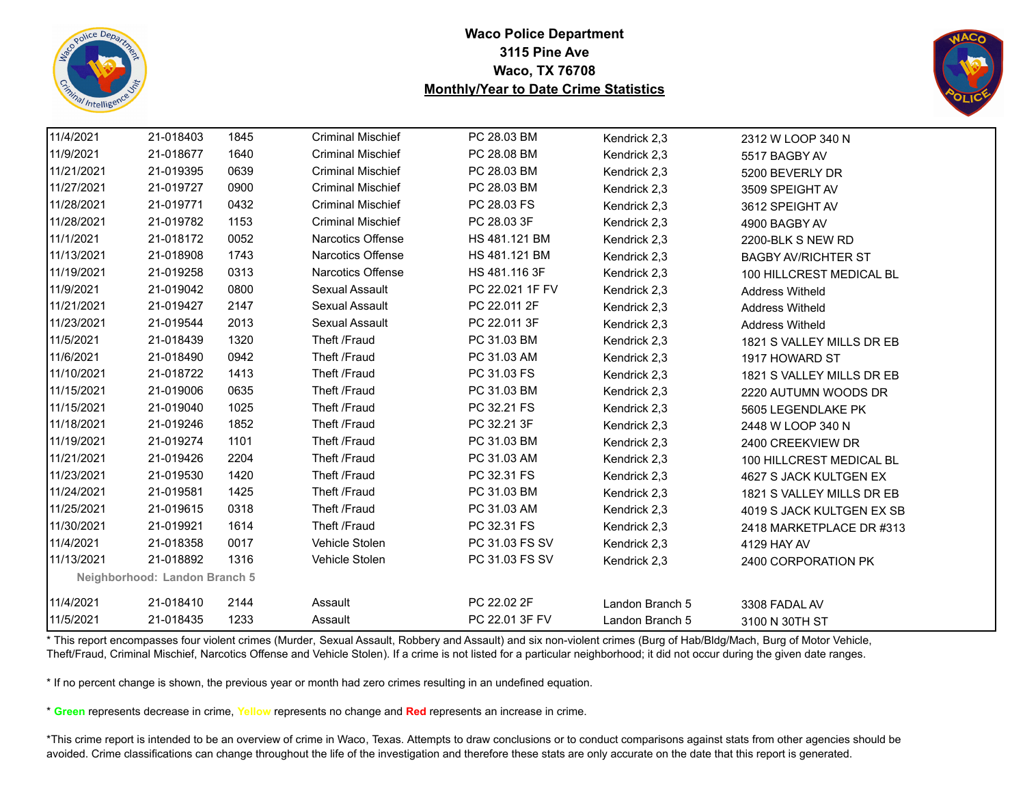



| 11/4/2021  | 21-018403                     | 1845 | <b>Criminal Mischief</b> | PC 28.03 BM     | Kendrick 2,3    | 2312 W LOOP 340 N          |
|------------|-------------------------------|------|--------------------------|-----------------|-----------------|----------------------------|
| 11/9/2021  | 21-018677                     | 1640 | <b>Criminal Mischief</b> | PC 28.08 BM     | Kendrick 2,3    | 5517 BAGBY AV              |
| 11/21/2021 | 21-019395                     | 0639 | <b>Criminal Mischief</b> | PC 28.03 BM     | Kendrick 2,3    | 5200 BEVERLY DR            |
| 11/27/2021 | 21-019727                     | 0900 | <b>Criminal Mischief</b> | PC 28.03 BM     | Kendrick 2,3    | 3509 SPEIGHT AV            |
| 11/28/2021 | 21-019771                     | 0432 | <b>Criminal Mischief</b> | PC 28.03 FS     | Kendrick 2,3    | 3612 SPEIGHT AV            |
| 11/28/2021 | 21-019782                     | 1153 | <b>Criminal Mischief</b> | PC 28.03 3F     | Kendrick 2,3    | 4900 BAGBY AV              |
| 11/1/2021  | 21-018172                     | 0052 | Narcotics Offense        | HS 481.121 BM   | Kendrick 2,3    | 2200-BLK S NEW RD          |
| 11/13/2021 | 21-018908                     | 1743 | Narcotics Offense        | HS 481.121 BM   | Kendrick 2,3    | <b>BAGBY AV/RICHTER ST</b> |
| 11/19/2021 | 21-019258                     | 0313 | Narcotics Offense        | HS 481.116 3F   | Kendrick 2,3    | 100 HILLCREST MEDICAL BL   |
| 11/9/2021  | 21-019042                     | 0800 | Sexual Assault           | PC 22.021 1F FV | Kendrick 2,3    | <b>Address Witheld</b>     |
| 11/21/2021 | 21-019427                     | 2147 | Sexual Assault           | PC 22.011 2F    | Kendrick 2,3    | <b>Address Witheld</b>     |
| 11/23/2021 | 21-019544                     | 2013 | Sexual Assault           | PC 22.011 3F    | Kendrick 2,3    | <b>Address Witheld</b>     |
| 11/5/2021  | 21-018439                     | 1320 | Theft /Fraud             | PC 31.03 BM     | Kendrick 2,3    | 1821 S VALLEY MILLS DR EB  |
| 11/6/2021  | 21-018490                     | 0942 | Theft /Fraud             | PC 31.03 AM     | Kendrick 2,3    | 1917 HOWARD ST             |
| 11/10/2021 | 21-018722                     | 1413 | Theft /Fraud             | PC 31.03 FS     | Kendrick 2,3    | 1821 S VALLEY MILLS DR EB  |
| 11/15/2021 | 21-019006                     | 0635 | Theft /Fraud             | PC 31.03 BM     | Kendrick 2,3    | 2220 AUTUMN WOODS DR       |
| 11/15/2021 | 21-019040                     | 1025 | Theft /Fraud             | PC 32.21 FS     | Kendrick 2,3    | 5605 LEGENDLAKE PK         |
| 11/18/2021 | 21-019246                     | 1852 | Theft /Fraud             | PC 32.21 3F     | Kendrick 2,3    | 2448 W LOOP 340 N          |
| 11/19/2021 | 21-019274                     | 1101 | Theft /Fraud             | PC 31.03 BM     | Kendrick 2,3    | 2400 CREEKVIEW DR          |
| 11/21/2021 | 21-019426                     | 2204 | Theft /Fraud             | PC 31.03 AM     | Kendrick 2,3    | 100 HILLCREST MEDICAL BL   |
| 11/23/2021 | 21-019530                     | 1420 | Theft /Fraud             | PC 32.31 FS     | Kendrick 2,3    | 4627 S JACK KULTGEN EX     |
| 11/24/2021 | 21-019581                     | 1425 | Theft /Fraud             | PC 31.03 BM     | Kendrick 2,3    | 1821 S VALLEY MILLS DR EB  |
| 11/25/2021 | 21-019615                     | 0318 | Theft /Fraud             | PC 31.03 AM     | Kendrick 2,3    | 4019 S JACK KULTGEN EX SB  |
| 11/30/2021 | 21-019921                     | 1614 | Theft /Fraud             | PC 32.31 FS     | Kendrick 2,3    | 2418 MARKETPLACE DR #313   |
| 11/4/2021  | 21-018358                     | 0017 | Vehicle Stolen           | PC 31.03 FS SV  | Kendrick 2,3    | 4129 HAY AV                |
| 11/13/2021 | 21-018892                     | 1316 | Vehicle Stolen           | PC 31.03 FS SV  | Kendrick 2,3    | 2400 CORPORATION PK        |
|            | Neighborhood: Landon Branch 5 |      |                          |                 |                 |                            |
| 11/4/2021  | 21-018410                     | 2144 | Assault                  | PC 22.02 2F     | Landon Branch 5 | 3308 FADAL AV              |
| 11/5/2021  | 21-018435                     | 1233 | Assault                  | PC 22.01 3F FV  | Landon Branch 5 | 3100 N 30TH ST             |

\* This report encompasses four violent crimes (Murder, Sexual Assault, Robbery and Assault) and six non-violent crimes (Burg of Hab/Bldg/Mach, Burg of Motor Vehicle, Theft/Fraud, Criminal Mischief, Narcotics Offense and Vehicle Stolen). If a crime is not listed for a particular neighborhood; it did not occur during the given date ranges.

\* If no percent change is shown, the previous year or month had zero crimes resulting in an undefined equation.

\* **Green** represents decrease in crime, **Yellow** represents no change and **Red** represents an increase in crime.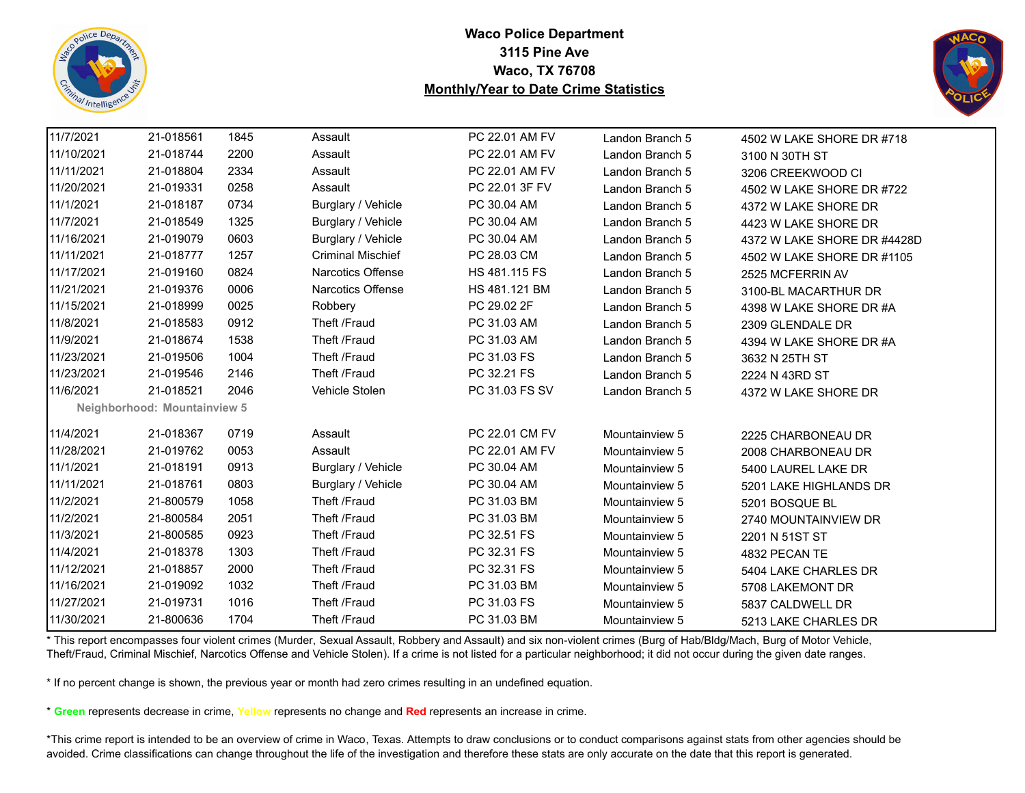



| 11/7/2021  | 21-018561                    | 1845 | Assault                  | PC 22.01 AM FV | Landon Branch 5 | 4502 W LAKE SHORE DR #718   |
|------------|------------------------------|------|--------------------------|----------------|-----------------|-----------------------------|
| 11/10/2021 | 21-018744                    | 2200 | Assault                  | PC 22.01 AM FV | Landon Branch 5 | 3100 N 30TH ST              |
| 11/11/2021 | 21-018804                    | 2334 | Assault                  | PC 22.01 AM FV | Landon Branch 5 | 3206 CREEKWOOD CI           |
| 11/20/2021 | 21-019331                    | 0258 | Assault                  | PC 22.01 3F FV | Landon Branch 5 | 4502 W LAKE SHORE DR #722   |
| 11/1/2021  | 21-018187                    | 0734 | Burglary / Vehicle       | PC 30.04 AM    | Landon Branch 5 | 4372 W LAKE SHORE DR        |
| 11/7/2021  | 21-018549                    | 1325 | Burglary / Vehicle       | PC 30.04 AM    | Landon Branch 5 | 4423 W LAKE SHORE DR        |
| 11/16/2021 | 21-019079                    | 0603 | Burglary / Vehicle       | PC 30.04 AM    | Landon Branch 5 | 4372 W LAKE SHORE DR #4428D |
| 11/11/2021 | 21-018777                    | 1257 | <b>Criminal Mischief</b> | PC 28.03 CM    | Landon Branch 5 | 4502 W LAKE SHORE DR #1105  |
| 11/17/2021 | 21-019160                    | 0824 | Narcotics Offense        | HS 481.115 FS  | Landon Branch 5 | 2525 MCFERRIN AV            |
| 11/21/2021 | 21-019376                    | 0006 | <b>Narcotics Offense</b> | HS 481.121 BM  | Landon Branch 5 | 3100-BL MACARTHUR DR        |
| 11/15/2021 | 21-018999                    | 0025 | Robbery                  | PC 29.02 2F    | Landon Branch 5 | 4398 W LAKE SHORE DR #A     |
| 11/8/2021  | 21-018583                    | 0912 | Theft /Fraud             | PC 31.03 AM    | Landon Branch 5 | 2309 GLENDALE DR            |
| 11/9/2021  | 21-018674                    | 1538 | Theft /Fraud             | PC 31.03 AM    | Landon Branch 5 | 4394 W LAKE SHORE DR #A     |
| 11/23/2021 | 21-019506                    | 1004 | Theft /Fraud             | PC 31.03 FS    | Landon Branch 5 | 3632 N 25TH ST              |
| 11/23/2021 | 21-019546                    | 2146 | Theft /Fraud             | PC 32.21 FS    | Landon Branch 5 | 2224 N 43RD ST              |
| 11/6/2021  | 21-018521                    | 2046 | Vehicle Stolen           | PC 31.03 FS SV | Landon Branch 5 | 4372 W LAKE SHORE DR        |
|            | Neighborhood: Mountainview 5 |      |                          |                |                 |                             |
| 11/4/2021  | 21-018367                    | 0719 | Assault                  | PC 22.01 CM FV | Mountainview 5  | 2225 CHARBONEAU DR          |
| 11/28/2021 | 21-019762                    | 0053 | Assault                  | PC 22.01 AM FV | Mountainview 5  | 2008 CHARBONEAU DR          |
| 11/1/2021  | 21-018191                    | 0913 | Burglary / Vehicle       | PC 30.04 AM    | Mountainview 5  | 5400 LAUREL LAKE DR         |
| 11/11/2021 | 21-018761                    | 0803 | Burglary / Vehicle       | PC 30.04 AM    | Mountainview 5  | 5201 LAKE HIGHLANDS DR      |
| 11/2/2021  | 21-800579                    | 1058 | Theft /Fraud             | PC 31.03 BM    | Mountainview 5  | 5201 BOSQUE BL              |
| 11/2/2021  | 21-800584                    | 2051 | Theft /Fraud             | PC 31.03 BM    | Mountainview 5  | 2740 MOUNTAINVIEW DR        |
| 11/3/2021  | 21-800585                    | 0923 | Theft /Fraud             | PC 32.51 FS    | Mountainview 5  | 2201 N 51ST ST              |
| 11/4/2021  | 21-018378                    | 1303 | Theft /Fraud             | PC 32.31 FS    | Mountainview 5  | 4832 PECAN TE               |
| 11/12/2021 | 21-018857                    | 2000 | Theft /Fraud             | PC 32.31 FS    | Mountainview 5  | 5404 LAKE CHARLES DR        |
| 11/16/2021 | 21-019092                    | 1032 | Theft /Fraud             | PC 31.03 BM    | Mountainview 5  | 5708 LAKEMONT DR            |
| 11/27/2021 | 21-019731                    | 1016 | Theft /Fraud             | PC 31.03 FS    | Mountainview 5  | 5837 CALDWELL DR            |
| 11/30/2021 | 21-800636                    | 1704 | Theft /Fraud             | PC 31.03 BM    | Mountainview 5  | 5213 LAKE CHARLES DR        |

\* This report encompasses four violent crimes (Murder, Sexual Assault, Robbery and Assault) and six non-violent crimes (Burg of Hab/Bldg/Mach, Burg of Motor Vehicle, Theft/Fraud, Criminal Mischief, Narcotics Offense and Vehicle Stolen). If a crime is not listed for a particular neighborhood; it did not occur during the given date ranges.

\* If no percent change is shown, the previous year or month had zero crimes resulting in an undefined equation.

\* **Green** represents decrease in crime, **Yellow** represents no change and **Red** represents an increase in crime.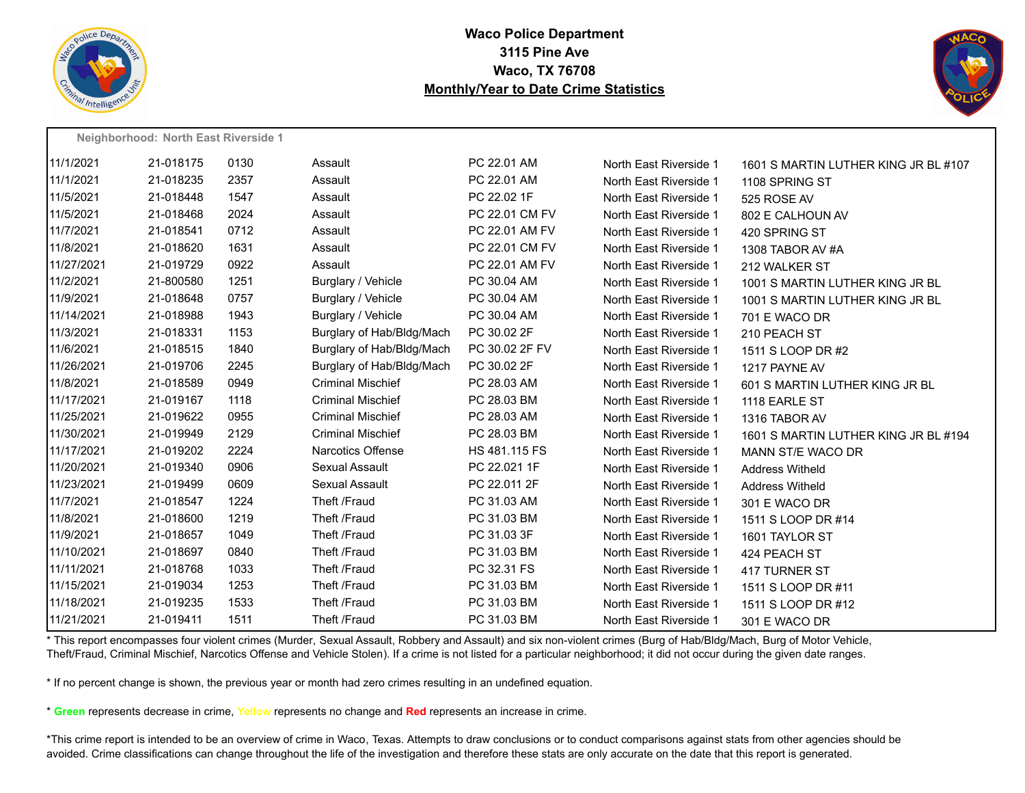



|            | Neighborhood: North East Riverside 1 |      |                           |                |                        |                                      |
|------------|--------------------------------------|------|---------------------------|----------------|------------------------|--------------------------------------|
| 11/1/2021  | 21-018175                            | 0130 | Assault                   | PC 22.01 AM    | North East Riverside 1 | 1601 S MARTIN LUTHER KING JR BL #107 |
| 11/1/2021  | 21-018235                            | 2357 | Assault                   | PC 22.01 AM    | North East Riverside 1 | 1108 SPRING ST                       |
| 11/5/2021  | 21-018448                            | 1547 | Assault                   | PC 22.02 1F    | North East Riverside 1 | 525 ROSE AV                          |
| 11/5/2021  | 21-018468                            | 2024 | Assault                   | PC 22.01 CM FV | North East Riverside 1 | 802 E CALHOUN AV                     |
| 11/7/2021  | 21-018541                            | 0712 | Assault                   | PC 22.01 AM FV | North East Riverside 1 | 420 SPRING ST                        |
| 11/8/2021  | 21-018620                            | 1631 | Assault                   | PC 22.01 CM FV | North East Riverside 1 | 1308 TABOR AV #A                     |
| 11/27/2021 | 21-019729                            | 0922 | Assault                   | PC 22.01 AM FV | North East Riverside 1 | 212 WALKER ST                        |
| 11/2/2021  | 21-800580                            | 1251 | Burglary / Vehicle        | PC 30.04 AM    | North East Riverside 1 | 1001 S MARTIN LUTHER KING JR BL      |
| 11/9/2021  | 21-018648                            | 0757 | Burglary / Vehicle        | PC 30.04 AM    | North East Riverside 1 | 1001 S MARTIN LUTHER KING JR BL      |
| 11/14/2021 | 21-018988                            | 1943 | Burglary / Vehicle        | PC 30.04 AM    | North East Riverside 1 | 701 E WACO DR                        |
| 11/3/2021  | 21-018331                            | 1153 | Burglary of Hab/Bldg/Mach | PC 30.02 2F    | North East Riverside 1 | 210 PEACH ST                         |
| 11/6/2021  | 21-018515                            | 1840 | Burglary of Hab/Bldg/Mach | PC 30.02 2F FV | North East Riverside 1 | 1511 S LOOP DR #2                    |
| 11/26/2021 | 21-019706                            | 2245 | Burglary of Hab/Bldg/Mach | PC 30.02 2F    | North East Riverside 1 | 1217 PAYNE AV                        |
| 11/8/2021  | 21-018589                            | 0949 | <b>Criminal Mischief</b>  | PC 28.03 AM    | North East Riverside 1 | 601 S MARTIN LUTHER KING JR BL       |
| 11/17/2021 | 21-019167                            | 1118 | <b>Criminal Mischief</b>  | PC 28.03 BM    | North East Riverside 1 | 1118 EARLE ST                        |
| 11/25/2021 | 21-019622                            | 0955 | <b>Criminal Mischief</b>  | PC 28.03 AM    | North East Riverside 1 | 1316 TABOR AV                        |
| 11/30/2021 | 21-019949                            | 2129 | <b>Criminal Mischief</b>  | PC 28.03 BM    | North East Riverside 1 | 1601 S MARTIN LUTHER KING JR BL #194 |
| 11/17/2021 | 21-019202                            | 2224 | <b>Narcotics Offense</b>  | HS 481.115 FS  | North East Riverside 1 | MANN ST/E WACO DR                    |
| 11/20/2021 | 21-019340                            | 0906 | Sexual Assault            | PC 22.021 1F   | North East Riverside 1 | <b>Address Witheld</b>               |
| 11/23/2021 | 21-019499                            | 0609 | Sexual Assault            | PC 22.011 2F   | North East Riverside 1 | <b>Address Witheld</b>               |
| 11/7/2021  | 21-018547                            | 1224 | Theft /Fraud              | PC 31.03 AM    | North East Riverside 1 | 301 E WACO DR                        |
| 11/8/2021  | 21-018600                            | 1219 | Theft /Fraud              | PC 31.03 BM    | North East Riverside 1 | 1511 S LOOP DR #14                   |
| 11/9/2021  | 21-018657                            | 1049 | Theft /Fraud              | PC 31.03 3F    | North East Riverside 1 | 1601 TAYLOR ST                       |
| 11/10/2021 | 21-018697                            | 0840 | Theft /Fraud              | PC 31.03 BM    | North East Riverside 1 | 424 PEACH ST                         |
| 11/11/2021 | 21-018768                            | 1033 | Theft /Fraud              | PC 32.31 FS    | North East Riverside 1 | 417 TURNER ST                        |
| 11/15/2021 | 21-019034                            | 1253 | Theft /Fraud              | PC 31.03 BM    | North East Riverside 1 | 1511 S LOOP DR #11                   |
| 11/18/2021 | 21-019235                            | 1533 | Theft /Fraud              | PC 31.03 BM    | North East Riverside 1 | 1511 S LOOP DR #12                   |
| 11/21/2021 | 21-019411                            | 1511 | Theft /Fraud              | PC 31.03 BM    | North East Riverside 1 | 301 E WACO DR                        |

\* This report encompasses four violent crimes (Murder, Sexual Assault, Robbery and Assault) and six non-violent crimes (Burg of Hab/Bldg/Mach, Burg of Motor Vehicle, Theft/Fraud, Criminal Mischief, Narcotics Offense and Vehicle Stolen). If a crime is not listed for a particular neighborhood; it did not occur during the given date ranges.

\* If no percent change is shown, the previous year or month had zero crimes resulting in an undefined equation.

\* **Green** represents decrease in crime, **Yellow** represents no change and **Red** represents an increase in crime.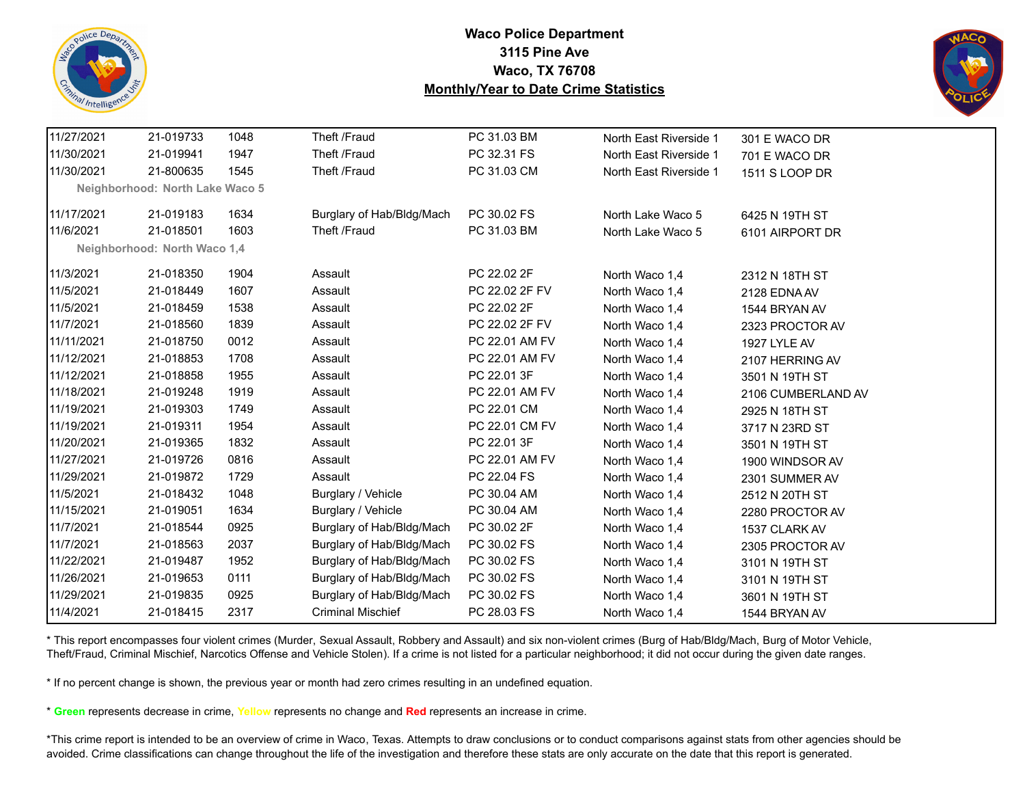



| 11/27/2021 | 21-019733                       | 1048 | Theft /Fraud              | PC 31.03 BM    | North East Riverside 1 | 301 E WACO DR      |
|------------|---------------------------------|------|---------------------------|----------------|------------------------|--------------------|
| 11/30/2021 | 21-019941                       | 1947 | Theft /Fraud              | PC 32.31 FS    | North East Riverside 1 | 701 E WACO DR      |
| 11/30/2021 | 21-800635                       | 1545 | Theft /Fraud              | PC 31.03 CM    | North East Riverside 1 | 1511 S LOOP DR     |
|            | Neighborhood: North Lake Waco 5 |      |                           |                |                        |                    |
| 11/17/2021 | 21-019183                       | 1634 | Burglary of Hab/Bldg/Mach | PC 30.02 FS    | North Lake Waco 5      |                    |
| 11/6/2021  | 21-018501                       | 1603 | Theft /Fraud              | PC 31.03 BM    | North Lake Waco 5      | 6425 N 19TH ST     |
|            |                                 |      |                           |                |                        | 6101 AIRPORT DR    |
|            | Neighborhood: North Waco 1,4    |      |                           |                |                        |                    |
| 11/3/2021  | 21-018350                       | 1904 | Assault                   | PC 22.02 2F    | North Waco 1,4         | 2312 N 18TH ST     |
| 11/5/2021  | 21-018449                       | 1607 | Assault                   | PC 22.02 2F FV | North Waco 1,4         | 2128 EDNA AV       |
| 11/5/2021  | 21-018459                       | 1538 | Assault                   | PC 22.02 2F    | North Waco 1,4         | 1544 BRYAN AV      |
| 11/7/2021  | 21-018560                       | 1839 | Assault                   | PC 22.02 2F FV | North Waco 1,4         | 2323 PROCTOR AV    |
| 11/11/2021 | 21-018750                       | 0012 | Assault                   | PC 22.01 AM FV | North Waco 1,4         | 1927 LYLE AV       |
| 11/12/2021 | 21-018853                       | 1708 | Assault                   | PC 22.01 AM FV | North Waco 1,4         | 2107 HERRING AV    |
| 11/12/2021 | 21-018858                       | 1955 | Assault                   | PC 22.01 3F    | North Waco 1,4         | 3501 N 19TH ST     |
| 11/18/2021 | 21-019248                       | 1919 | Assault                   | PC 22.01 AM FV | North Waco 1,4         | 2106 CUMBERLAND AV |
| 11/19/2021 | 21-019303                       | 1749 | Assault                   | PC 22.01 CM    | North Waco 1,4         | 2925 N 18TH ST     |
| 11/19/2021 | 21-019311                       | 1954 | Assault                   | PC 22.01 CM FV | North Waco 1,4         | 3717 N 23RD ST     |
| 11/20/2021 | 21-019365                       | 1832 | Assault                   | PC 22.01 3F    | North Waco 1,4         | 3501 N 19TH ST     |
| 11/27/2021 | 21-019726                       | 0816 | Assault                   | PC 22.01 AM FV | North Waco 1,4         | 1900 WINDSOR AV    |
| 11/29/2021 | 21-019872                       | 1729 | Assault                   | PC 22.04 FS    | North Waco 1,4         | 2301 SUMMER AV     |
| 11/5/2021  | 21-018432                       | 1048 | Burglary / Vehicle        | PC 30.04 AM    | North Waco 1,4         | 2512 N 20TH ST     |
| 11/15/2021 | 21-019051                       | 1634 | Burglary / Vehicle        | PC 30.04 AM    | North Waco 1,4         | 2280 PROCTOR AV    |
| 11/7/2021  | 21-018544                       | 0925 | Burglary of Hab/Bldg/Mach | PC 30.02 2F    | North Waco 1,4         | 1537 CLARK AV      |
| 11/7/2021  | 21-018563                       | 2037 | Burglary of Hab/Bldg/Mach | PC 30.02 FS    | North Waco 1,4         | 2305 PROCTOR AV    |
| 11/22/2021 | 21-019487                       | 1952 | Burglary of Hab/Bldg/Mach | PC 30.02 FS    | North Waco 1,4         | 3101 N 19TH ST     |
| 11/26/2021 | 21-019653                       | 0111 | Burglary of Hab/Bldg/Mach | PC 30.02 FS    | North Waco 1,4         | 3101 N 19TH ST     |
| 11/29/2021 | 21-019835                       | 0925 | Burglary of Hab/Bldg/Mach | PC 30.02 FS    | North Waco 1,4         | 3601 N 19TH ST     |
| 11/4/2021  | 21-018415                       | 2317 | <b>Criminal Mischief</b>  | PC 28.03 FS    | North Waco 1,4         | 1544 BRYAN AV      |

\* This report encompasses four violent crimes (Murder, Sexual Assault, Robbery and Assault) and six non-violent crimes (Burg of Hab/Bldg/Mach, Burg of Motor Vehicle, Theft/Fraud, Criminal Mischief, Narcotics Offense and Vehicle Stolen). If a crime is not listed for a particular neighborhood; it did not occur during the given date ranges.

\* If no percent change is shown, the previous year or month had zero crimes resulting in an undefined equation.

\* **Green** represents decrease in crime, **Yellow** represents no change and **Red** represents an increase in crime.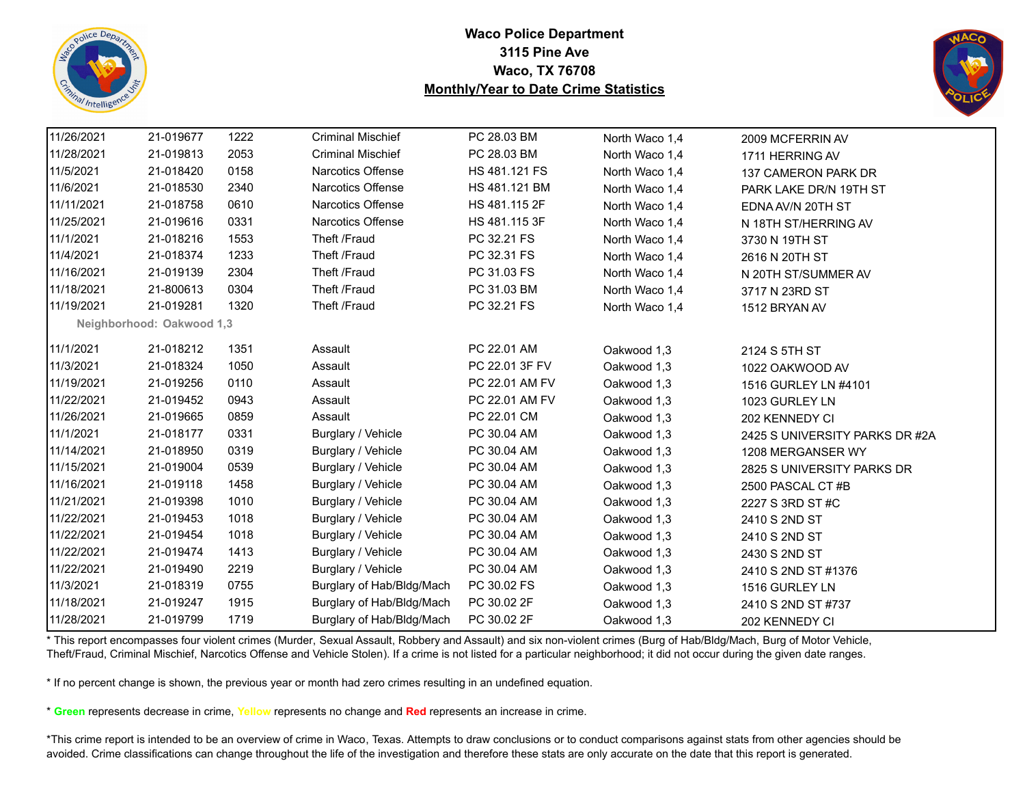



| 11/26/2021 | 21-019677                 | 1222 | <b>Criminal Mischief</b>  | PC 28.03 BM    | North Waco 1,4 | 2009 MCFERRIN AV               |
|------------|---------------------------|------|---------------------------|----------------|----------------|--------------------------------|
| 11/28/2021 | 21-019813                 | 2053 | <b>Criminal Mischief</b>  | PC 28.03 BM    | North Waco 1,4 | 1711 HERRING AV                |
| 11/5/2021  | 21-018420                 | 0158 | <b>Narcotics Offense</b>  | HS 481.121 FS  | North Waco 1,4 | 137 CAMERON PARK DR            |
| 11/6/2021  | 21-018530                 | 2340 | Narcotics Offense         | HS 481.121 BM  | North Waco 1,4 | PARK LAKE DR/N 19TH ST         |
| 11/11/2021 | 21-018758                 | 0610 | Narcotics Offense         | HS 481.115 2F  | North Waco 1,4 | EDNA AV/N 20TH ST              |
| 11/25/2021 | 21-019616                 | 0331 | Narcotics Offense         | HS 481.115 3F  | North Waco 1,4 | N 18TH ST/HERRING AV           |
| 11/1/2021  | 21-018216                 | 1553 | Theft /Fraud              | PC 32.21 FS    | North Waco 1,4 | 3730 N 19TH ST                 |
| 11/4/2021  | 21-018374                 | 1233 | Theft /Fraud              | PC 32.31 FS    | North Waco 1,4 | 2616 N 20TH ST                 |
| 11/16/2021 | 21-019139                 | 2304 | Theft /Fraud              | PC 31.03 FS    | North Waco 1,4 | N 20TH ST/SUMMER AV            |
| 11/18/2021 | 21-800613                 | 0304 | Theft /Fraud              | PC 31.03 BM    | North Waco 1,4 | 3717 N 23RD ST                 |
| 11/19/2021 | 21-019281                 | 1320 | Theft /Fraud              | PC 32.21 FS    | North Waco 1,4 | 1512 BRYAN AV                  |
|            | Neighborhood: Oakwood 1,3 |      |                           |                |                |                                |
| 11/1/2021  | 21-018212                 | 1351 | Assault                   | PC 22.01 AM    | Oakwood 1,3    | 2124 S 5TH ST                  |
| 11/3/2021  | 21-018324                 | 1050 | Assault                   | PC 22.01 3F FV | Oakwood 1,3    | 1022 OAKWOOD AV                |
| 11/19/2021 | 21-019256                 | 0110 | Assault                   | PC 22.01 AM FV | Oakwood 1,3    | 1516 GURLEY LN #4101           |
| 11/22/2021 | 21-019452                 | 0943 | Assault                   | PC 22.01 AM FV | Oakwood 1,3    | 1023 GURLEY LN                 |
| 11/26/2021 | 21-019665                 | 0859 | Assault                   | PC 22.01 CM    | Oakwood 1,3    | 202 KENNEDY CI                 |
| 11/1/2021  | 21-018177                 | 0331 | Burglary / Vehicle        | PC 30.04 AM    | Oakwood 1,3    | 2425 S UNIVERSITY PARKS DR #2A |
| 11/14/2021 | 21-018950                 | 0319 | Burglary / Vehicle        | PC 30.04 AM    | Oakwood 1,3    | 1208 MERGANSER WY              |
| 11/15/2021 | 21-019004                 | 0539 | Burglary / Vehicle        | PC 30.04 AM    | Oakwood 1,3    | 2825 S UNIVERSITY PARKS DR     |
| 11/16/2021 | 21-019118                 | 1458 | Burglary / Vehicle        | PC 30.04 AM    | Oakwood 1,3    | 2500 PASCAL CT #B              |
| 11/21/2021 | 21-019398                 | 1010 | Burglary / Vehicle        | PC 30.04 AM    | Oakwood 1,3    | 2227 S 3RD ST #C               |
| 11/22/2021 | 21-019453                 | 1018 | Burglary / Vehicle        | PC 30.04 AM    | Oakwood 1,3    | 2410 S 2ND ST                  |
| 11/22/2021 | 21-019454                 | 1018 | Burglary / Vehicle        | PC 30.04 AM    | Oakwood 1,3    | 2410 S 2ND ST                  |
| 11/22/2021 | 21-019474                 | 1413 | Burglary / Vehicle        | PC 30.04 AM    | Oakwood 1,3    | 2430 S 2ND ST                  |
| 11/22/2021 | 21-019490                 | 2219 | Burglary / Vehicle        | PC 30.04 AM    | Oakwood 1,3    | 2410 S 2ND ST #1376            |
| 11/3/2021  | 21-018319                 | 0755 | Burglary of Hab/Bldg/Mach | PC 30.02 FS    | Oakwood 1,3    | 1516 GURLEY LN                 |
| 11/18/2021 | 21-019247                 | 1915 | Burglary of Hab/Bldg/Mach | PC 30.02 2F    | Oakwood 1,3    | 2410 S 2ND ST #737             |
| 11/28/2021 | 21-019799                 | 1719 | Burglary of Hab/Bldg/Mach | PC 30.02 2F    | Oakwood 1,3    | 202 KENNEDY CI                 |

\* This report encompasses four violent crimes (Murder, Sexual Assault, Robbery and Assault) and six non-violent crimes (Burg of Hab/Bldg/Mach, Burg of Motor Vehicle, Theft/Fraud, Criminal Mischief, Narcotics Offense and Vehicle Stolen). If a crime is not listed for a particular neighborhood; it did not occur during the given date ranges.

\* If no percent change is shown, the previous year or month had zero crimes resulting in an undefined equation.

\* **Green** represents decrease in crime, **Yellow** represents no change and **Red** represents an increase in crime.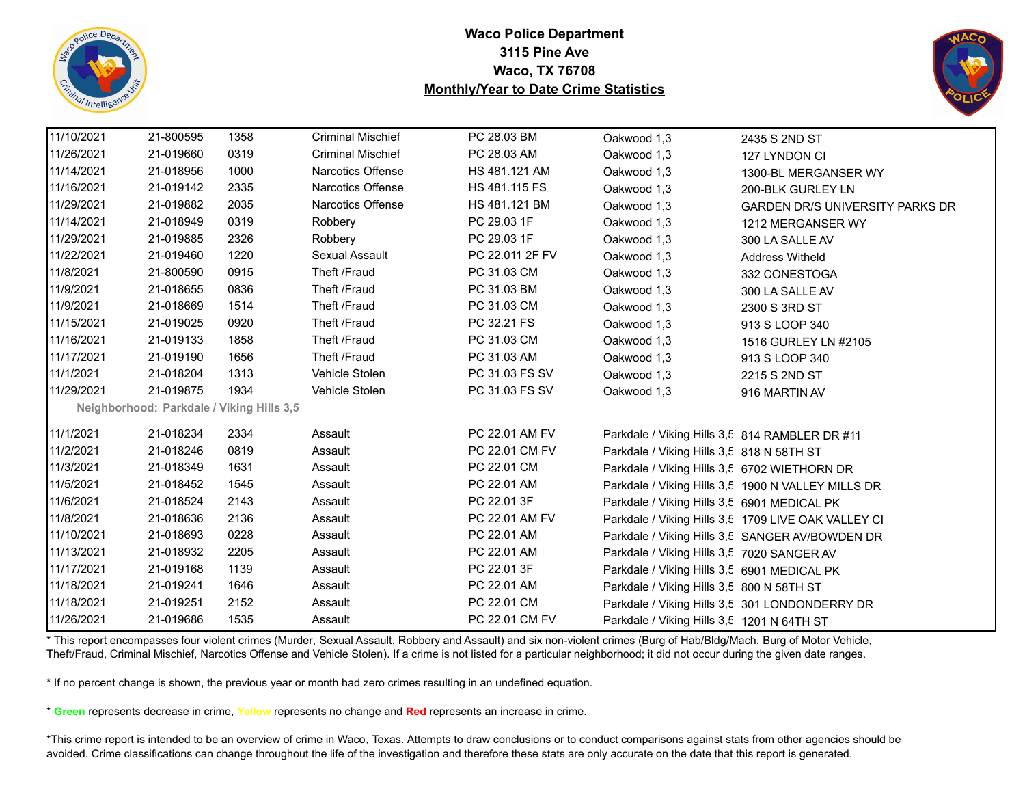



| 11/10/2021 | 21-800595 | 1358                                      | <b>Criminal Mischief</b> | PC 28.03 BM     | Oakwood 1,3                                    | 2435 S 2ND ST                                       |
|------------|-----------|-------------------------------------------|--------------------------|-----------------|------------------------------------------------|-----------------------------------------------------|
| 11/26/2021 | 21-019660 | 0319                                      | <b>Criminal Mischief</b> | PC 28.03 AM     | Oakwood 1,3                                    | 127 LYNDON CI                                       |
| 11/14/2021 | 21-018956 | 1000                                      | <b>Narcotics Offense</b> | HS 481.121 AM   | Oakwood 1,3                                    | 1300-BL MERGANSER WY                                |
| 11/16/2021 | 21-019142 | 2335                                      | <b>Narcotics Offense</b> | HS 481.115 FS   | Oakwood 1,3                                    | 200-BLK GURLEY LN                                   |
| 11/29/2021 | 21-019882 | 2035                                      | Narcotics Offense        | HS 481.121 BM   | Oakwood 1,3                                    | <b>GARDEN DR/S UNIVERSITY PARKS DR</b>              |
| 11/14/2021 | 21-018949 | 0319                                      | Robbery                  | PC 29.03 1F     | Oakwood 1,3                                    | 1212 MERGANSER WY                                   |
| 11/29/2021 | 21-019885 | 2326                                      | Robbery                  | PC 29.03 1F     | Oakwood 1,3                                    | 300 LA SALLE AV                                     |
| 11/22/2021 | 21-019460 | 1220                                      | Sexual Assault           | PC 22.011 2F FV | Oakwood 1,3                                    | <b>Address Witheld</b>                              |
| 11/8/2021  | 21-800590 | 0915                                      | Theft /Fraud             | PC 31.03 CM     | Oakwood 1,3                                    | 332 CONESTOGA                                       |
| 11/9/2021  | 21-018655 | 0836                                      | Theft /Fraud             | PC 31.03 BM     | Oakwood 1,3                                    | 300 LA SALLE AV                                     |
| 11/9/2021  | 21-018669 | 1514                                      | Theft /Fraud             | PC 31.03 CM     | Oakwood 1,3                                    | 2300 S 3RD ST                                       |
| 11/15/2021 | 21-019025 | 0920                                      | Theft /Fraud             | PC 32.21 FS     | Oakwood 1,3                                    | 913 S LOOP 340                                      |
| 11/16/2021 | 21-019133 | 1858                                      | Theft /Fraud             | PC 31.03 CM     | Oakwood 1,3                                    | 1516 GURLEY LN #2105                                |
| 11/17/2021 | 21-019190 | 1656                                      | Theft /Fraud             | PC 31.03 AM     | Oakwood 1,3                                    | 913 S LOOP 340                                      |
| 11/1/2021  | 21-018204 | 1313                                      | Vehicle Stolen           | PC 31.03 FS SV  | Oakwood 1,3                                    | 2215 S 2ND ST                                       |
| 11/29/2021 | 21-019875 | 1934                                      | Vehicle Stolen           | PC 31.03 FS SV  | Oakwood 1,3                                    | 916 MARTIN AV                                       |
|            |           | Neighborhood: Parkdale / Viking Hills 3,5 |                          |                 |                                                |                                                     |
| 11/1/2021  | 21-018234 | 2334                                      | Assault                  | PC 22.01 AM FV  | Parkdale / Viking Hills 3,5 814 RAMBLER DR #11 |                                                     |
| 11/2/2021  | 21-018246 | 0819                                      | Assault                  | PC 22.01 CM FV  | Parkdale / Viking Hills 3,5 818 N 58TH ST      |                                                     |
| 11/3/2021  | 21-018349 | 1631                                      | Assault                  | PC 22.01 CM     | Parkdale / Viking Hills 3,5 6702 WIETHORN DR   |                                                     |
| 11/5/2021  | 21-018452 | 1545                                      | Assault                  | PC 22.01 AM     |                                                | Parkdale / Viking Hills 3,5 1900 N VALLEY MILLS DR  |
| 11/6/2021  | 21-018524 | 2143                                      | Assault                  | PC 22.01 3F     | Parkdale / Viking Hills 3,5 6901 MEDICAL PK    |                                                     |
| 11/8/2021  | 21-018636 | 2136                                      | Assault                  | PC 22.01 AM FV  |                                                | Parkdale / Viking Hills 3,5 1709 LIVE OAK VALLEY CI |
| 11/10/2021 | 21-018693 | 0228                                      | Assault                  | PC 22.01 AM     |                                                | Parkdale / Viking Hills 3,5 SANGER AV/BOWDEN DR     |
| 11/13/2021 | 21-018932 | 2205                                      | Assault                  | PC 22.01 AM     | Parkdale / Viking Hills 3,5 7020 SANGER AV     |                                                     |
| 11/17/2021 | 21-019168 | 1139                                      | Assault                  | PC 22.01 3F     | Parkdale / Viking Hills 3,5 6901 MEDICAL PK    |                                                     |
| 11/18/2021 | 21-019241 | 1646                                      | Assault                  | PC 22.01 AM     | Parkdale / Viking Hills 3,5 800 N 58TH ST      |                                                     |
| 11/18/2021 | 21-019251 | 2152                                      | Assault                  | PC 22.01 CM     |                                                | Parkdale / Viking Hills 3,5 301 LONDONDERRY DR      |
| 11/26/2021 | 21-019686 | 1535                                      | Assault                  | PC 22.01 CM FV  | Parkdale / Viking Hills 3,5 1201 N 64TH ST     |                                                     |
|            |           |                                           |                          |                 |                                                |                                                     |

\* This report encompasses four violent crimes (Murder, Sexual Assault, Robbery and Assault) and six non-violent crimes (Burg of Hab/Bldg/Mach, Burg of Motor Vehicle, Theft/Fraud, Criminal Mischief, Narcotics Offense and Vehicle Stolen). If a crime is not listed for a particular neighborhood; it did not occur during the given date ranges.

\* If no percent change is shown, the previous year or month had zero crimes resulting in an undefined equation.

\* **Green** represents decrease in crime, **Yellow** represents no change and **Red** represents an increase in crime.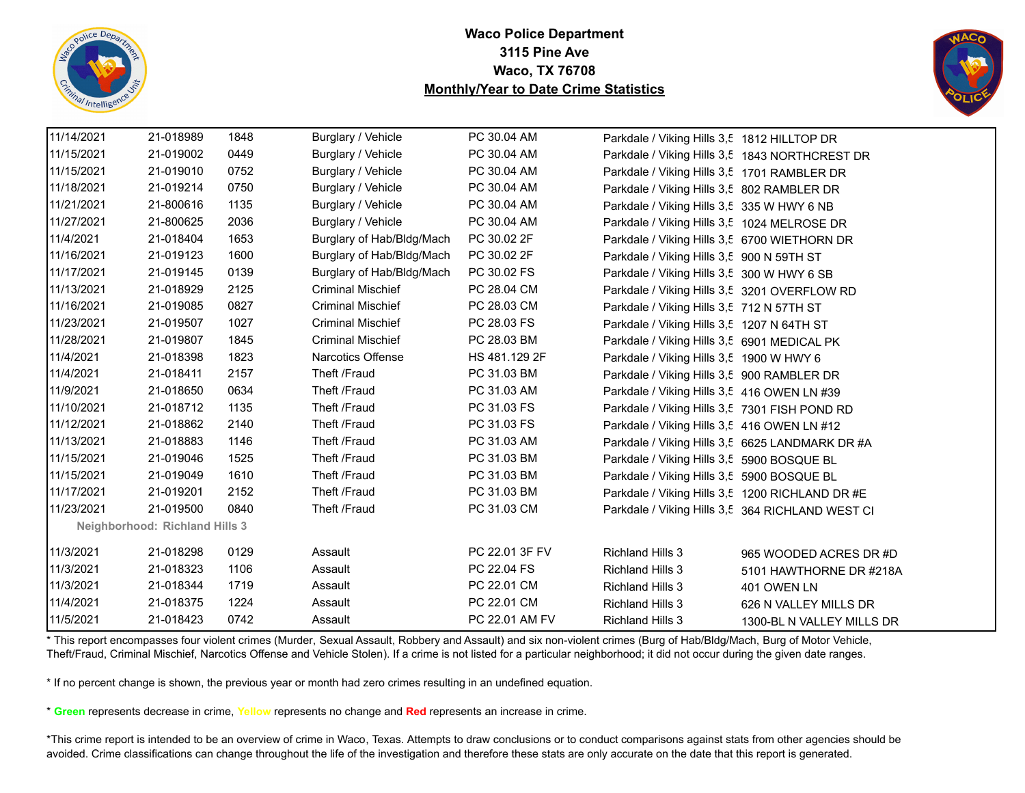



|                                       | 11/14/2021 | 21-018989 | 1848 | Burglary / Vehicle        | PC 30.04 AM    | Parkdale / Viking Hills 3,5 1812 HILLTOP DR      |                           |  |
|---------------------------------------|------------|-----------|------|---------------------------|----------------|--------------------------------------------------|---------------------------|--|
|                                       | 11/15/2021 | 21-019002 | 0449 | Burglary / Vehicle        | PC 30.04 AM    | Parkdale / Viking Hills 3,5 1843 NORTHCREST DR   |                           |  |
|                                       | 11/15/2021 | 21-019010 | 0752 | Burglary / Vehicle        | PC 30.04 AM    | Parkdale / Viking Hills 3,5 1701 RAMBLER DR      |                           |  |
|                                       | 11/18/2021 | 21-019214 | 0750 | Burglary / Vehicle        | PC 30.04 AM    | Parkdale / Viking Hills 3,5 802 RAMBLER DR       |                           |  |
|                                       | 11/21/2021 | 21-800616 | 1135 | Burglary / Vehicle        | PC 30.04 AM    | Parkdale / Viking Hills 3,5 335 W HWY 6 NB       |                           |  |
|                                       | 11/27/2021 | 21-800625 | 2036 | Burglary / Vehicle        | PC 30.04 AM    | Parkdale / Viking Hills 3,5 1024 MELROSE DR      |                           |  |
|                                       | 11/4/2021  | 21-018404 | 1653 | Burglary of Hab/Bldg/Mach | PC 30.02 2F    | Parkdale / Viking Hills 3,5 6700 WIETHORN DR     |                           |  |
|                                       | 11/16/2021 | 21-019123 | 1600 | Burglary of Hab/Bldg/Mach | PC 30.02 2F    | Parkdale / Viking Hills 3,5 900 N 59TH ST        |                           |  |
|                                       | 11/17/2021 | 21-019145 | 0139 | Burglary of Hab/Bldg/Mach | PC 30.02 FS    | Parkdale / Viking Hills 3,5 300 W HWY 6 SB       |                           |  |
|                                       | 11/13/2021 | 21-018929 | 2125 | <b>Criminal Mischief</b>  | PC 28.04 CM    | Parkdale / Viking Hills 3,5 3201 OVERFLOW RD     |                           |  |
|                                       | 11/16/2021 | 21-019085 | 0827 | <b>Criminal Mischief</b>  | PC 28.03 CM    | Parkdale / Viking Hills 3,5 712 N 57TH ST        |                           |  |
|                                       | 11/23/2021 | 21-019507 | 1027 | <b>Criminal Mischief</b>  | PC 28.03 FS    | Parkdale / Viking Hills 3,5 1207 N 64TH ST       |                           |  |
|                                       | 11/28/2021 | 21-019807 | 1845 | <b>Criminal Mischief</b>  | PC 28.03 BM    | Parkdale / Viking Hills 3,5 6901 MEDICAL PK      |                           |  |
|                                       | 11/4/2021  | 21-018398 | 1823 | <b>Narcotics Offense</b>  | HS 481.129 2F  | Parkdale / Viking Hills 3,5 1900 W HWY 6         |                           |  |
|                                       | 11/4/2021  | 21-018411 | 2157 | Theft /Fraud              | PC 31.03 BM    | Parkdale / Viking Hills 3,5 900 RAMBLER DR       |                           |  |
|                                       | 11/9/2021  | 21-018650 | 0634 | Theft /Fraud              | PC 31.03 AM    | Parkdale / Viking Hills 3,5 416 OWEN LN #39      |                           |  |
|                                       | 11/10/2021 | 21-018712 | 1135 | Theft /Fraud              | PC 31.03 FS    | Parkdale / Viking Hills 3,5 7301 FISH POND RD    |                           |  |
|                                       | 11/12/2021 | 21-018862 | 2140 | Theft /Fraud              | PC 31.03 FS    | Parkdale / Viking Hills 3,5 416 OWEN LN #12      |                           |  |
|                                       | 11/13/2021 | 21-018883 | 1146 | Theft /Fraud              | PC 31.03 AM    | Parkdale / Viking Hills 3,5 6625 LANDMARK DR #A  |                           |  |
|                                       | 11/15/2021 | 21-019046 | 1525 | Theft /Fraud              | PC 31.03 BM    | Parkdale / Viking Hills 3,5 5900 BOSQUE BL       |                           |  |
|                                       | 11/15/2021 | 21-019049 | 1610 | Theft /Fraud              | PC 31.03 BM    | Parkdale / Viking Hills 3,5 5900 BOSQUE BL       |                           |  |
|                                       | 11/17/2021 | 21-019201 | 2152 | Theft /Fraud              | PC 31.03 BM    | Parkdale / Viking Hills 3,5 1200 RICHLAND DR #E  |                           |  |
|                                       | 11/23/2021 | 21-019500 | 0840 | Theft /Fraud              | PC 31.03 CM    | Parkdale / Viking Hills 3,5 364 RICHLAND WEST CI |                           |  |
| <b>Neighborhood: Richland Hills 3</b> |            |           |      |                           |                |                                                  |                           |  |
|                                       | 11/3/2021  | 21-018298 | 0129 | Assault                   | PC 22.01 3F FV | <b>Richland Hills 3</b>                          | 965 WOODED ACRES DR #D    |  |
|                                       | 11/3/2021  | 21-018323 | 1106 | Assault                   | PC 22.04 FS    | <b>Richland Hills 3</b>                          | 5101 HAWTHORNE DR #218A   |  |
|                                       | 11/3/2021  | 21-018344 | 1719 | Assault                   | PC 22.01 CM    | <b>Richland Hills 3</b>                          | 401 OWEN LN               |  |
|                                       | 11/4/2021  | 21-018375 | 1224 | Assault                   | PC 22.01 CM    | <b>Richland Hills 3</b>                          | 626 N VALLEY MILLS DR     |  |
|                                       | 11/5/2021  | 21-018423 | 0742 | Assault                   | PC 22.01 AM FV | <b>Richland Hills 3</b>                          | 1300-BL N VALLEY MILLS DR |  |

\* This report encompasses four violent crimes (Murder, Sexual Assault, Robbery and Assault) and six non-violent crimes (Burg of Hab/Bldg/Mach, Burg of Motor Vehicle, Theft/Fraud, Criminal Mischief, Narcotics Offense and Vehicle Stolen). If a crime is not listed for a particular neighborhood; it did not occur during the given date ranges.

\* If no percent change is shown, the previous year or month had zero crimes resulting in an undefined equation.

\* **Green** represents decrease in crime, **Yellow** represents no change and **Red** represents an increase in crime.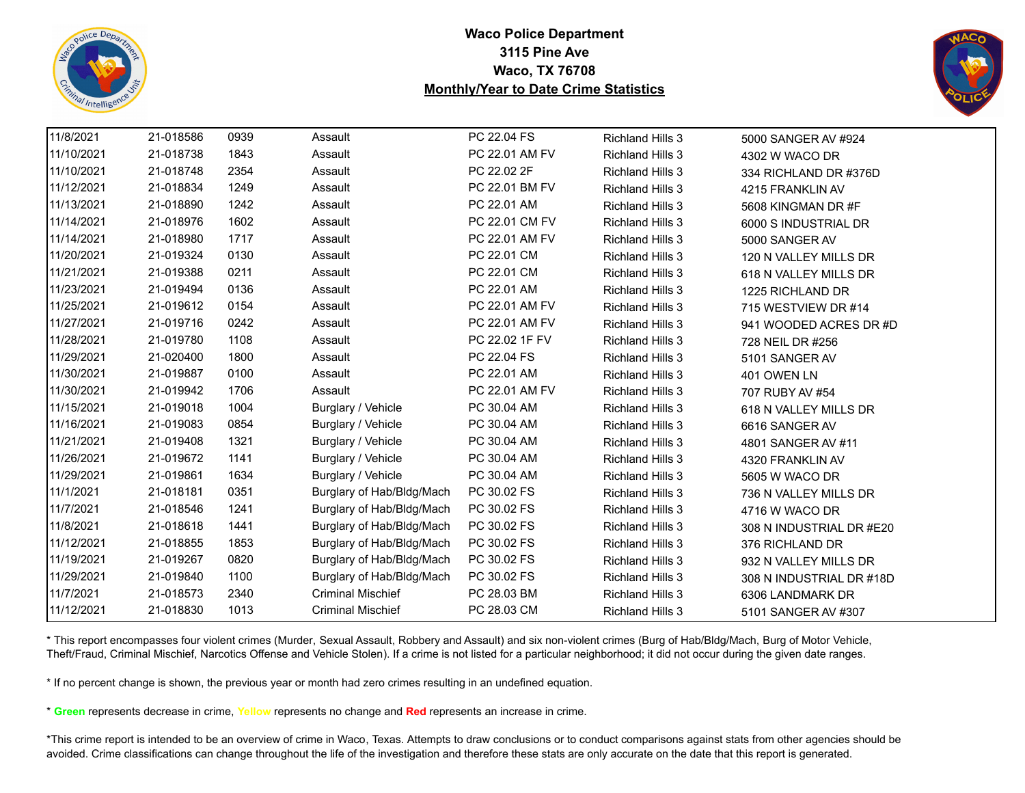



| 11/8/2021  | 21-018586 | 0939 | Assault                   | PC 22.04 FS    | <b>Richland Hills 3</b> | 5000 SANGER AV #924      |
|------------|-----------|------|---------------------------|----------------|-------------------------|--------------------------|
| 11/10/2021 | 21-018738 | 1843 | Assault                   | PC 22.01 AM FV | <b>Richland Hills 3</b> | 4302 W WACO DR           |
| 11/10/2021 | 21-018748 | 2354 | Assault                   | PC 22.02 2F    | <b>Richland Hills 3</b> | 334 RICHLAND DR #376D    |
| 11/12/2021 | 21-018834 | 1249 | Assault                   | PC 22.01 BM FV | <b>Richland Hills 3</b> | 4215 FRANKLIN AV         |
| 11/13/2021 | 21-018890 | 1242 | Assault                   | PC 22.01 AM    | <b>Richland Hills 3</b> | 5608 KINGMAN DR #F       |
| 11/14/2021 | 21-018976 | 1602 | Assault                   | PC 22.01 CM FV | <b>Richland Hills 3</b> | 6000 S INDUSTRIAL DR     |
| 11/14/2021 | 21-018980 | 1717 | Assault                   | PC 22.01 AM FV | <b>Richland Hills 3</b> | 5000 SANGER AV           |
| 11/20/2021 | 21-019324 | 0130 | Assault                   | PC 22.01 CM    | <b>Richland Hills 3</b> | 120 N VALLEY MILLS DR    |
| 11/21/2021 | 21-019388 | 0211 | Assault                   | PC 22.01 CM    | <b>Richland Hills 3</b> | 618 N VALLEY MILLS DR    |
| 11/23/2021 | 21-019494 | 0136 | Assault                   | PC 22.01 AM    | <b>Richland Hills 3</b> | 1225 RICHLAND DR         |
| 11/25/2021 | 21-019612 | 0154 | Assault                   | PC 22.01 AM FV | <b>Richland Hills 3</b> | 715 WESTVIEW DR #14      |
| 11/27/2021 | 21-019716 | 0242 | Assault                   | PC 22.01 AM FV | <b>Richland Hills 3</b> | 941 WOODED ACRES DR #D   |
| 11/28/2021 | 21-019780 | 1108 | Assault                   | PC 22.02 1F FV | <b>Richland Hills 3</b> | 728 NEIL DR #256         |
| 11/29/2021 | 21-020400 | 1800 | Assault                   | PC 22.04 FS    | <b>Richland Hills 3</b> | 5101 SANGER AV           |
| 11/30/2021 | 21-019887 | 0100 | Assault                   | PC 22.01 AM    | <b>Richland Hills 3</b> | 401 OWEN LN              |
| 11/30/2021 | 21-019942 | 1706 | Assault                   | PC 22.01 AM FV | <b>Richland Hills 3</b> | 707 RUBY AV #54          |
| 11/15/2021 | 21-019018 | 1004 | Burglary / Vehicle        | PC 30.04 AM    | <b>Richland Hills 3</b> | 618 N VALLEY MILLS DR    |
| 11/16/2021 | 21-019083 | 0854 | Burglary / Vehicle        | PC 30.04 AM    | <b>Richland Hills 3</b> | 6616 SANGER AV           |
| 11/21/2021 | 21-019408 | 1321 | Burglary / Vehicle        | PC 30.04 AM    | <b>Richland Hills 3</b> | 4801 SANGER AV #11       |
| 11/26/2021 | 21-019672 | 1141 | Burglary / Vehicle        | PC 30.04 AM    | <b>Richland Hills 3</b> | 4320 FRANKLIN AV         |
| 11/29/2021 | 21-019861 | 1634 | Burglary / Vehicle        | PC 30.04 AM    | <b>Richland Hills 3</b> | 5605 W WACO DR           |
| 11/1/2021  | 21-018181 | 0351 | Burglary of Hab/Bldg/Mach | PC 30.02 FS    | <b>Richland Hills 3</b> | 736 N VALLEY MILLS DR    |
| 11/7/2021  | 21-018546 | 1241 | Burglary of Hab/Bldg/Mach | PC 30.02 FS    | <b>Richland Hills 3</b> | 4716 W WACO DR           |
| 11/8/2021  | 21-018618 | 1441 | Burglary of Hab/Bldg/Mach | PC 30.02 FS    | <b>Richland Hills 3</b> | 308 N INDUSTRIAL DR #E20 |
| 11/12/2021 | 21-018855 | 1853 | Burglary of Hab/Bldg/Mach | PC 30.02 FS    | <b>Richland Hills 3</b> | 376 RICHLAND DR          |
| 11/19/2021 | 21-019267 | 0820 | Burglary of Hab/Bldg/Mach | PC 30.02 FS    | <b>Richland Hills 3</b> | 932 N VALLEY MILLS DR    |
| 11/29/2021 | 21-019840 | 1100 | Burglary of Hab/Bldg/Mach | PC 30.02 FS    | <b>Richland Hills 3</b> | 308 N INDUSTRIAL DR #18D |
| 11/7/2021  | 21-018573 | 2340 | <b>Criminal Mischief</b>  | PC 28.03 BM    | <b>Richland Hills 3</b> | 6306 LANDMARK DR         |
| 11/12/2021 | 21-018830 | 1013 | <b>Criminal Mischief</b>  | PC 28.03 CM    | <b>Richland Hills 3</b> | 5101 SANGER AV #307      |

\* This report encompasses four violent crimes (Murder, Sexual Assault, Robbery and Assault) and six non-violent crimes (Burg of Hab/Bldg/Mach, Burg of Motor Vehicle, Theft/Fraud, Criminal Mischief, Narcotics Offense and Vehicle Stolen). If a crime is not listed for a particular neighborhood; it did not occur during the given date ranges.

\* If no percent change is shown, the previous year or month had zero crimes resulting in an undefined equation.

\* **Green** represents decrease in crime, **Yellow** represents no change and **Red** represents an increase in crime.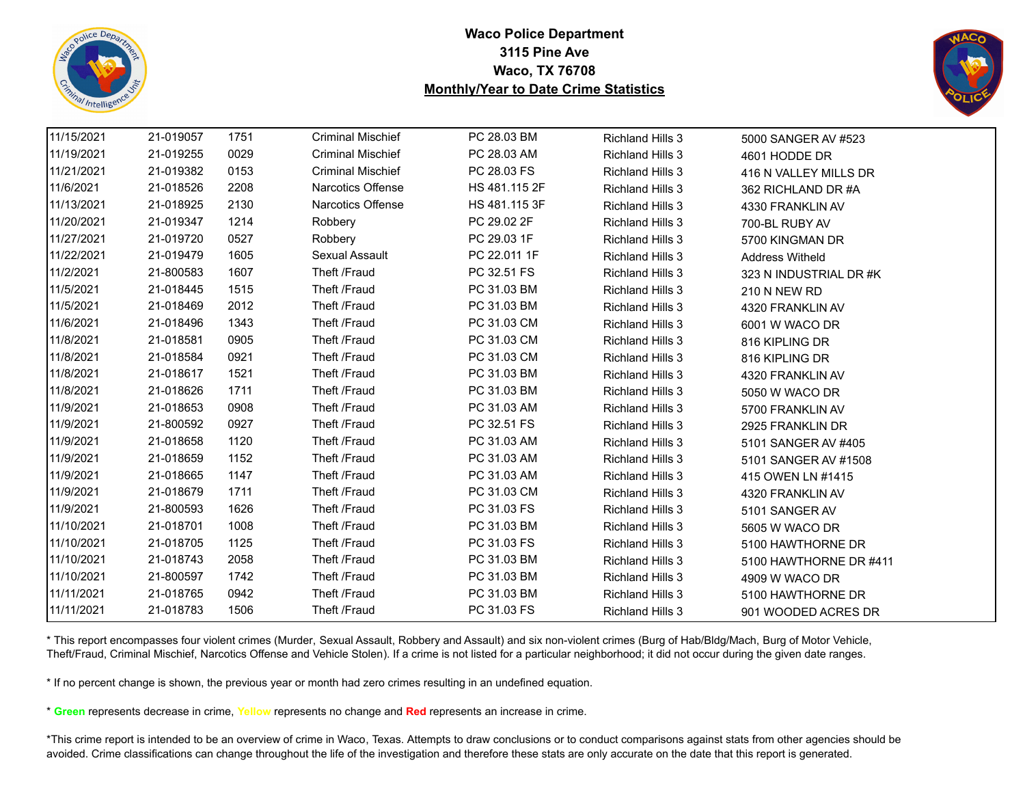



| 11/15/2021 | 21-019057 | 1751 | <b>Criminal Mischief</b> | PC 28.03 BM   | <b>Richland Hills 3</b> | 5000 SANGER AV #523    |
|------------|-----------|------|--------------------------|---------------|-------------------------|------------------------|
| 11/19/2021 | 21-019255 | 0029 | <b>Criminal Mischief</b> | PC 28.03 AM   | <b>Richland Hills 3</b> | 4601 HODDE DR          |
| 11/21/2021 | 21-019382 | 0153 | <b>Criminal Mischief</b> | PC 28.03 FS   | <b>Richland Hills 3</b> | 416 N VALLEY MILLS DR  |
| 11/6/2021  | 21-018526 | 2208 | Narcotics Offense        | HS 481.115 2F | Richland Hills 3        | 362 RICHLAND DR #A     |
| 11/13/2021 | 21-018925 | 2130 | Narcotics Offense        | HS 481.115 3F | <b>Richland Hills 3</b> | 4330 FRANKLIN AV       |
| 11/20/2021 | 21-019347 | 1214 | Robbery                  | PC 29.02 2F   | <b>Richland Hills 3</b> | 700-BL RUBY AV         |
| 11/27/2021 | 21-019720 | 0527 | Robbery                  | PC 29.03 1F   | <b>Richland Hills 3</b> | 5700 KINGMAN DR        |
| 11/22/2021 | 21-019479 | 1605 | Sexual Assault           | PC 22.011 1F  | <b>Richland Hills 3</b> | <b>Address Witheld</b> |
| 11/2/2021  | 21-800583 | 1607 | Theft /Fraud             | PC 32.51 FS   | <b>Richland Hills 3</b> | 323 N INDUSTRIAL DR #K |
| 11/5/2021  | 21-018445 | 1515 | Theft /Fraud             | PC 31.03 BM   | <b>Richland Hills 3</b> | 210 N NEW RD           |
| 11/5/2021  | 21-018469 | 2012 | Theft /Fraud             | PC 31.03 BM   | <b>Richland Hills 3</b> | 4320 FRANKLIN AV       |
| 11/6/2021  | 21-018496 | 1343 | Theft /Fraud             | PC 31.03 CM   | <b>Richland Hills 3</b> | 6001 W WACO DR         |
| 11/8/2021  | 21-018581 | 0905 | Theft /Fraud             | PC 31.03 CM   | <b>Richland Hills 3</b> | 816 KIPLING DR         |
| 11/8/2021  | 21-018584 | 0921 | Theft /Fraud             | PC 31.03 CM   | <b>Richland Hills 3</b> | 816 KIPLING DR         |
| 11/8/2021  | 21-018617 | 1521 | Theft /Fraud             | PC 31.03 BM   | <b>Richland Hills 3</b> | 4320 FRANKLIN AV       |
| 11/8/2021  | 21-018626 | 1711 | Theft /Fraud             | PC 31.03 BM   | <b>Richland Hills 3</b> | 5050 W WACO DR         |
| 11/9/2021  | 21-018653 | 0908 | Theft /Fraud             | PC 31.03 AM   | <b>Richland Hills 3</b> | 5700 FRANKLIN AV       |
| 11/9/2021  | 21-800592 | 0927 | Theft /Fraud             | PC 32.51 FS   | <b>Richland Hills 3</b> | 2925 FRANKLIN DR       |
| 11/9/2021  | 21-018658 | 1120 | Theft /Fraud             | PC 31.03 AM   | <b>Richland Hills 3</b> | 5101 SANGER AV #405    |
| 11/9/2021  | 21-018659 | 1152 | Theft /Fraud             | PC 31.03 AM   | <b>Richland Hills 3</b> | 5101 SANGER AV #1508   |
| 11/9/2021  | 21-018665 | 1147 | Theft /Fraud             | PC 31.03 AM   | <b>Richland Hills 3</b> | 415 OWEN LN #1415      |
| 11/9/2021  | 21-018679 | 1711 | Theft /Fraud             | PC 31.03 CM   | <b>Richland Hills 3</b> | 4320 FRANKLIN AV       |
| 11/9/2021  | 21-800593 | 1626 | Theft /Fraud             | PC 31.03 FS   | <b>Richland Hills 3</b> | 5101 SANGER AV         |
| 11/10/2021 | 21-018701 | 1008 | Theft /Fraud             | PC 31.03 BM   | <b>Richland Hills 3</b> | 5605 W WACO DR         |
| 11/10/2021 | 21-018705 | 1125 | Theft /Fraud             | PC 31.03 FS   | <b>Richland Hills 3</b> | 5100 HAWTHORNE DR      |
| 11/10/2021 | 21-018743 | 2058 | Theft /Fraud             | PC 31.03 BM   | <b>Richland Hills 3</b> | 5100 HAWTHORNE DR #411 |
| 11/10/2021 | 21-800597 | 1742 | Theft /Fraud             | PC 31.03 BM   | <b>Richland Hills 3</b> | 4909 W WACO DR         |
| 11/11/2021 | 21-018765 | 0942 | Theft /Fraud             | PC 31.03 BM   | <b>Richland Hills 3</b> | 5100 HAWTHORNE DR      |
| 11/11/2021 | 21-018783 | 1506 | Theft /Fraud             | PC 31.03 FS   | <b>Richland Hills 3</b> | 901 WOODED ACRES DR    |

\* This report encompasses four violent crimes (Murder, Sexual Assault, Robbery and Assault) and six non-violent crimes (Burg of Hab/Bldg/Mach, Burg of Motor Vehicle, Theft/Fraud, Criminal Mischief, Narcotics Offense and Vehicle Stolen). If a crime is not listed for a particular neighborhood; it did not occur during the given date ranges.

\* If no percent change is shown, the previous year or month had zero crimes resulting in an undefined equation.

\* **Green** represents decrease in crime, **Yellow** represents no change and **Red** represents an increase in crime.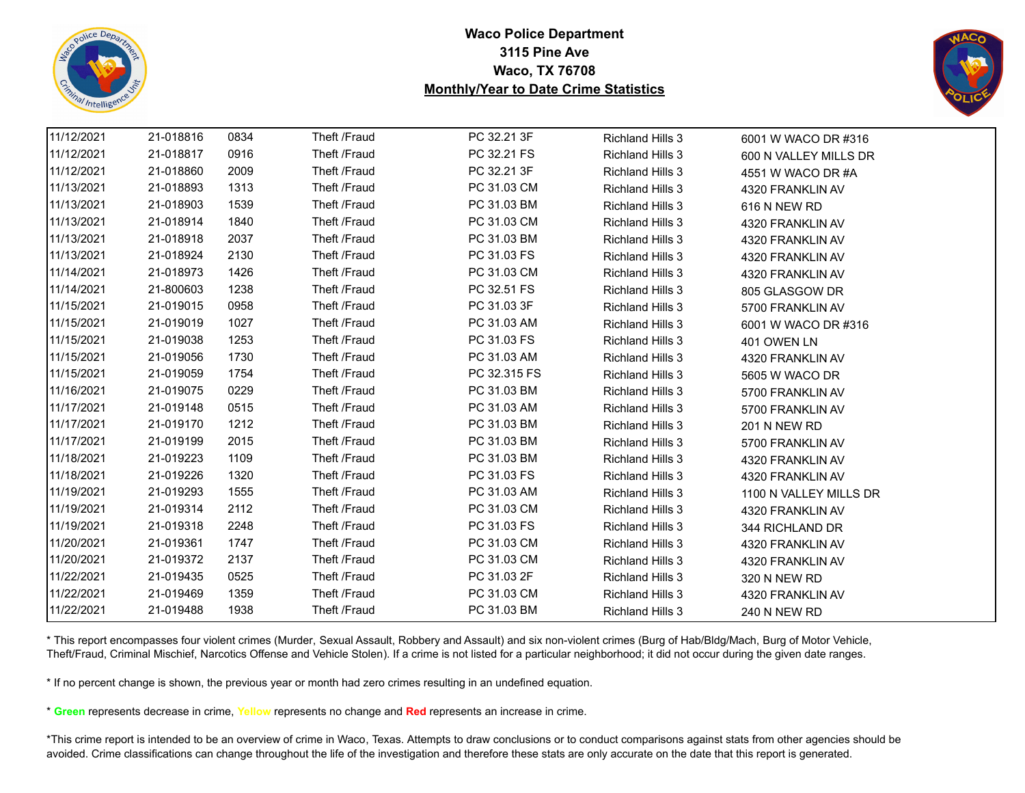



| 11/12/2021 | 21-018816 | 0834 | Theft /Fraud | PC 32.21 3F  | <b>Richland Hills 3</b> | 6001 W WACO DR #316    |
|------------|-----------|------|--------------|--------------|-------------------------|------------------------|
| 11/12/2021 | 21-018817 | 0916 | Theft /Fraud | PC 32.21 FS  | <b>Richland Hills 3</b> | 600 N VALLEY MILLS DR  |
| 11/12/2021 | 21-018860 | 2009 | Theft /Fraud | PC 32.21 3F  | <b>Richland Hills 3</b> | 4551 W WACO DR #A      |
| 11/13/2021 | 21-018893 | 1313 | Theft /Fraud | PC 31.03 CM  | <b>Richland Hills 3</b> | 4320 FRANKLIN AV       |
| 11/13/2021 | 21-018903 | 1539 | Theft /Fraud | PC 31.03 BM  | <b>Richland Hills 3</b> | 616 N NEW RD           |
| 11/13/2021 | 21-018914 | 1840 | Theft /Fraud | PC 31.03 CM  | <b>Richland Hills 3</b> | 4320 FRANKLIN AV       |
| 11/13/2021 | 21-018918 | 2037 | Theft /Fraud | PC 31.03 BM  | <b>Richland Hills 3</b> | 4320 FRANKLIN AV       |
| 11/13/2021 | 21-018924 | 2130 | Theft /Fraud | PC 31.03 FS  | <b>Richland Hills 3</b> | 4320 FRANKLIN AV       |
| 11/14/2021 | 21-018973 | 1426 | Theft /Fraud | PC 31.03 CM  | <b>Richland Hills 3</b> | 4320 FRANKLIN AV       |
| 11/14/2021 | 21-800603 | 1238 | Theft /Fraud | PC 32.51 FS  | <b>Richland Hills 3</b> | 805 GLASGOW DR         |
| 11/15/2021 | 21-019015 | 0958 | Theft /Fraud | PC 31.03 3F  | <b>Richland Hills 3</b> | 5700 FRANKLIN AV       |
| 11/15/2021 | 21-019019 | 1027 | Theft /Fraud | PC 31.03 AM  | <b>Richland Hills 3</b> | 6001 W WACO DR #316    |
| 11/15/2021 | 21-019038 | 1253 | Theft /Fraud | PC 31.03 FS  | <b>Richland Hills 3</b> | 401 OWEN LN            |
| 11/15/2021 | 21-019056 | 1730 | Theft /Fraud | PC 31.03 AM  | <b>Richland Hills 3</b> | 4320 FRANKLIN AV       |
| 11/15/2021 | 21-019059 | 1754 | Theft /Fraud | PC 32.315 FS | <b>Richland Hills 3</b> | 5605 W WACO DR         |
| 11/16/2021 | 21-019075 | 0229 | Theft /Fraud | PC 31.03 BM  | <b>Richland Hills 3</b> | 5700 FRANKLIN AV       |
| 11/17/2021 | 21-019148 | 0515 | Theft /Fraud | PC 31.03 AM  | <b>Richland Hills 3</b> | 5700 FRANKLIN AV       |
| 11/17/2021 | 21-019170 | 1212 | Theft /Fraud | PC 31.03 BM  | <b>Richland Hills 3</b> | 201 N NEW RD           |
| 11/17/2021 | 21-019199 | 2015 | Theft /Fraud | PC 31.03 BM  | <b>Richland Hills 3</b> | 5700 FRANKLIN AV       |
| 11/18/2021 | 21-019223 | 1109 | Theft /Fraud | PC 31.03 BM  | <b>Richland Hills 3</b> | 4320 FRANKLIN AV       |
| 11/18/2021 | 21-019226 | 1320 | Theft /Fraud | PC 31.03 FS  | <b>Richland Hills 3</b> | 4320 FRANKLIN AV       |
| 11/19/2021 | 21-019293 | 1555 | Theft /Fraud | PC 31.03 AM  | <b>Richland Hills 3</b> | 1100 N VALLEY MILLS DR |
| 11/19/2021 | 21-019314 | 2112 | Theft /Fraud | PC 31.03 CM  | <b>Richland Hills 3</b> | 4320 FRANKLIN AV       |
| 11/19/2021 | 21-019318 | 2248 | Theft /Fraud | PC 31.03 FS  | <b>Richland Hills 3</b> | 344 RICHLAND DR        |
| 11/20/2021 | 21-019361 | 1747 | Theft /Fraud | PC 31.03 CM  | <b>Richland Hills 3</b> | 4320 FRANKLIN AV       |
| 11/20/2021 | 21-019372 | 2137 | Theft /Fraud | PC 31.03 CM  | <b>Richland Hills 3</b> | 4320 FRANKLIN AV       |
| 11/22/2021 | 21-019435 | 0525 | Theft /Fraud | PC 31.03 2F  | <b>Richland Hills 3</b> | 320 N NEW RD           |
| 11/22/2021 | 21-019469 | 1359 | Theft /Fraud | PC 31.03 CM  | <b>Richland Hills 3</b> | 4320 FRANKLIN AV       |
| 11/22/2021 | 21-019488 | 1938 | Theft /Fraud | PC 31.03 BM  | <b>Richland Hills 3</b> | <b>240 N NEW RD</b>    |

\* This report encompasses four violent crimes (Murder, Sexual Assault, Robbery and Assault) and six non-violent crimes (Burg of Hab/Bldg/Mach, Burg of Motor Vehicle, Theft/Fraud, Criminal Mischief, Narcotics Offense and Vehicle Stolen). If a crime is not listed for a particular neighborhood; it did not occur during the given date ranges.

\* If no percent change is shown, the previous year or month had zero crimes resulting in an undefined equation.

\* **Green** represents decrease in crime, **Yellow** represents no change and **Red** represents an increase in crime.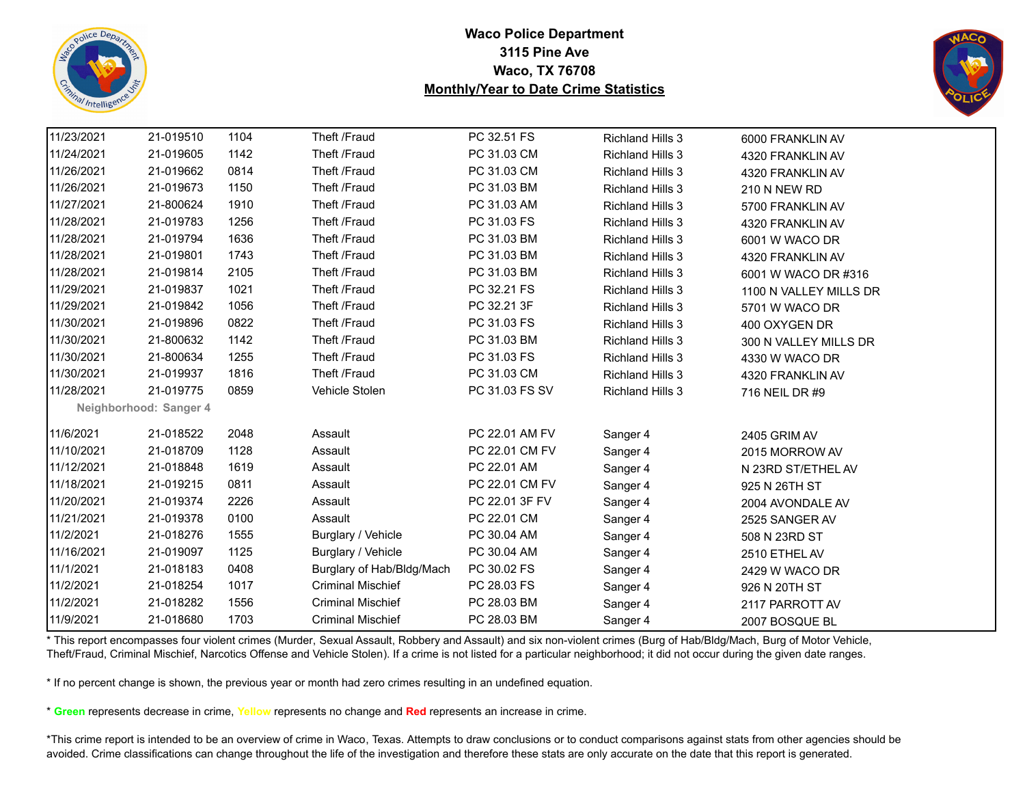



| 11/23/2021 | 21-019510              | 1104 | Theft /Fraud              | PC 32.51 FS    | <b>Richland Hills 3</b> | 6000 FRANKLIN AV       |
|------------|------------------------|------|---------------------------|----------------|-------------------------|------------------------|
| 11/24/2021 | 21-019605              | 1142 | Theft /Fraud              | PC 31.03 CM    | <b>Richland Hills 3</b> | 4320 FRANKLIN AV       |
| 11/26/2021 | 21-019662              | 0814 | Theft /Fraud              | PC 31.03 CM    | <b>Richland Hills 3</b> | 4320 FRANKLIN AV       |
| 11/26/2021 | 21-019673              | 1150 | Theft /Fraud              | PC 31.03 BM    | <b>Richland Hills 3</b> | <b>210 N NEW RD</b>    |
| 11/27/2021 | 21-800624              | 1910 | Theft /Fraud              | PC 31.03 AM    | <b>Richland Hills 3</b> | 5700 FRANKLIN AV       |
| 11/28/2021 | 21-019783              | 1256 | Theft /Fraud              | PC 31.03 FS    | <b>Richland Hills 3</b> | 4320 FRANKLIN AV       |
| 11/28/2021 | 21-019794              | 1636 | Theft /Fraud              | PC 31.03 BM    | <b>Richland Hills 3</b> | 6001 W WACO DR         |
| 11/28/2021 | 21-019801              | 1743 | Theft /Fraud              | PC 31.03 BM    | <b>Richland Hills 3</b> | 4320 FRANKLIN AV       |
| 11/28/2021 | 21-019814              | 2105 | Theft /Fraud              | PC 31.03 BM    | Richland Hills 3        | 6001 W WACO DR #316    |
| 11/29/2021 | 21-019837              | 1021 | Theft /Fraud              | PC 32.21 FS    | Richland Hills 3        | 1100 N VALLEY MILLS DR |
| 11/29/2021 | 21-019842              | 1056 | Theft /Fraud              | PC 32.21 3F    | <b>Richland Hills 3</b> | 5701 W WACO DR         |
| 11/30/2021 | 21-019896              | 0822 | Theft /Fraud              | PC 31.03 FS    | <b>Richland Hills 3</b> | 400 OXYGEN DR          |
| 11/30/2021 | 21-800632              | 1142 | Theft /Fraud              | PC 31.03 BM    | <b>Richland Hills 3</b> | 300 N VALLEY MILLS DR  |
| 11/30/2021 | 21-800634              | 1255 | Theft /Fraud              | PC 31.03 FS    | <b>Richland Hills 3</b> | 4330 W WACO DR         |
| 11/30/2021 | 21-019937              | 1816 | Theft /Fraud              | PC 31.03 CM    | <b>Richland Hills 3</b> | 4320 FRANKLIN AV       |
| 11/28/2021 | 21-019775              | 0859 | Vehicle Stolen            | PC 31.03 FS SV | <b>Richland Hills 3</b> | 716 NEIL DR #9         |
|            | Neighborhood: Sanger 4 |      |                           |                |                         |                        |
| 11/6/2021  | 21-018522              | 2048 | Assault                   | PC 22.01 AM FV | Sanger 4                | <b>2405 GRIM AV</b>    |
| 11/10/2021 | 21-018709              | 1128 | Assault                   | PC 22.01 CM FV | Sanger 4                | 2015 MORROW AV         |
| 11/12/2021 | 21-018848              | 1619 | Assault                   | PC 22.01 AM    | Sanger 4                | N 23RD ST/ETHEL AV     |
| 11/18/2021 | 21-019215              | 0811 | Assault                   | PC 22.01 CM FV | Sanger 4                | 925 N 26TH ST          |
| 11/20/2021 | 21-019374              | 2226 | Assault                   | PC 22.01 3F FV | Sanger 4                | 2004 AVONDALE AV       |
| 11/21/2021 | 21-019378              | 0100 | Assault                   | PC 22.01 CM    | Sanger 4                | 2525 SANGER AV         |
| 11/2/2021  | 21-018276              | 1555 | Burglary / Vehicle        | PC 30.04 AM    | Sanger 4                | 508 N 23RD ST          |
| 11/16/2021 | 21-019097              | 1125 | Burglary / Vehicle        | PC 30.04 AM    | Sanger 4                | 2510 ETHEL AV          |
| 11/1/2021  | 21-018183              | 0408 | Burglary of Hab/Bldg/Mach | PC 30.02 FS    | Sanger 4                | 2429 W WACO DR         |
| 11/2/2021  | 21-018254              | 1017 | <b>Criminal Mischief</b>  | PC 28.03 FS    | Sanger 4                | 926 N 20TH ST          |
| 11/2/2021  | 21-018282              | 1556 | <b>Criminal Mischief</b>  | PC 28.03 BM    | Sanger 4                | 2117 PARROTT AV        |
| 11/9/2021  | 21-018680              | 1703 | <b>Criminal Mischief</b>  | PC 28.03 BM    | Sanger 4                | 2007 BOSQUE BL         |

\* This report encompasses four violent crimes (Murder, Sexual Assault, Robbery and Assault) and six non-violent crimes (Burg of Hab/Bldg/Mach, Burg of Motor Vehicle, Theft/Fraud, Criminal Mischief, Narcotics Offense and Vehicle Stolen). If a crime is not listed for a particular neighborhood; it did not occur during the given date ranges.

\* If no percent change is shown, the previous year or month had zero crimes resulting in an undefined equation.

\* **Green** represents decrease in crime, **Yellow** represents no change and **Red** represents an increase in crime.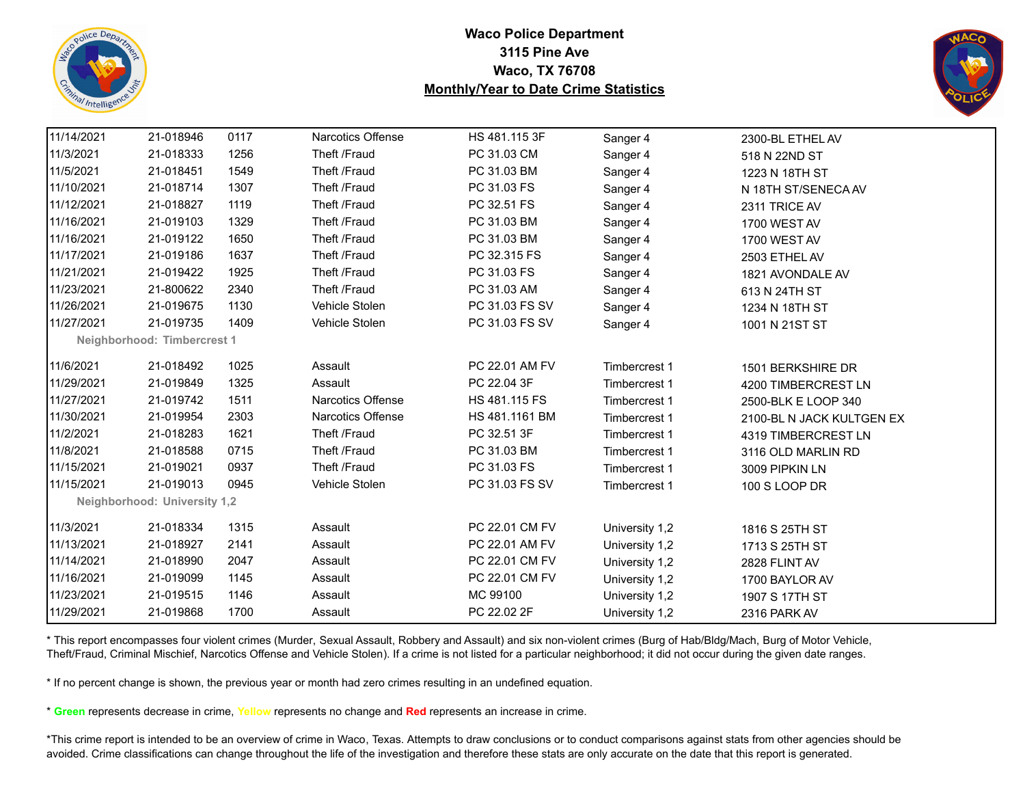



| 11/14/2021 | 21-018946                           | 0117 | Narcotics Offense        | HS 481.115 3F  | Sanger 4       | 2300-BL ETHEL AV          |  |
|------------|-------------------------------------|------|--------------------------|----------------|----------------|---------------------------|--|
| 11/3/2021  | 21-018333                           | 1256 | Theft /Fraud             | PC 31.03 CM    | Sanger 4       | 518 N 22ND ST             |  |
| 11/5/2021  | 21-018451                           | 1549 | Theft /Fraud             | PC 31.03 BM    | Sanger 4       | 1223 N 18TH ST            |  |
| 11/10/2021 | 21-018714                           | 1307 | Theft /Fraud             | PC 31.03 FS    | Sanger 4       | N 18TH ST/SENECA AV       |  |
| 11/12/2021 | 21-018827                           | 1119 | Theft /Fraud             | PC 32.51 FS    | Sanger 4       | 2311 TRICE AV             |  |
| 11/16/2021 | 21-019103                           | 1329 | Theft /Fraud             | PC 31.03 BM    | Sanger 4       | 1700 WEST AV              |  |
| 11/16/2021 | 21-019122                           | 1650 | Theft /Fraud             | PC 31.03 BM    | Sanger 4       | 1700 WEST AV              |  |
| 11/17/2021 | 21-019186                           | 1637 | Theft /Fraud             | PC 32.315 FS   | Sanger 4       | 2503 ETHEL AV             |  |
| 11/21/2021 | 21-019422                           | 1925 | Theft /Fraud             | PC 31.03 FS    | Sanger 4       | 1821 AVONDALE AV          |  |
| 11/23/2021 | 21-800622                           | 2340 | Theft /Fraud             | PC 31.03 AM    | Sanger 4       | 613 N 24TH ST             |  |
| 11/26/2021 | 21-019675                           | 1130 | Vehicle Stolen           | PC 31.03 FS SV | Sanger 4       | 1234 N 18TH ST            |  |
| 11/27/2021 | 21-019735                           | 1409 | Vehicle Stolen           | PC 31.03 FS SV | Sanger 4       | 1001 N 21ST ST            |  |
|            | Neighborhood: Timbercrest 1         |      |                          |                |                |                           |  |
| 11/6/2021  | 21-018492                           | 1025 | Assault                  | PC 22.01 AM FV | Timbercrest 1  | 1501 BERKSHIRE DR         |  |
| 11/29/2021 | 21-019849                           | 1325 | Assault                  | PC 22.04 3F    | Timbercrest 1  | 4200 TIMBERCREST LN       |  |
| 11/27/2021 | 21-019742                           | 1511 | <b>Narcotics Offense</b> | HS 481.115 FS  | Timbercrest 1  | 2500-BLK E LOOP 340       |  |
| 11/30/2021 | 21-019954                           | 2303 | <b>Narcotics Offense</b> | HS 481.1161 BM | Timbercrest 1  | 2100-BL N JACK KULTGEN EX |  |
| 11/2/2021  | 21-018283                           | 1621 | Theft /Fraud             | PC 32.51 3F    | Timbercrest 1  | 4319 TIMBERCREST LN       |  |
| 11/8/2021  | 21-018588                           | 0715 | Theft /Fraud             | PC 31.03 BM    | Timbercrest 1  | 3116 OLD MARLIN RD        |  |
| 11/15/2021 | 21-019021                           | 0937 | Theft /Fraud             | PC 31.03 FS    | Timbercrest 1  | 3009 PIPKIN LN            |  |
| 11/15/2021 | 21-019013                           | 0945 | Vehicle Stolen           | PC 31.03 FS SV | Timbercrest 1  | 100 S LOOP DR             |  |
|            | <b>Neighborhood: University 1,2</b> |      |                          |                |                |                           |  |
| 11/3/2021  | 21-018334                           | 1315 | Assault                  | PC 22.01 CM FV | University 1,2 | 1816 S 25TH ST            |  |
| 11/13/2021 | 21-018927                           | 2141 | Assault                  | PC 22.01 AM FV | University 1,2 | 1713 S 25TH ST            |  |
| 11/14/2021 | 21-018990                           | 2047 | Assault                  | PC 22.01 CM FV | University 1,2 | 2828 FLINT AV             |  |
| 11/16/2021 | 21-019099                           | 1145 | Assault                  | PC 22.01 CM FV | University 1,2 | 1700 BAYLOR AV            |  |
| 11/23/2021 | 21-019515                           | 1146 | Assault                  | MC 99100       | University 1,2 | 1907 S 17TH ST            |  |
| 11/29/2021 | 21-019868                           | 1700 | Assault                  | PC 22.02 2F    | University 1,2 | 2316 PARK AV              |  |
|            |                                     |      |                          |                |                |                           |  |

\* This report encompasses four violent crimes (Murder, Sexual Assault, Robbery and Assault) and six non-violent crimes (Burg of Hab/Bldg/Mach, Burg of Motor Vehicle, Theft/Fraud, Criminal Mischief, Narcotics Offense and Vehicle Stolen). If a crime is not listed for a particular neighborhood; it did not occur during the given date ranges.

\* If no percent change is shown, the previous year or month had zero crimes resulting in an undefined equation.

\* **Green** represents decrease in crime, **Yellow** represents no change and **Red** represents an increase in crime.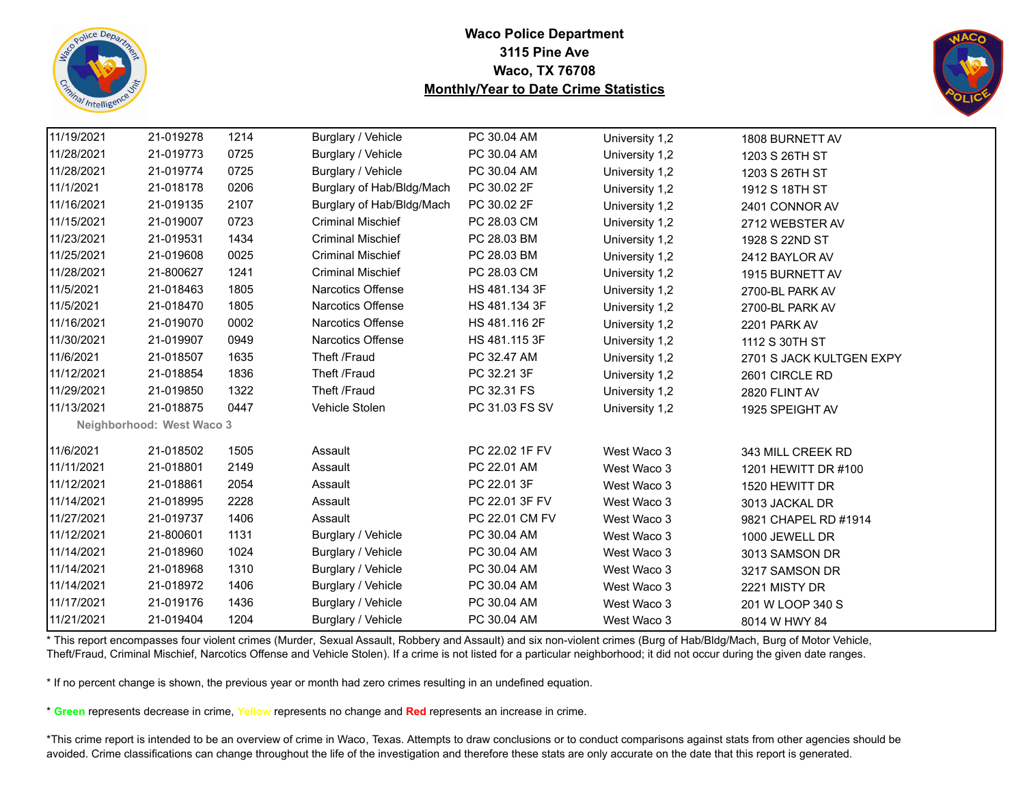



| 11/19/2021 | 21-019278                 | 1214 | Burglary / Vehicle        | PC 30.04 AM    | University 1,2 | 1808 BURNETT AV          |
|------------|---------------------------|------|---------------------------|----------------|----------------|--------------------------|
| 11/28/2021 | 21-019773                 | 0725 | Burglary / Vehicle        | PC 30.04 AM    | University 1,2 | 1203 S 26TH ST           |
| 11/28/2021 | 21-019774                 | 0725 | Burglary / Vehicle        | PC 30.04 AM    | University 1,2 | 1203 S 26TH ST           |
| 11/1/2021  | 21-018178                 | 0206 | Burglary of Hab/Bldg/Mach | PC 30.02 2F    | University 1,2 | 1912 S 18TH ST           |
| 11/16/2021 | 21-019135                 | 2107 | Burglary of Hab/Bldg/Mach | PC 30.02 2F    | University 1,2 | 2401 CONNOR AV           |
| 11/15/2021 | 21-019007                 | 0723 | <b>Criminal Mischief</b>  | PC 28.03 CM    | University 1,2 | 2712 WEBSTER AV          |
| 11/23/2021 | 21-019531                 | 1434 | <b>Criminal Mischief</b>  | PC 28.03 BM    | University 1,2 | 1928 S 22ND ST           |
| 11/25/2021 | 21-019608                 | 0025 | <b>Criminal Mischief</b>  | PC 28.03 BM    | University 1,2 | 2412 BAYLOR AV           |
| 11/28/2021 | 21-800627                 | 1241 | <b>Criminal Mischief</b>  | PC 28.03 CM    | University 1,2 | 1915 BURNETT AV          |
| 11/5/2021  | 21-018463                 | 1805 | Narcotics Offense         | HS 481.134 3F  | University 1,2 | 2700-BL PARK AV          |
| 11/5/2021  | 21-018470                 | 1805 | Narcotics Offense         | HS 481.134 3F  | University 1,2 | 2700-BL PARK AV          |
| 11/16/2021 | 21-019070                 | 0002 | Narcotics Offense         | HS 481.116 2F  | University 1,2 | 2201 PARK AV             |
| 11/30/2021 | 21-019907                 | 0949 | Narcotics Offense         | HS 481.115 3F  | University 1,2 | 1112 S 30TH ST           |
| 11/6/2021  | 21-018507                 | 1635 | Theft /Fraud              | PC 32.47 AM    | University 1,2 | 2701 S JACK KULTGEN EXPY |
| 11/12/2021 | 21-018854                 | 1836 | Theft /Fraud              | PC 32.21 3F    | University 1,2 | 2601 CIRCLE RD           |
| 11/29/2021 | 21-019850                 | 1322 | Theft /Fraud              | PC 32.31 FS    | University 1,2 | 2820 FLINT AV            |
| 11/13/2021 | 21-018875                 | 0447 | Vehicle Stolen            | PC 31.03 FS SV | University 1,2 | 1925 SPEIGHT AV          |
|            | Neighborhood: West Waco 3 |      |                           |                |                |                          |
| 11/6/2021  | 21-018502                 | 1505 | Assault                   | PC 22.02 1F FV | West Waco 3    | 343 MILL CREEK RD        |
| 11/11/2021 | 21-018801                 | 2149 | Assault                   | PC 22.01 AM    | West Waco 3    | 1201 HEWITT DR #100      |
| 11/12/2021 | 21-018861                 | 2054 | Assault                   | PC 22.01 3F    | West Waco 3    | 1520 HEWITT DR           |
| 11/14/2021 | 21-018995                 | 2228 | Assault                   | PC 22.01 3F FV | West Waco 3    | 3013 JACKAL DR           |
| 11/27/2021 | 21-019737                 | 1406 | Assault                   | PC 22.01 CM FV | West Waco 3    | 9821 CHAPEL RD #1914     |
| 11/12/2021 | 21-800601                 | 1131 | Burglary / Vehicle        | PC 30.04 AM    | West Waco 3    | 1000 JEWELL DR           |
| 11/14/2021 | 21-018960                 | 1024 | Burglary / Vehicle        | PC 30.04 AM    | West Waco 3    | 3013 SAMSON DR           |
| 11/14/2021 | 21-018968                 | 1310 | Burglary / Vehicle        | PC 30.04 AM    | West Waco 3    | 3217 SAMSON DR           |
| 11/14/2021 | 21-018972                 | 1406 | Burglary / Vehicle        | PC 30.04 AM    | West Waco 3    | 2221 MISTY DR            |
| 11/17/2021 | 21-019176                 | 1436 | Burglary / Vehicle        | PC 30.04 AM    | West Waco 3    | 201 W LOOP 340 S         |
| 11/21/2021 | 21-019404                 | 1204 | Burglary / Vehicle        | PC 30.04 AM    | West Waco 3    | 8014 W HWY 84            |
|            |                           |      |                           |                |                |                          |

\* This report encompasses four violent crimes (Murder, Sexual Assault, Robbery and Assault) and six non-violent crimes (Burg of Hab/Bldg/Mach, Burg of Motor Vehicle, Theft/Fraud, Criminal Mischief, Narcotics Offense and Vehicle Stolen). If a crime is not listed for a particular neighborhood; it did not occur during the given date ranges.

\* If no percent change is shown, the previous year or month had zero crimes resulting in an undefined equation.

\* **Green** represents decrease in crime, **Yellow** represents no change and **Red** represents an increase in crime.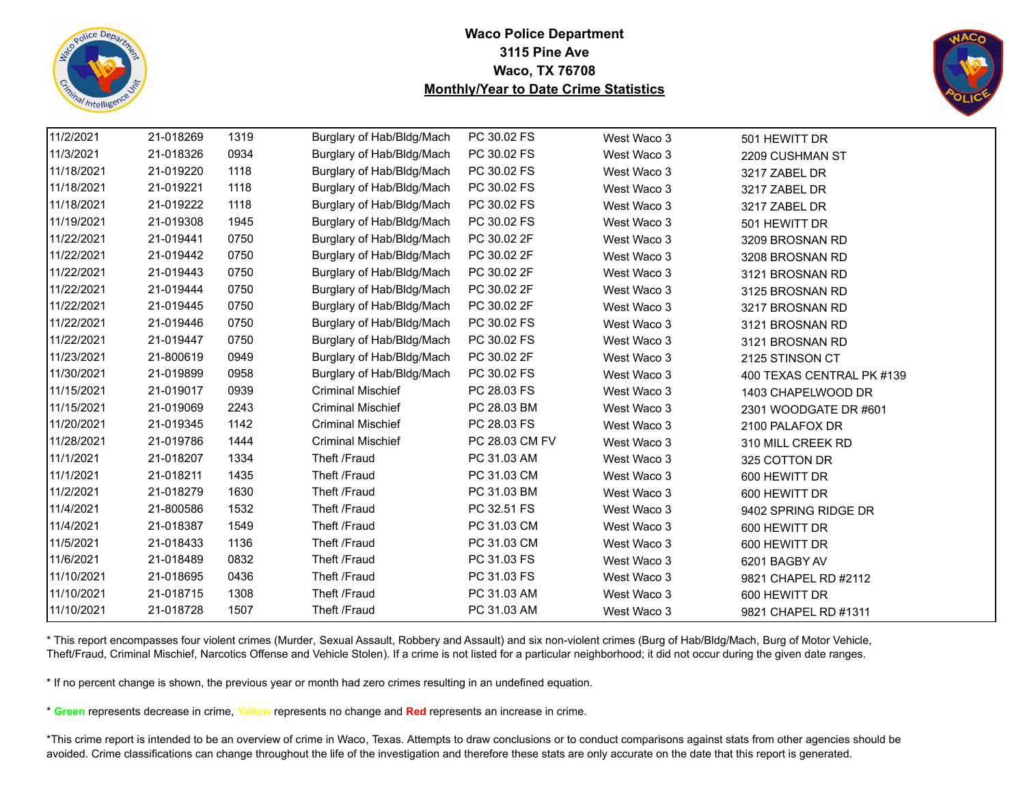



| 11/2/2021  | 21-018269 | 1319 | Burglary of Hab/Bldg/Mach | PC 30.02 FS    | West Waco 3 | 501 HEWITT DR             |
|------------|-----------|------|---------------------------|----------------|-------------|---------------------------|
| 11/3/2021  | 21-018326 | 0934 | Burglary of Hab/Bldg/Mach | PC 30.02 FS    | West Waco 3 | 2209 CUSHMAN ST           |
| 11/18/2021 | 21-019220 | 1118 | Burglary of Hab/Bldg/Mach | PC 30.02 FS    | West Waco 3 | 3217 ZABEL DR             |
| 11/18/2021 | 21-019221 | 1118 | Burglary of Hab/Bldg/Mach | PC 30.02 FS    | West Waco 3 | 3217 ZABEL DR             |
| 11/18/2021 | 21-019222 | 1118 | Burglary of Hab/Bldg/Mach | PC 30.02 FS    | West Waco 3 | 3217 ZABEL DR             |
| 11/19/2021 | 21-019308 | 1945 | Burglary of Hab/Bldg/Mach | PC 30.02 FS    | West Waco 3 | 501 HEWITT DR             |
| 11/22/2021 | 21-019441 | 0750 | Burglary of Hab/Bldg/Mach | PC 30.02 2F    | West Waco 3 | 3209 BROSNAN RD           |
| 11/22/2021 | 21-019442 | 0750 | Burglary of Hab/Bldg/Mach | PC 30.02 2F    | West Waco 3 | 3208 BROSNAN RD           |
| 11/22/2021 | 21-019443 | 0750 | Burglary of Hab/Bldg/Mach | PC 30.02 2F    | West Waco 3 | 3121 BROSNAN RD           |
| 11/22/2021 | 21-019444 | 0750 | Burglary of Hab/Bldg/Mach | PC 30.02 2F    | West Waco 3 | 3125 BROSNAN RD           |
| 11/22/2021 | 21-019445 | 0750 | Burglary of Hab/Bldg/Mach | PC 30.02 2F    | West Waco 3 | 3217 BROSNAN RD           |
| 11/22/2021 | 21-019446 | 0750 | Burglary of Hab/Bldg/Mach | PC 30.02 FS    | West Waco 3 | 3121 BROSNAN RD           |
| 11/22/2021 | 21-019447 | 0750 | Burglary of Hab/Bldg/Mach | PC 30.02 FS    | West Waco 3 | 3121 BROSNAN RD           |
| 11/23/2021 | 21-800619 | 0949 | Burglary of Hab/Bldg/Mach | PC 30.02 2F    | West Waco 3 | 2125 STINSON CT           |
| 11/30/2021 | 21-019899 | 0958 | Burglary of Hab/Bldg/Mach | PC 30.02 FS    | West Waco 3 | 400 TEXAS CENTRAL PK #139 |
| 11/15/2021 | 21-019017 | 0939 | <b>Criminal Mischief</b>  | PC 28.03 FS    | West Waco 3 | 1403 CHAPELWOOD DR        |
| 11/15/2021 | 21-019069 | 2243 | <b>Criminal Mischief</b>  | PC 28.03 BM    | West Waco 3 | 2301 WOODGATE DR #601     |
| 11/20/2021 | 21-019345 | 1142 | <b>Criminal Mischief</b>  | PC 28.03 FS    | West Waco 3 | 2100 PALAFOX DR           |
| 11/28/2021 | 21-019786 | 1444 | <b>Criminal Mischief</b>  | PC 28.03 CM FV | West Waco 3 | 310 MILL CREEK RD         |
| 11/1/2021  | 21-018207 | 1334 | Theft /Fraud              | PC 31.03 AM    | West Waco 3 | 325 COTTON DR             |
| 11/1/2021  | 21-018211 | 1435 | Theft /Fraud              | PC 31.03 CM    | West Waco 3 | 600 HEWITT DR             |
| 11/2/2021  | 21-018279 | 1630 | Theft /Fraud              | PC 31.03 BM    | West Waco 3 | 600 HEWITT DR             |
| 11/4/2021  | 21-800586 | 1532 | Theft /Fraud              | PC 32.51 FS    | West Waco 3 | 9402 SPRING RIDGE DR      |
| 11/4/2021  | 21-018387 | 1549 | Theft /Fraud              | PC 31.03 CM    | West Waco 3 | 600 HEWITT DR             |
| 11/5/2021  | 21-018433 | 1136 | Theft /Fraud              | PC 31.03 CM    | West Waco 3 | 600 HEWITT DR             |
| 11/6/2021  | 21-018489 | 0832 | Theft /Fraud              | PC 31.03 FS    | West Waco 3 | 6201 BAGBY AV             |
| 11/10/2021 | 21-018695 | 0436 | Theft /Fraud              | PC 31.03 FS    | West Waco 3 | 9821 CHAPEL RD #2112      |
| 11/10/2021 | 21-018715 | 1308 | Theft /Fraud              | PC 31.03 AM    | West Waco 3 | 600 HEWITT DR             |
| 11/10/2021 | 21-018728 | 1507 | Theft /Fraud              | PC 31.03 AM    | West Waco 3 | 9821 CHAPEL RD #1311      |

\* This report encompasses four violent crimes (Murder, Sexual Assault, Robbery and Assault) and six non-violent crimes (Burg of Hab/Bldg/Mach, Burg of Motor Vehicle, Theft/Fraud, Criminal Mischief, Narcotics Offense and Vehicle Stolen). If a crime is not listed for a particular neighborhood; it did not occur during the given date ranges.

\* If no percent change is shown, the previous year or month had zero crimes resulting in an undefined equation.

\* **Green** represents decrease in crime, **Yellow** represents no change and **Red** represents an increase in crime.